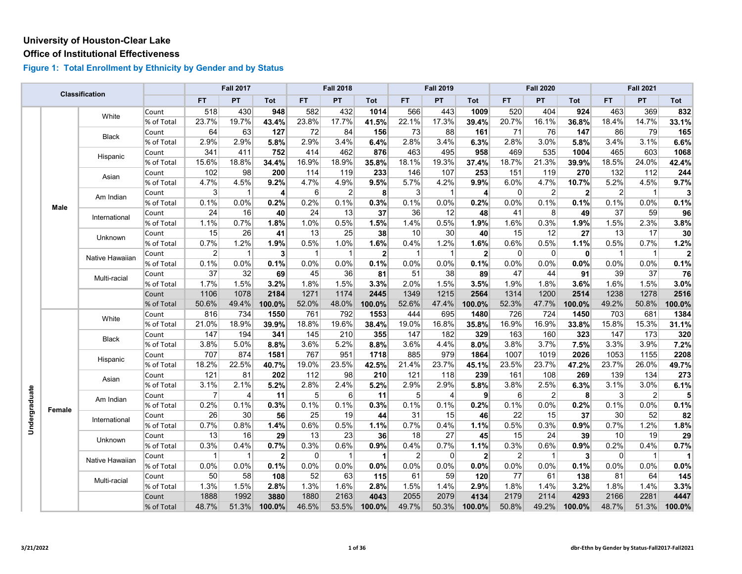#### **Office of Institutional Effectiveness**

|               |        | <b>Classification</b> |            |                | <b>Fall 2017</b> |                |              | <b>Fall 2018</b> |              |                | <b>Fall 2019</b> |                |                | <b>Fall 2020</b> |                |                 | <b>Fall 2021</b> |              |
|---------------|--------|-----------------------|------------|----------------|------------------|----------------|--------------|------------------|--------------|----------------|------------------|----------------|----------------|------------------|----------------|-----------------|------------------|--------------|
|               |        |                       |            | <b>FT</b>      | PT               | Tot            | <b>FT</b>    | ${\sf PT}$       | Tot          | <b>FT</b>      | PT               | Tot            | <b>FT</b>      | <b>PT</b>        | Tot            | FT.             | PT               | Tot          |
|               |        | White                 | Count      | 518            | 430              | 948            | 582          | 432              | 1014         | 566            | 443              | 1009           | 520            | 404              | 924            | 463             | 369              | 832          |
|               |        |                       | % of Total | 23.7%          | 19.7%            | 43.4%          | 23.8%        | 17.7%            | 41.5%        | 22.1%          | 17.3%            | 39.4%          | 20.7%          | 16.1%            | 36.8%          | 18.4%           | 14.7%            | 33.1%        |
|               |        | Black                 | Count      | 64             | 63               | 127            | 72           | 84               | 156          | 73             | 88               | 161            | 71             | 76               | 147            | 86              | 79               | 165          |
|               |        |                       | % of Total | 2.9%           | 2.9%             | 5.8%           | 2.9%         | 3.4%             | 6.4%         | 2.8%           | 3.4%             | 6.3%           | 2.8%           | 3.0%             | 5.8%           | 3.4%            | 3.1%             | 6.6%         |
|               |        | Hispanic              | Count      | 341            | 411              | 752            | 414          | 462              | 876          | 463            | 495              | 958            | 469            | 535              | 1004           | 465             | 603              | 1068         |
|               |        |                       | % of Total | 15.6%          | 18.8%            | 34.4%          | 16.9%        | 18.9%            | 35.8%        | 18.1%          | 19.3%            | 37.4%          | 18.7%          | 21.3%            | 39.9%          | 18.5%           | 24.0%            | 42.4%        |
|               |        | Asian                 | Count      | 102            | 98               | 200            | 114          | 119              | 233          | 146            | 107              | 253            | 151            | 119              | 270            | 132             | 112              | 244          |
|               |        |                       | % of Total | 4.7%           | 4.5%             | 9.2%           | 4.7%         | 4.9%             | 9.5%         | 5.7%           | 4.2%             | 9.9%           | 6.0%           | 4.7%             | 10.7%          | 5.2%            | 4.5%             | 9.7%         |
|               |        | Am Indian             | Count      | $\mathbf{3}$   | $\mathbf{1}$     | $\vert$        | 6            | $\overline{2}$   | 8            | $\mathbf{3}$   | $\overline{1}$   | $\overline{4}$ | $\overline{0}$ | $\overline{2}$   | $\overline{2}$ | $\overline{2}$  | $\overline{1}$   | 3            |
|               | Male   |                       | % of Total | 0.1%           | 0.0%             | 0.2%           | 0.2%         | 0.1%             | 0.3%         | 0.1%           | 0.0%             | 0.2%           | 0.0%           | 0.1%             | 0.1%           | 0.1%            | 0.0%             | 0.1%         |
|               |        | International         | Count      | 24             | 16               | 40             | 24           | 13               | 37           | 36             | 12               | 48             | 41             | 8                | 49             | 37              | 59               | 96           |
|               |        |                       | % of Total | 1.1%           | 0.7%             | 1.8%           | 1.0%         | 0.5%             | 1.5%         | 1.4%           | 0.5%             | 1.9%           | 1.6%           | 0.3%             | 1.9%           | 1.5%            | 2.3%             | 3.8%         |
|               |        | Unknown               | Count      | 15             | 26               | 41             | 13           | 25               | 38           | 10             | 30               | 40             | 15             | 12               | 27             | 13              | 17               | 30           |
|               |        |                       | % of Total | 0.7%           | 1.2%             | 1.9%           | 0.5%         | 1.0%             | 1.6%         | 0.4%           | 1.2%             | 1.6%           | 0.6%           | 0.5%             | 1.1%           | 0.5%            | 0.7%             | 1.2%         |
|               |        | Native Hawaiian       | Count      | $\overline{2}$ | $\overline{1}$   | 3 <sup>1</sup> | $\mathbf{1}$ | $\mathbf{1}$     | $\mathbf{2}$ | $\mathbf{1}$   | $\mathbf{1}$     | $\mathbf{2}$   | $\overline{0}$ | 0                | $\mathbf{0}$   | $\mathbf{1}$    | $\overline{1}$   | $\mathbf{2}$ |
|               |        |                       | % of Total | 0.1%           | 0.0%             | 0.1%           | 0.0%         | 0.0%             | 0.1%         | 0.0%           | 0.0%             | 0.1%           | 0.0%           | 0.0%             | 0.0%           | 0.0%            | 0.0%             | 0.1%         |
|               |        | Multi-racial          | Count      | 37             | 32               | 69             | 45           | 36               | 81           | 51             | 38               | 89             | 47             | 44               | 91             | 39              | 37               | 76           |
|               |        |                       | % of Total | 1.7%           | 1.5%             | 3.2%           | 1.8%         | 1.5%             | 3.3%         | 2.0%           | 1.5%             | 3.5%           | 1.9%           | 1.8%             | 3.6%           | 1.6%            | 1.5%             | 3.0%         |
|               |        |                       | Count      | 1106           | 1078             | 2184           | 1271         | 1174             | 2445         | 1349           | 1215             | 2564           | 1314           | 1200             | 2514           | 1238            | 1278             | 2516         |
|               |        |                       | % of Total | 50.6%          | 49.4%            | 100.0%         | 52.0%        | 48.0%            | 100.0%       | 52.6%          | 47.4%            | 100.0%         | 52.3%          | 47.7%            | 100.0%         | 49.2%           | 50.8%            | 100.0%       |
|               |        | White                 | Count      | 816            | 734              | 1550           | 761          | 792              | 1553         | 444            | 695              | 1480           | 726            | 724              | 1450           | 703             | 681              | 1384         |
|               |        |                       | % of Total | 21.0%          | 18.9%            | 39.9%          | 18.8%        | 19.6%            | 38.4%        | 19.0%          | 16.8%            | 35.8%          | 16.9%          | 16.9%            | 33.8%          | 15.8%           | 15.3%            | 31.1%        |
|               |        | Black                 | Count      | 147            | 194              | 341            | 145          | 210              | 355          | 147            | 182              | 329            | 163            | 160              | 323            | 147             | 173              | 320          |
|               |        |                       | % of Total | 3.8%           | 5.0%             | 8.8%           | 3.6%         | 5.2%             | 8.8%         | 3.6%           | 4.4%             | 8.0%           | 3.8%           | 3.7%             | 7.5%           | 3.3%            | 3.9%             | 7.2%         |
|               |        | Hispanic              | Count      | 707            | 874              | 1581           | 767          | 951              | 1718         | 885            | 979              | 1864           | 1007           | 1019             | 2026           | 1053            | 1155             | 2208         |
|               |        |                       | % of Total | 18.2%          | 22.5%            | 40.7%          | 19.0%        | 23.5%            | 42.5%        | 21.4%          | 23.7%            | 45.1%          | 23.5%          | 23.7%            | 47.2%          | 23.7%           | 26.0%            | 49.7%        |
|               |        | Asian                 | Count      | 121            | 81               | 202            | 112          | 98               | 210          | 121            | 118              | 239            | 161            | 108              | 269            | 139             | 134              | 273          |
|               |        |                       | % of Total | 3.1%           | 2.1%             | 5.2%           | 2.8%         | 2.4%             | 5.2%         | 2.9%           | 2.9%             | 5.8%           | 3.8%           | 2.5%             | 6.3%           | 3.1%            | 3.0%             | 6.1%         |
| Undergraduate |        | Am Indian             | Count      | $\overline{7}$ | 4                | 11             | 5            | 6                | 11           | 5 <sup>5</sup> | $\overline{4}$   | 9              | 6              | $\overline{2}$   | 8              | 3               | $\overline{2}$   | 5            |
|               | Female |                       | % of Total | 0.2%           | 0.1%             | 0.3%           | 0.1%         | 0.1%             | 0.3%         | 0.1%           | 0.1%             | 0.2%           | 0.1%           | 0.0%             | 0.2%           | 0.1%            | 0.0%             | 0.1%         |
|               |        | International         | Count      | 26             | 30               | 56             | 25           | 19               | 44           | 31             | 15               | 46             | 22             | 15               | 37             | 30              | 52               | 82           |
|               |        |                       | % of Total | 0.7%           | 0.8%             | 1.4%           | 0.6%         | 0.5%             | 1.1%         | 0.7%           | 0.4%             | 1.1%           | 0.5%           | 0.3%             | 0.9%           | 0.7%            | 1.2%             | 1.8%         |
|               |        | Unknown               | Count      | 13             | 16               | 29             | 13           | 23               | 36           | 18             | 27               | 45             | 15             | 24               | 39             | 10 <sup>1</sup> | 19               | 29           |
|               |        |                       | % of Total | 0.3%           | 0.4%             | 0.7%           | 0.3%         | 0.6%             | 0.9%         | 0.4%           | 0.7%             | 1.1%           | 0.3%           | 0.6%             | 0.9%           | 0.2%            | 0.4%             | 0.7%         |
|               |        | Native Hawaiian       | Count      | 1              | 1                | $\mathbf{2}$   | $\Omega$     | $\mathbf{1}$     | $\mathbf{1}$ | $\overline{2}$ | $\Omega$         | $\mathbf{2}$   | $\overline{2}$ | $\mathbf 1$      | 3 <sup>1</sup> | $\Omega$        | $\mathbf{1}$     | 1            |
|               |        |                       | % of Total | 0.0%           | 0.0%             | 0.1%           | 0.0%         | 0.0%             | 0.0%         | 0.0%           | 0.0%             | 0.0%           | 0.0%           | 0.0%             | 0.1%           | 0.0%            | 0.0%             | 0.0%         |
|               |        | Multi-racial          | Count      | 50             | 58               | 108            | 52           | 63               | 115          | 61             | 59               | 120            | 77             | 61               | 138            | 81              | 64               | 145          |
|               |        |                       | % of Total | 1.3%           | 1.5%             | 2.8%           | 1.3%         | 1.6%             | 2.8%         | 1.5%           | 1.4%             | 2.9%           | 1.8%           | 1.4%             | 3.2%           | 1.8%            | 1.4%             | 3.3%         |
|               |        |                       | Count      | 1888           | 1992             | 3880           | 1880         | 2163             | 4043         | 2055           | 2079             | 4134           | 2179           | 2114             | 4293           | 2166            | 2281             | 4447         |
|               |        |                       | % of Total | 48.7%          | 51.3%            | 100.0%         | 46.5%        | 53.5%            | 100.0%       | 49.7%          | 50.3%            | 100.0%         | 50.8%          | 49.2%            | 100.0%         | 48.7%           | 51.3%            | 100.0%       |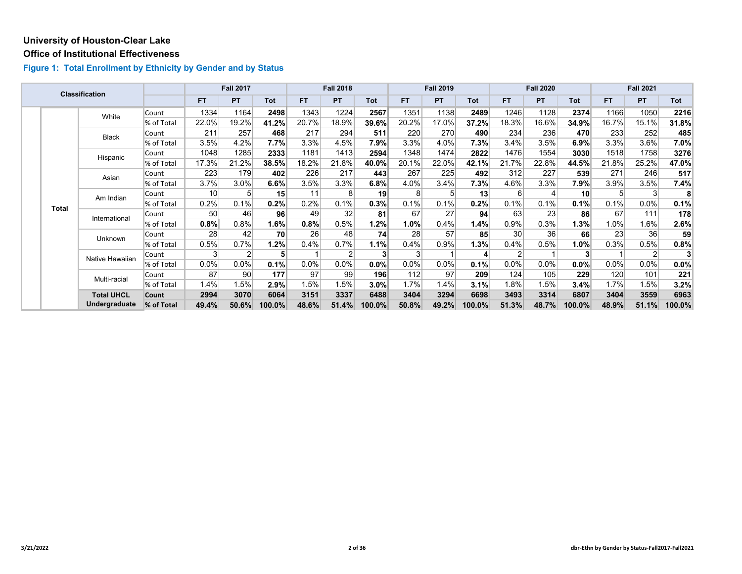#### **Office of Institutional Effectiveness**

|  |                       | <b>Classification</b> |            |                 | <b>Fall 2017</b> |            |         | <b>Fall 2018</b> |         |                | <b>Fall 2019</b> |         |                 | <b>Fall 2020</b> |                 |         | <b>Fall 2021</b> |         |
|--|-----------------------|-----------------------|------------|-----------------|------------------|------------|---------|------------------|---------|----------------|------------------|---------|-----------------|------------------|-----------------|---------|------------------|---------|
|  |                       |                       |            | <b>FT</b>       | PT               | <b>Tot</b> | FT.     | <b>PT</b>        | Tot     | <b>FT</b>      | <b>PT</b>        | Tot     | FT.             | PT               | Tot             | FT.     | <b>PT</b>        | Tot     |
|  |                       | White                 | Count      | 1334            | 1164             | 2498       | 1343    | 1224             | 2567    | 1351           | 1138             | 2489    | 1246            | 1128             | 2374            | 1166    | 1050             | 2216    |
|  |                       |                       | % of Total | 22.0%           | 19.2%            | 41.2%      | 20.7%   | 18.9%            | 39.6%   | 20.2%          | 17.0%            | 37.2%   | 18.3%           | 16.6%            | 34.9%           | 16.7%   | 15.1%            | 31.8%   |
|  |                       | <b>Black</b>          | Count      | 211             | 257              | 468        | 217     | 294              | 511     | 220            | 270              | 490     | 234             | 236              | 470             | 233     | 252              | 485     |
|  |                       |                       | % of Total | 3.5%            | 4.2%             | 7.7%       | 3.3%    | 4.5%             | 7.9%    | 3.3%           | 4.0%             | 7.3%    | 3.4%            | 3.5%             | 6.9%            | 3.3%    | 3.6%             | $7.0\%$ |
|  |                       | Hispanic              | Count      | 1048            | 1285             | 2333       | 1181    | 1413             | 2594    | 1348           | 1474             | 2822    | 1476            | 1554             | 3030            | 1518    | 1758             | 3276    |
|  |                       |                       | % of Total | 17.3%           | 21.2%            | 38.5%      | 18.2%   | 21.8%            | 40.0%   | 20.1%          | 22.0%            | 42.1%   | 21.7%           | 22.8%            | 44.5%           | 21.8%   | 25.2%            | 47.0%   |
|  | Asian<br><b>Total</b> |                       | Count      | 223             | 179              | 402        | 226     | 217              | 443     | 267            | 225              | 492     | 312             | 227              | 539             | 271     | 246              | 517     |
|  |                       |                       | % of Total | 3.7%            | 3.0%             | 6.6%       | 3.5%    | 3.3%             | 6.8%    | 4.0%           | 3.4%             | 7.3%    | 4.6%            | 3.3%             | 7.9%            | 3.9%    | 3.5%             | 7.4%    |
|  |                       | Am Indian             | Count      | 10 <sup>1</sup> | 5                | 15         | 11      | 8                | 19      | 8 <sup>1</sup> |                  | 13      | $6 \mid$        |                  | 10 <sup>1</sup> | 5       | 3                | 8       |
|  |                       |                       | % of Total | 0.2%            | 0.1%             | 0.2%       | 0.2%    | 0.1%             | 0.3%    | 0.1%           | 0.1%             | 0.2%    | 0.1%            | 0.1%             | 0.1%            | 0.1%    | $0.0\%$          | 0.1%    |
|  |                       | International         | Count      | 50 <sup>°</sup> | 46               | 96         | 49      | 32               | 81      | 67             | 27               | 94      | 63              | 23               | 86              | 67      | 111              | 178     |
|  |                       |                       | % of Total | 0.8%            | 0.8%             | 1.6%       | 0.8%    | 0.5%             | 1.2%    | 1.0%           | 0.4%             | $1.4\%$ | 0.9%            | 0.3%             | $1.3\%$         | $1.0\%$ | 1.6%             | $2.6\%$ |
|  |                       | Unknown               | Count      | 28              | 42               | 70         | 26      | 48               | 74      | 28             | 57               | 85      | 30 <sup>1</sup> | 36               | 66              | 23      | 36               | 59      |
|  |                       |                       | % of Total | 0.5%            | 0.7%             | 1.2%       | 0.4%    | 0.7%             | 1.1%    | 0.4%           | 0.9%             | $1.3\%$ | 0.4%            | 0.5%             | 1.0%            | 0.3%    | 0.5%             | 0.8%    |
|  |                       | Native Hawaiian       | Count      | 3 <sup>1</sup>  | $\overline{2}$   | 5          |         | 2                | 3       | 3              |                  | 4       | $\overline{2}$  |                  | 3               |         | 2                |         |
|  |                       |                       | % of Total | $0.0\%$         | 0.0%             | 0.1%       | $0.0\%$ | 0.0%             | $0.0\%$ | $0.0\%$        | $0.0\%$          | 0.1%    | $0.0\%$         | $0.0\%$          | 0.0%            | 0.0%    | $0.0\%$          | 0.0%    |
|  |                       | Multi-racial          | Count      | 87              | 90               | 177        | 97      | 99               | 196     | 112            | 97               | 209     | 124             | 105              | 229             | 120     | 101              | 221     |
|  |                       |                       | % of Total | 1.4%            | 1.5%             | 2.9%       | 1.5%    | 1.5%             | 3.0%    | 1.7%           | 1.4%             | 3.1%    | 1.8%            | 1.5%             | 3.4%            | 1.7%    | 1.5%             | 3.2%    |
|  |                       | <b>Total UHCL</b>     | Count      | 2994            | 3070             | 6064       | 3151    | 3337             | 6488    | 3404           | 3294             | 6698    | 3493            | 3314             | 6807            | 3404    | 3559             | 6963    |
|  |                       | <b>Undergraduate</b>  | % of Total | 49.4%           | 50.6%            | 100.0%     | 48.6%   | 51.4%            | 100.0%  | 50.8%          | 49.2%            | 100.0%  | 51.3%           | 48.7%            | 100.0%          | 48.9%   | 51.1%            | 100.0%  |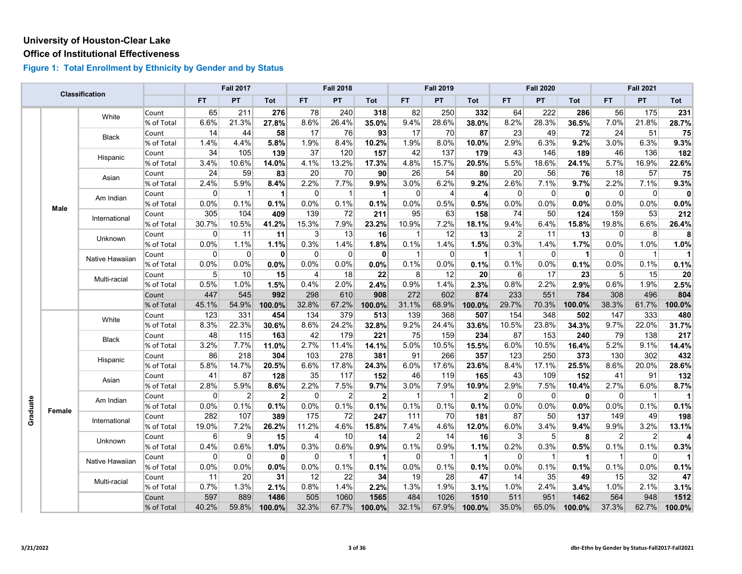#### **Office of Institutional Effectiveness**

|          |        |                 |            |                | <b>Fall 2017</b> |              |                | <b>Fall 2018</b> |              |           | <b>Fall 2019</b> |                |                | <b>Fall 2020</b> |                      |                | <b>Fall 2021</b> |                |
|----------|--------|-----------------|------------|----------------|------------------|--------------|----------------|------------------|--------------|-----------|------------------|----------------|----------------|------------------|----------------------|----------------|------------------|----------------|
|          |        | Classification  |            | <b>FT</b>      | PT               | Tot          | FT.            | <b>PT</b>        | Tot          | <b>FT</b> | PT               | Tot            | FT.            | <b>PT</b>        | Tot                  | FT.            | <b>PT</b>        | Tot            |
|          |        | White           | Count      | 65             | 211              | 276          | 78             | 240              | 318          | 82        | 250              | 332            | 64             | 222              | 286                  | 56             | 175              | 231            |
|          |        |                 | % of Total | 6.6%           | 21.3%            | 27.8%        | 8.6%           | 26.4%            | 35.0%        | 9.4%      | 28.6%            | 38.0%          | 8.2%           | 28.3%            | 36.5%                | 7.0%           | 21.8%            | 28.7%          |
|          |        | <b>Black</b>    | Count      | 14             | 44               | 58           | 17             | 76               | 93           | 17        | 70               | 87             | 23             | 49               | 72                   | 24             | 51               | 75             |
|          |        |                 | % of Total | 1.4%           | 4.4%             | 5.8%         | 1.9%           | 8.4%             | 10.2%        | 1.9%      | 8.0%             | 10.0%          | 2.9%           | 6.3%             | 9.2%                 | 3.0%           | 6.3%             | 9.3%           |
|          |        | Hispanic        | Count      | 34             | 105              | 139          | 37             | 120              | 157          | 42        | 137              | 179            | 43             | 146              | 189                  | 46             | 136              | 182            |
|          |        |                 | % of Total | 3.4%           | 10.6%            | 14.0%        | 4.1%           | 13.2%            | 17.3%        | 4.8%      | 15.7%            | 20.5%          | 5.5%           | 18.6%            | 24.1%                | 5.7%           | 16.9%            | 22.6%          |
|          |        | Asian           | Count      | 24             | 59               | 83           | 20             | 70               | 90           | 26        | 54               | 80             | 20             | 56               | 76                   | 18             | 57               | 75             |
|          |        |                 | % of Total | 2.4%           | 5.9%             | 8.4%         | 2.2%           | 7.7%             | 9.9%         | 3.0%      | 6.2%             | 9.2%           | 2.6%           | 7.1%             | 9.7%                 | 2.2%           | 7.1%             | 9.3%           |
|          |        | Am Indian       | Count      | $\Omega$       | $\mathbf{1}$     | 1            | $\Omega$       | $\mathbf{1}$     | $\vert$      | $\Omega$  | 4                | $\overline{4}$ | 0              | $\Omega$         | $\mathbf{0}$         | 0              | $\overline{0}$   | 0              |
|          | Male   |                 | % of Total | 0.0%           | 0.1%             | 0.1%         | 0.0%           | 0.1%             | 0.1%         | 0.0%      | 0.5%             | 0.5%           | 0.0%           | 0.0%             | 0.0%                 | 0.0%           | 0.0%             | 0.0%           |
|          |        |                 | Count      | 305            | 104              | 409          | 139            | 72               | 211          | 95        | 63               | 158            | 74             | 50               | 124                  | 159            | 53               | 212            |
|          |        | International   | % of Total | 30.7%          | 10.5%            | 41.2%        | 15.3%          | 7.9%             | 23.2%        | 10.9%     | 7.2%             | 18.1%          | 9.4%           | 6.4%             | 15.8%                | 19.8%          | 6.6%             | 26.4%          |
|          |        |                 | Count      | 0              | 11               | 11           | $\mathbf{3}$   | 13               | 16           | 1         | 12               | 13             | 2              | 11               | 13                   | $\overline{0}$ | 8                | 8              |
|          |        | Unknown         | % of Total | 0.0%           | 1.1%             | 1.1%         | 0.3%           | 1.4%             | 1.8%         | 0.1%      | 1.4%             | 1.5%           | 0.3%           | 1.4%             | 1.7%                 | 0.0%           | 1.0%             | 1.0%           |
|          |        |                 | Count      | 0              | $\Omega$         | 0            | $\overline{0}$ | $\overline{0}$   | 0            | 1         | $\mathbf{0}$     | $\mathbf 1$    | -1             | $\Omega$         | $\blacktriangleleft$ | $\overline{0}$ | $\mathbf{1}$     | $\blacksquare$ |
|          |        | Native Hawaiian | % of Total | 0.0%           | 0.0%             | 0.0%         | 0.0%           | 0.0%             | 0.0%         | 0.1%      | 0.0%             | 0.1%           | 0.1%           | 0.0%             | 0.1%                 | 0.0%           | 0.1%             | 0.1%           |
|          |        |                 | Count      | 5              | 10               | 15           | $\vert$        | 18               | 22           | 8         | 12               | 20             | 6              | 17               | 23                   | 5 <sup>1</sup> | 15               | 20             |
|          |        | Multi-racial    | % of Total | 0.5%           | 1.0%             | 1.5%         | 0.4%           | 2.0%             | 2.4%         | 0.9%      | 1.4%             | 2.3%           | 0.8%           | 2.2%             | 2.9%                 | 0.6%           | 1.9%             | 2.5%           |
|          |        |                 | Count      | 447            | 545              | 992          | 298            | 610              | 908          | 272       | 602              | 874            | 233            | 551              | 784                  | 308            | 496              | 804            |
|          |        |                 | % of Total | 45.1%          | 54.9%            | 100.0%       | 32.8%          | 67.2%            | 100.0%       | 31.1%     | 68.9%            | 100.0%         | 29.7%          | 70.3%            | 100.0%               | 38.3%          | 61.7%            | 100.0%         |
|          |        |                 | Count      | 123            | 331              | 454          | 134            | 379              | 513          | 139       | 368              | 507            | 154            | 348              | 502                  | 147            | 333              | 480            |
|          |        | White           | % of Total | 8.3%           | 22.3%            | 30.6%        | 8.6%           | 24.2%            | 32.8%        | 9.2%      | 24.4%            | 33.6%          | 10.5%          | 23.8%            | 34.3%                | 9.7%           | 22.0%            | 31.7%          |
|          |        |                 | Count      | 48             | 115              | 163          | 42             | 179              | 221          | 75        | 159              | 234            | 87             | 153              | 240                  | 79             | 138              | 217            |
|          |        | Black           | % of Total | 3.2%           | 7.7%             | 11.0%        | 2.7%           | 11.4%            | 14.1%        | 5.0%      | 10.5%            | 15.5%          | 6.0%           | 10.5%            | 16.4%                | 5.2%           | 9.1%             | 14.4%          |
|          |        |                 | Count      | 86             | 218              | 304          | 103            | 278              | 381          | 91        | 266              | 357            | 123            | 250              | 373                  | 130            | 302              | 432            |
|          |        | Hispanic        | % of Total | 5.8%           | 14.7%            | 20.5%        | 6.6%           | 17.8%            | 24.3%        | 6.0%      | 17.6%            | 23.6%          | 8.4%           | 17.1%            | 25.5%                | 8.6%           | 20.0%            | 28.6%          |
|          |        |                 | Count      | 41             | 87               | 128          | 35             | 117              | 152          | 46        | 119              | 165            | 43             | 109              | 152                  | 41             | 91               | 132            |
|          |        | Asian           | % of Total | 2.8%           | 5.9%             | 8.6%         | 2.2%           | 7.5%             | 9.7%         | 3.0%      | 7.9%             | 10.9%          | 2.9%           | 7.5%             | 10.4%                | 2.7%           | 6.0%             | 8.7%           |
|          |        |                 | Count      | $\mathbf{0}$   | $\overline{2}$   | $\mathbf{2}$ | $\overline{0}$ | $\overline{2}$   | $\mathbf{2}$ | 1         | $\overline{1}$   | $\overline{2}$ | 0              | 0                | $\mathbf{0}$         | $\overline{0}$ | $\overline{1}$   | $\mathbf{1}$   |
| Graduate |        | Am Indian       | % of Total | 0.0%           | 0.1%             | 0.1%         | 0.0%           | 0.1%             | 0.1%         | 0.1%      | 0.1%             | 0.1%           | 0.0%           | 0.0%             | 0.0%                 | 0.0%           | 0.1%             | 0.1%           |
|          | Female |                 | Count      | 282            | 107              | 389          | 175            | 72               | 247          | 111       | 70               | 181            | 87             | 50               | 137                  | 149            | 49               | 198            |
|          |        | International   | % of Total | 19.0%          | 7.2%             | 26.2%        | 11.2%          | 4.6%             | 15.8%        | 7.4%      | 4.6%             | 12.0%          | 6.0%           | 3.4%             | 9.4%                 | 9.9%           | 3.2%             | 13.1%          |
|          |        |                 | Count      | 6              | $\overline{9}$   | 15           | $\vert$        | 10               | 14           | 2         | 14               | 16             | 3              | 5                | 8                    | $\overline{2}$ | $\overline{2}$   | 4              |
|          |        | Unknown         | % of Total | 0.4%           | 0.6%             | 1.0%         | 0.3%           | 0.6%             | 0.9%         | 0.1%      | 0.9%             | 1.1%           | 0.2%           | 0.3%             | 0.5%                 | 0.1%           | 0.1%             | 0.3%           |
|          |        |                 | Count      | $\overline{0}$ | 0                | $\mathbf{0}$ | 0              | $\overline{1}$   | -11          | 0         | -1               | $\mathbf 1$    | $\overline{0}$ | $\mathbf{1}$     | $\overline{1}$       | $\overline{1}$ | $\overline{0}$   | 1              |
|          |        | Native Hawaiian | % of Total | 0.0%           | 0.0%             | 0.0%         | 0.0%           | 0.1%             | 0.1%         | 0.0%      | 0.1%             | 0.1%           | 0.0%           | 0.1%             | 0.1%                 | 0.1%           | 0.0%             | 0.1%           |
|          |        |                 | Count      | 11             | 20               | 31           | 12             | 22               | 34           | 19        | 28               | 47             | 14             | 35               | 49                   | 15             | 32               | 47             |
|          |        | Multi-racial    | % of Total | 0.7%           | 1.3%             | 2.1%         | 0.8%           | 1.4%             | 2.2%         | 1.3%      | 1.9%             | 3.1%           | 1.0%           | 2.4%             | 3.4%                 | 1.0%           | 2.1%             | 3.1%           |
|          |        |                 | Count      | 597            | 889              | 1486         | 505            | 1060             | 1565         | 484       | 1026             | 1510           | 511            | 951              | 1462                 | 564            | 948              | 1512           |
|          |        |                 | % of Total | 40.2%          | 59.8%            | 100.0%       | 32.3%          | 67.7%            | 100.0%       | 32.1%     | 67.9%            | 100.0%         | 35.0%          | 65.0%            | 100.0%               | 37.3%          | 62.7%            | 100.0%         |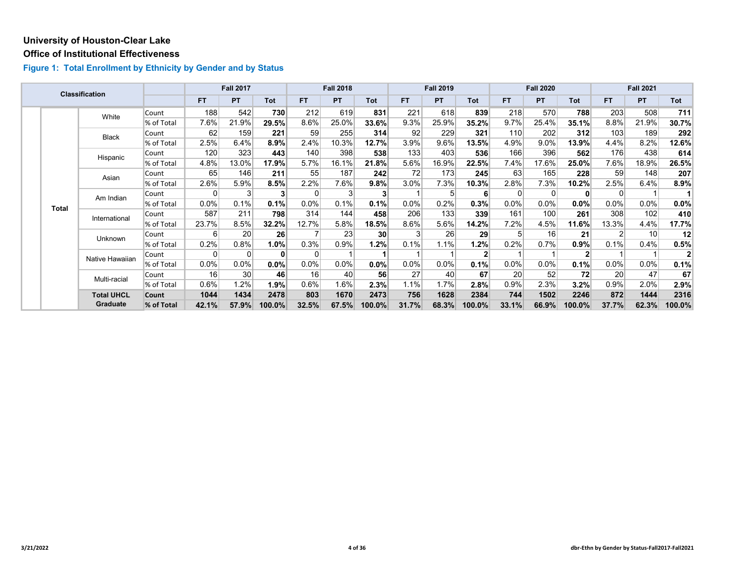#### **Office of Institutional Effectiveness**

|  |              | <b>Classification</b> |            |                | <b>Fall 2017</b> |         |           | <b>Fall 2018</b> |                 |                | <b>Fall 2019</b> |            |         | <b>Fall 2020</b> |                |           | <b>Fall 2021</b> |         |
|--|--------------|-----------------------|------------|----------------|------------------|---------|-----------|------------------|-----------------|----------------|------------------|------------|---------|------------------|----------------|-----------|------------------|---------|
|  |              |                       |            | <b>FT</b>      | <b>PT</b>        | Tot     | <b>FT</b> | <b>PT</b>        | Tot             | FT.            | <b>PT</b>        | <b>Tot</b> | FT.     | <b>PT</b>        | <b>Tot</b>     | <b>FT</b> | <b>PT</b>        | Tot     |
|  |              | White                 | Count      | 188            | 542              | 730     | 212       | 619              | 831             | 221            | 618              | 839        | 218     | 570              | 788            | 203       | 508              | 711     |
|  |              |                       | % of Total | 7.6%           | 21.9%            | 29.5%   | 8.6%      | 25.0%            | 33.6%           | 9.3%           | 25.9%            | 35.2%      | 9.7%    | 25.4%            | 35.1%          | 8.8%      | 21.9%            | 30.7%   |
|  |              | Black                 | Count      | 62             | 159              | 221     | 59        | 255              | 314             | 92             | 229              | 321        | 110     | 202              | 312            | 103       | 189              | 292     |
|  |              |                       | % of Total | 2.5%           | 6.4%             | 8.9%    | 2.4%      | 10.3%            | 12.7%           | 3.9%           | 9.6%             | 13.5%      | 4.9%    | $9.0\%$          | 13.9%          | 4.4%      | 8.2%             | 12.6%   |
|  |              | Hispanic              | Count      | 120            | 323              | 443     | 140       | 398              | 538             | 133            | 403              | 536        | 166     | 396              | 562            | 176       | 438              | 614     |
|  |              |                       | % of Total | 4.8%           | 13.0%            | 17.9%   | 5.7%      | 16.1%            | 21.8%           | 5.6%           | 16.9%            | 22.5%      | 7.4%    | 17.6%            | 25.0%          | 7.6%      | 18.9%            | 26.5%   |
|  |              | Asian                 | Count      | 65             | 146              | 211     | 55        | 187              | 242             | 72             | 173              | 245        | 63      | 165              | 228            | 59        | 148              | 207     |
|  |              |                       | % of Total | 2.6%           | 5.9%             | 8.5%    | 2.2%      | 7.6%             | 9.8%            | $3.0\%$        | 7.3%             | 10.3%      | $2.8\%$ | 7.3%             | 10.2%          | 2.5%      | 6.4%             | $8.9\%$ |
|  | <b>Total</b> | Am Indian             | Count      | 0              | 3                | 3       | 0         | 3                | 3               |                |                  | 6          |         | $\Omega$         | 0              | 0         |                  |         |
|  |              |                       | % of Total | $0.0\%$        | 0.1%             | 0.1%    | $0.0\%$   | 0.1%             | 0.1%            | $0.0\%$        | 0.2%             | 0.3%       | $0.0\%$ | $0.0\%$          | 0.0%           | $0.0\%$   | $0.0\%$          | $0.0\%$ |
|  |              | International         | Count      | 587            | 211              | 798     | 314       | 144              | 458             | 206            | 133              | 339        | 161     | 100              | 261            | 308       | 102              | 410     |
|  |              |                       | % of Total | 23.7%          | 8.5%             | 32.2%   | 12.7%     | 5.8%             | 18.5%           | $8.6\%$        | 5.6%             | 14.2%      | 7.2%    | 4.5%             | 11.6%          | 13.3%     | 4.4%             | 17.7%   |
|  |              | Unknown               | Count      | 6 <sup>1</sup> | 20               | 26      | 7         | 23               | 30 <sup>1</sup> | 3 <sup>1</sup> | 26               | 29         |         | 16               | 21             | 2         | 10 <sup>1</sup>  | 12      |
|  |              |                       | % of Total | 0.2%           | 0.8%             | 1.0%    | 0.3%      | 0.9%             | 1.2%            | 0.1%           | 1.1%             | 1.2%       | 0.2%    | 0.7%             | 0.9%           | 0.1%      | 0.4%             | 0.5%    |
|  |              | Native Hawaiian       | Count      | 0              | 0                | 0       | 0         |                  |                 |                |                  | 2          |         |                  | $\overline{2}$ |           |                  |         |
|  |              |                       | % of Total | 0.0%           | 0.0%             | $0.0\%$ | $0.0\%$   | $0.0\%$          | $0.0\%$         | $0.0\%$        | $0.0\%$          | 0.1%       | 0.0%    | 0.0%             | 0.1%           | 0.0%      | $0.0\%$          | 0.1%    |
|  |              | Multi-racial          | Count      | 16             | 30               | 46      | 16        | 40               | 56              | 27             | 40               | 67         | 20      | 52               | 72             | 20        | 47               | 67      |
|  |              |                       | % of Total | 0.6%           | 1.2%             | 1.9%    | 0.6%      | 1.6%             | 2.3%            | 1.1%           | 1.7%             | 2.8%       | 0.9%    | 2.3%             | 3.2%           | 0.9%      | 2.0%             | 2.9%    |
|  |              | <b>Total UHCL</b>     | Count      | 1044           | 1434             | 2478    | 803       | 1670             | 2473            | 756            | 1628             | 2384       | 744     | 1502             | 2246           | 872       | 1444             | 2316    |
|  |              | Graduate              | % of Total | 42.1%          | 57.9%            | 100.0%  | 32.5%     | 67.5%            | 100.0%          | 31.7%          | 68.3%            | 100.0%     | 33.1%   | 66.9%            | 100.0%         | 37.7%     | 62.3%            | 100.0%  |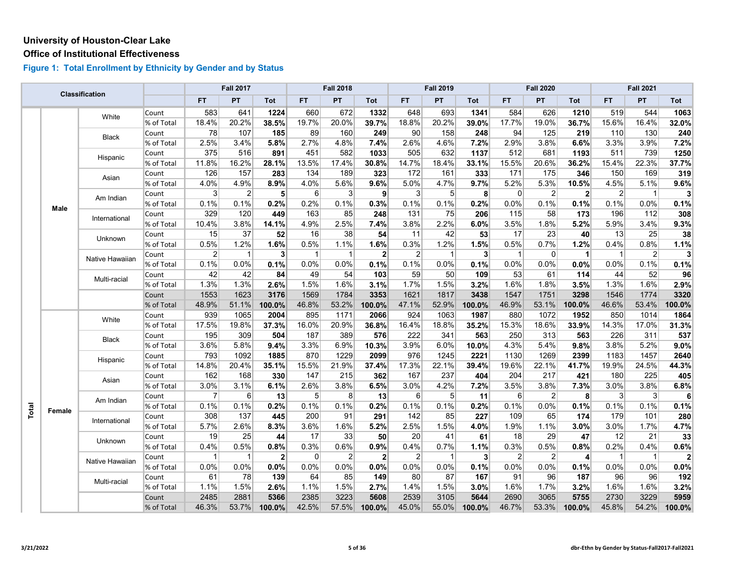#### **Office of Institutional Effectiveness**

|       |        | <b>Classification</b> |            |                 | <b>Fall 2017</b> |              |                | <b>Fall 2018</b> |                |                 | <b>Fall 2019</b> |                         |                | <b>Fall 2020</b> |                |                | <b>Fall 2021</b> |              |
|-------|--------|-----------------------|------------|-----------------|------------------|--------------|----------------|------------------|----------------|-----------------|------------------|-------------------------|----------------|------------------|----------------|----------------|------------------|--------------|
|       |        |                       |            | <b>FT</b>       | PT               | Tot          | FT.            | PT               | Tot            | <b>FT</b>       | PT               | Tot                     | FT.            | <b>PT</b>        | Tot            | <b>FT</b>      | PT               | Tot          |
|       |        | White                 | Count      | 583             | 641              | 1224         | 660            | 672              | 1332           | 648             | 693              | 1341                    | 584            | 626              | 1210           | 519            | 544              | 1063         |
|       |        |                       | % of Total | 18.4%           | 20.2%            | 38.5%        | 19.7%          | 20.0%            | 39.7%          | 18.8%           | 20.2%            | 39.0%                   | 17.7%          | 19.0%            | 36.7%          | 15.6%          | 16.4%            | 32.0%        |
|       |        | Black                 | Count      | 78              | 107              | 185          | 89             | 160              | 249            | 90              | 158              | 248                     | 94             | 125              | 219            | 110            | 130              | 240          |
|       |        |                       | % of Total | 2.5%            | 3.4%             | 5.8%         | 2.7%           | 4.8%             | 7.4%           | 2.6%            | 4.6%             | 7.2%                    | 2.9%           | 3.8%             | 6.6%           | 3.3%           | 3.9%             | 7.2%         |
|       |        | Hispanic              | Count      | 375             | 516              | 891          | 451            | 582              | 1033           | 505             | 632              | 1137                    | 512            | 681              | 1193           | 511            | 739              | 1250         |
|       |        |                       | % of Total | 11.8%           | 16.2%            | 28.1%        | 13.5%          | 17.4%            | 30.8%          | 14.7%           | 18.4%            | 33.1%                   | 15.5%          | 20.6%            | 36.2%          | 15.4%          | 22.3%            | 37.7%        |
|       |        | Asian                 | Count      | 126             | 157              | 283          | 134            | 189              | 323            | 172             | 161              | 333                     | 171            | 175              | 346            | 150            | 169              | 319          |
|       |        |                       | % of Total | 4.0%            | 4.9%             | 8.9%         | 4.0%           | 5.6%             | 9.6%           | 5.0%            | 4.7%             | 9.7%                    | 5.2%           | 5.3%             | 10.5%          | 4.5%           | 5.1%             | 9.6%         |
|       |        | Am Indian             | Count      | $\vert 3 \vert$ | $\overline{2}$   | 5            | 6              | 3                | 9              | $\mathbf{3}$    | 5 <sup>1</sup>   | 8                       | $\Omega$       | $\overline{2}$   | 2 <sup>1</sup> | $\overline{2}$ | $\overline{1}$   | 3            |
|       | Male   |                       | % of Total | 0.1%            | 0.1%             | 0.2%         | 0.2%           | 0.1%             | 0.3%           | 0.1%            | 0.1%             | 0.2%                    | 0.0%           | 0.1%             | 0.1%           | 0.1%           | 0.0%             | 0.1%         |
|       |        | International         | Count      | 329             | 120              | 449          | 163            | 85               | 248            | $131$           | 75               | 206                     | 115            | 58               | 173            | 196            | 112              | 308          |
|       |        |                       | % of Total | 10.4%           | 3.8%             | 14.1%        | 4.9%           | 2.5%             | 7.4%           | 3.8%            | 2.2%             | 6.0%                    | 3.5%           | 1.8%             | 5.2%           | 5.9%           | 3.4%             | 9.3%         |
|       |        | Unknown               | Count      | 15              | 37               | 52           | 16             | 38               | 54             | 11              | 42               | 53                      | 17             | 23               | 40             | 13             | 25               | 38           |
|       |        |                       | % of Total | 0.5%            | 1.2%             | 1.6%         | 0.5%           | 1.1%             | 1.6%           | 0.3%            | 1.2%             | 1.5%                    | 0.5%           | 0.7%             | 1.2%           | 0.4%           | 0.8%             | 1.1%         |
|       |        | Native Hawaiian       | Count      | $\mathbf{2}$    | $\overline{1}$   | 3            | $\overline{1}$ | $\overline{1}$   | $\overline{2}$ | $\overline{2}$  | 1                | $\overline{\mathbf{3}}$ | $\overline{1}$ | $\overline{0}$   | $\vert$        | $\mathbf{1}$   | $\overline{2}$   | 3            |
|       |        |                       | % of Total | 0.1%            | 0.0%             | 0.1%         | 0.0%           | 0.0%             | 0.1%           | 0.1%            | 0.0%             | 0.1%                    | 0.0%           | 0.0%             | 0.0%           | 0.0%           | 0.1%             | 0.1%         |
|       |        | Multi-racial          | Count      | 42              | 42               | 84           | 49             | 54               | 103            | 59              | 50               | 109                     | 53             | 61               | 114            | 44             | 52               | 96           |
|       |        |                       | % of Total | 1.3%            | 1.3%             | 2.6%         | 1.5%           | 1.6%             | 3.1%           | 1.7%            | 1.5%             | 3.2%                    | 1.6%           | 1.8%             | 3.5%           | 1.3%           | 1.6%             | 2.9%         |
|       |        |                       | Count      | 1553            | 1623             | 3176         | 1569           | 1784             | 3353           | 1621            | 1817             | 3438                    | 1547           | 1751             | 3298           | 1546           | 1774             | 3320         |
|       |        |                       | % of Total | 48.9%           | 51.1%            | 100.0%       | 46.8%          | 53.2%            | 100.0%         | 47.1%           | 52.9%            | 100.0%                  | 46.9%          | 53.1%            | 100.0%         | 46.6%          | 53.4%            | 100.0%       |
|       |        | White                 | Count      | 939             | 1065             | 2004         | 895            | 1171             | 2066           | 924             | 1063             | 1987                    | 880            | 1072             | 1952           | 850            | 1014             | 1864         |
|       |        |                       | % of Total | 17.5%           | 19.8%            | 37.3%        | 16.0%          | 20.9%            | 36.8%          | 16.4%           | 18.8%            | 35.2%                   | 15.3%          | 18.6%            | 33.9%          | 14.3%          | 17.0%            | 31.3%        |
|       |        | Black                 | Count      | 195             | 309              | 504          | 187            | 389              | 576            | 222             | 341              | 563                     | 250            | 313              | 563            | 226            | 311              | 537          |
|       |        |                       | % of Total | 3.6%            | 5.8%             | 9.4%         | 3.3%           | 6.9%             | 10.3%          | 3.9%            | 6.0%             | 10.0%                   | 4.3%           | 5.4%             | 9.8%           | 3.8%           | 5.2%             | $9.0\%$      |
|       |        |                       | Count      | 793             | 1092             | 1885         | 870            | 1229             | 2099           | 976             | 1245             | 2221                    | 1130           | 1269             | 2399           | 1183           | 1457             | 2640         |
|       |        | Hispanic              | % of Total | 14.8%           | 20.4%            | 35.1%        | 15.5%          | 21.9%            | 37.4%          | 17.3%           | 22.1%            | 39.4%                   | 19.6%          | 22.1%            | 41.7%          | 19.9%          | 24.5%            | 44.3%        |
|       |        | Asian                 | Count      | 162             | 168              | 330          | 147            | 215              | 362            | 167             | 237              | 404                     | 204            | 217              | 421            | 180            | 225              | 405          |
|       |        |                       | % of Total | 3.0%            | 3.1%             | 6.1%         | 2.6%           | 3.8%             | 6.5%           | 3.0%            | 4.2%             | 7.2%                    | 3.5%           | 3.8%             | 7.3%           | 3.0%           | 3.8%             | 6.8%         |
|       |        | Am Indian             | Count      | $\overline{7}$  | $6 \overline{6}$ | 13           | 5 <sup>5</sup> | 8                | 13             | $6 \overline{}$ | 5                | 11                      | 6              | $\mathbf{2}$     | 8 <sup>1</sup> | $\mathbf{3}$   | 3                | 6            |
|       | Female |                       | % of Total | 0.1%            | 0.1%             | 0.2%         | 0.1%           | 0.1%             | 0.2%           | 0.1%            | 0.1%             | 0.2%                    | 0.1%           | 0.0%             | 0.1%           | 0.1%           | 0.1%             | 0.1%         |
| Total |        | International         | Count      | 308             | 137              | 445          | 200            | 91               | 291            | 142             | 85               | 227                     | 109            | 65               | 174            | 179            | 101              | 280          |
|       |        |                       | % of Total | 5.7%            | 2.6%             | 8.3%         | 3.6%           | 1.6%             | 5.2%           | 2.5%            | 1.5%             | 4.0%                    | 1.9%           | 1.1%             | 3.0%           | 3.0%           | 1.7%             | 4.7%         |
|       |        | Unknown               | Count      | 19              | 25               | 44           | 17             | 33               | 50             | 20              | 41               | 61                      | 18             | 29               | 47             | 12             | 21               | 33           |
|       |        |                       | % of Total | 0.4%            | 0.5%             | 0.8%         | 0.3%           | 0.6%             | 0.9%           | 0.4%            | 0.7%             | 1.1%                    | 0.3%           | 0.5%             | 0.8%           | 0.2%           | 0.4%             | 0.6%         |
|       |        |                       | Count      | $\mathbf{1}$    | $\vert$ 1        | $\mathbf{2}$ | 0              | $\overline{2}$   | 2 <sup>1</sup> | $\overline{2}$  |                  | $\mathbf{3}$            | $\overline{2}$ | $\mathbf{2}$     | $\overline{4}$ | $\mathbf{1}$   | $\overline{1}$   | $\mathbf{2}$ |
|       |        | Native Hawaiian       | % of Total | 0.0%            | 0.0%             | 0.0%         | 0.0%           | 0.0%             | 0.0%           | 0.0%            | 0.0%             | 0.1%                    | 0.0%           | 0.0%             | 0.1%           | 0.0%           | 0.0%             | 0.0%         |
|       |        |                       | Count      | 61              | 78               | 139          | 64             | 85               | 149            | 80              | 87               | 167                     | 91             | 96               | 187            | 96             | 96               | 192          |
|       |        | Multi-racial          | % of Total | 1.1%            | 1.5%             | 2.6%         | 1.1%           | 1.5%             | 2.7%           | 1.4%            | 1.5%             | 3.0%                    | 1.6%           | 1.7%             | 3.2%           | 1.6%           | 1.6%             | 3.2%         |
|       |        |                       | Count      | 2485            | 2881             | 5366         | 2385           | 3223             | 5608           | 2539            | 3105             | 5644                    | 2690           | 3065             | 5755           | 2730           | 3229             | 5959         |
|       |        |                       | % of Total | 46.3%           | 53.7%            | 100.0%       | 42.5%          | 57.5%            | 100.0%         | 45.0%           | 55.0%            | 100.0%                  | 46.7%          | 53.3%            | 100.0%         | 45.8%          | 54.2%            | 100.0%       |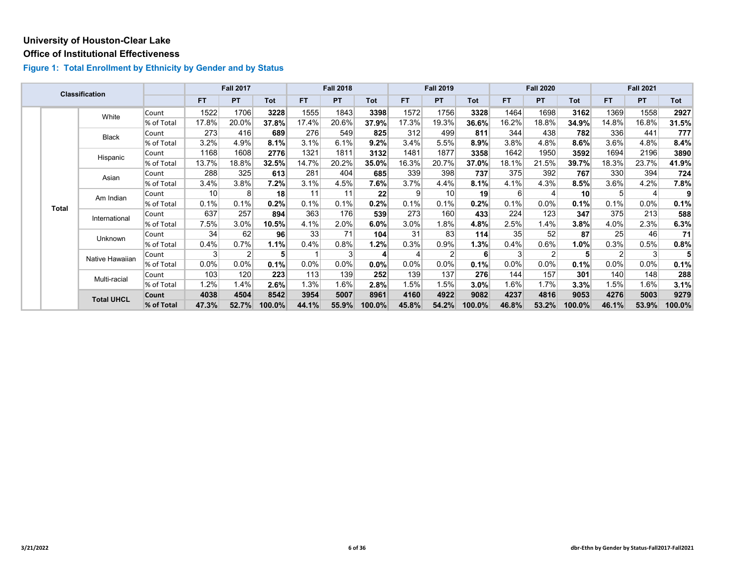#### **Office of Institutional Effectiveness**

|  |              | <b>Classification</b> |            |                 | <b>Fall 2017</b> |            |           | <b>Fall 2018</b> |         |                | <b>Fall 2019</b> |            |                 | <b>Fall 2020</b> |                 |         | <b>Fall 2021</b> |        |
|--|--------------|-----------------------|------------|-----------------|------------------|------------|-----------|------------------|---------|----------------|------------------|------------|-----------------|------------------|-----------------|---------|------------------|--------|
|  |              |                       |            | <b>FT</b>       | <b>PT</b>        | <b>Tot</b> | <b>FT</b> | <b>PT</b>        | Tot     | <b>FT</b>      | PT               | <b>Tot</b> | <b>FT</b>       | <b>PT</b>        | Tot             | FT.     | PT               | Tot    |
|  |              | White                 | Count      | 1522            | 1706             | 3228       | 1555      | 1843             | 3398    | 1572           | 1756             | 3328       | 1464            | 1698             | 3162            | 1369    | 1558             | 2927   |
|  |              |                       | % of Total | 17.8%           | 20.0%            | 37.8%      | 17.4%     | 20.6%            | 37.9%   | 17.3%          | 19.3%            | 36.6%      | 16.2%           | 18.8%            | 34.9%           | 14.8%   | 16.8%            | 31.5%  |
|  |              | Black                 | Count      | 273             | 416              | 689        | 276       | 549              | 825     | 312            | 499              | 811        | 344             | 438              | 782             | 336     | 441              | 777    |
|  |              |                       | % of Total | 3.2%            | 4.9%             | 8.1%       | 3.1%      | 6.1%             | 9.2%    | 3.4%           | 5.5%             | 8.9%       | 3.8%            | 4.8%             | $8.6\%$         | 3.6%    | 4.8%             | 8.4%   |
|  |              | Hispanic              | Count      | 1168            | 1608             | 2776       | 1321      | 1811             | 3132    | 1481           | 1877             | 3358       | 1642            | 1950             | 3592            | 1694    | 2196             | 3890   |
|  |              |                       | % of Total | 13.7%           | 18.8%            | 32.5%      | 14.7%     | 20.2%            | 35.0%   | 16.3%          | 20.7%            | 37.0%      | 18.1%           | 21.5%            | 39.7%           | 18.3%   | 23.7%            | 41.9%  |
|  |              | Asian                 | Count      | 288             | 325              | 613        | 281       | 404              | 685     | 339            | 398              | 737        | 375             | 392              | 767             | 330     | 394              | 724    |
|  |              |                       | % of Total | 3.4%            | 3.8%             | 7.2%       | 3.1%      | 4.5%             | 7.6%    | 3.7%           | 4.4%             | 8.1%       | 4.1%            | 4.3%             | 8.5%            | 3.6%    | 4.2%             | 7.8%   |
|  | <b>Total</b> | Am Indian             | Count      | 10 <sup>1</sup> | 8 <sub>l</sub>   | 18         | 11        | 11               | 22      | $\overline{9}$ | 10               | 19         | 6 <sup>1</sup>  |                  | 10 <sup>1</sup> | 5       | 4                | 9      |
|  |              |                       | % of Total | 0.1%            | 0.1%             | 0.2%       | 0.1%      | 0.1%             | 0.2%    | 0.1%           | 0.1%             | 0.2%       | 0.1%            | 0.0%             | 0.1%            | 0.1%    | $0.0\%$          | 0.1%   |
|  |              | International         | Count      | 637             | 257              | 894        | 363       | 176              | 539     | 273            | 160              | 433        | 224             | 123              | 347             | 375     | 213              | 588    |
|  |              |                       | % of Total | 7.5%            | 3.0%             | 10.5%      | 4.1%      | 2.0%             | 6.0%    | 3.0%           | 1.8%             | 4.8%       | 2.5%            | 1.4%             | $3.8\%$         | 4.0%    | 2.3%             | 6.3%   |
|  |              | Unknown               | Count      | 34              | 62               | 96         | 33        | 71               | 104     | 31             | 83               | 114        | 35 <sub>1</sub> | 52               | 87              | 25      | 46               | 71     |
|  |              |                       | % of Total | 0.4%            | 0.7%             | 1.1%       | 0.4%      | 0.8%             | 1.2%    | 0.3%           | 0.9%             | 1.3%       | 0.4%            | 0.6%             | $1.0\%$         | 0.3%    | 0.5%             | 0.8%   |
|  |              | Native Hawaiian       | Count      | $\mathbf{3}$    | $\overline{2}$   | 5          |           | 3                | 4       | 4              |                  | 6          |                 | $\overline{2}$   | 5               | 2       | 3                |        |
|  |              |                       | % of Total | 0.0%            | $0.0\%$          | 0.1%       | 0.0%      | 0.0%             | 0.0%    | $0.0\%$        | $0.0\%$          | 0.1%       | $0.0\%$         | $0.0\%$          | 0.1%            | $0.0\%$ | $0.0\%$          | 0.1%   |
|  |              | Multi-racial          | Count      | 103             | 120              | 223        | 113       | 139              | 252     | 139            | 137              | 276        | 144             | 157              | 301             | 140     | 148              | 288    |
|  |              |                       | % of Total | $1.2\%$         | 1.4%             | 2.6%       | 1.3%      | 1.6%             | $2.8\%$ | 1.5%           | 1.5%             | 3.0%       | 1.6%            | 1.7%             | 3.3%            | $1.5\%$ | 1.6%             | 3.1%   |
|  |              | <b>Total UHCL</b>     | Count      | 4038            | 4504             | 8542       | 3954      | 5007             | 8961    | 4160           | 4922             | 9082       | 4237            | 4816             | 9053            | 4276    | 5003             | 9279   |
|  |              |                       | % of Total | 47.3%           | 52.7%            | 100.0%     | 44.1%     | 55.9%            | 100.0%  | 45.8%          | 54.2%            | 100.0%     | 46.8%           | 53.2%            | 100.0%          | 46.1%   | 53.9%            | 100.0% |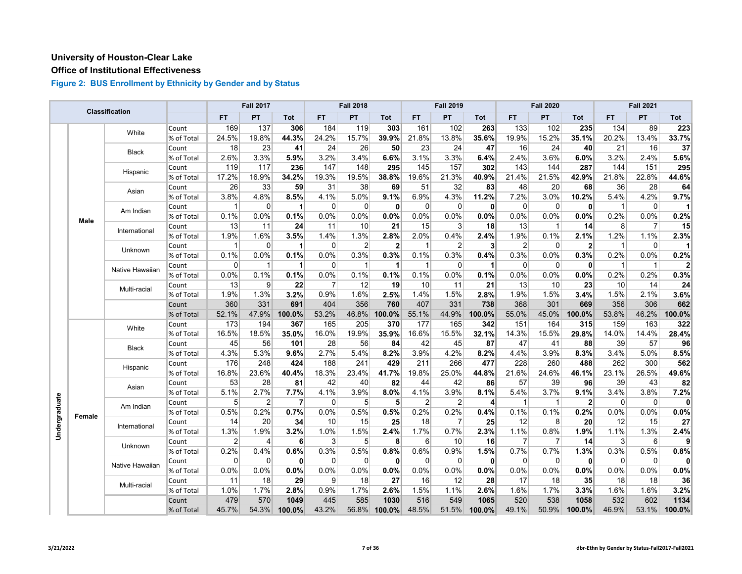## **Office of Institutional Effectiveness**

|               |        | <b>Classification</b> |            |                | <b>Fall 2017</b> |                |                | <b>Fall 2018</b> |              |                | <b>Fall 2019</b> |                         |                | <b>Fall 2020</b> |                |                | <b>Fall 2021</b> |        |
|---------------|--------|-----------------------|------------|----------------|------------------|----------------|----------------|------------------|--------------|----------------|------------------|-------------------------|----------------|------------------|----------------|----------------|------------------|--------|
|               |        |                       |            | <b>FT</b>      | PT               | Tot            | FT.            | PT               | Tot          | <b>FT</b>      | PT               | Tot                     | <b>FT</b>      | PT               | Tot            | FT.            | PT               | Tot    |
|               |        | White                 | Count      | 169            | 137              | 306            | 184            | 119              | 303          | 161            | 102              | 263                     | 133            | 102              | 235            | 134            | 89               | 223    |
|               |        |                       | % of Total | 24.5%          | 19.8%            | 44.3%          | 24.2%          | 15.7%            | 39.9%        | 21.8%          | 13.8%            | 35.6%                   | 19.9%          | 15.2%            | 35.1%          | 20.2%          | 13.4%            | 33.7%  |
|               |        |                       | Count      | 18             | 23               | 41             | 24             | 26               | 50           | 23             | 24               | 47                      | 16             | 24               | 40             | 21             | 16               | 37     |
|               |        | <b>Black</b>          | % of Total | 2.6%           | 3.3%             | 5.9%           | 3.2%           | 3.4%             | 6.6%         | 3.1%           | 3.3%             | 6.4%                    | 2.4%           | 3.6%             | 6.0%           | 3.2%           | 2.4%             | 5.6%   |
|               |        |                       | Count      | 119            | 117              | 236            | 147            | 148              | 295          | 145            | 157              | 302                     | 143            | 144              | 287            | 144            | 151              | 295    |
|               |        | Hispanic              | % of Total | 17.2%          | 16.9%            | 34.2%          | 19.3%          | 19.5%            | 38.8%        | 19.6%          | 21.3%            | 40.9%                   | 21.4%          | 21.5%            | 42.9%          | 21.8%          | 22.8%            | 44.6%  |
|               |        |                       | Count      | 26             | 33               | 59             | 31             | 38               | 69           | 51             | 32               | 83                      | 48             | 20               | 68             | 36             | 28               | 64     |
|               |        | Asian                 | % of Total | 3.8%           | 4.8%             | 8.5%           | 4.1%           | 5.0%             | 9.1%         | 6.9%           | 4.3%             | 11.2%                   | 7.2%           | 3.0%             | 10.2%          | 5.4%           | 4.2%             | 9.7%   |
|               |        |                       | Count      | 1              | 0                | 1              | 0              | $\mathbf 0$      | 0            | $\mathbf 0$    | $\mathbf 0$      | $\mathbf{0}$            | $\mathbf 0$    | 0                | $\mathbf{0}$   | $\mathbf{1}$   | 0                |        |
|               |        | Am Indian             | % of Total | 0.1%           | 0.0%             | 0.1%           | 0.0%           | 0.0%             | 0.0%         | 0.0%           | 0.0%             | 0.0%                    | 0.0%           | 0.0%             | 0.0%           | 0.2%           | 0.0%             | 0.2%   |
|               | Male   |                       | Count      | 13             | 11               | 24             | 11             | 10               | 21           | 15             | 3                | 18                      | 13             | $\mathbf{1}$     | 14             | 8              | $\overline{7}$   | 15     |
|               |        | International         | % of Total | 1.9%           | 1.6%             | 3.5%           | 1.4%           | 1.3%             | 2.8%         | 2.0%           | 0.4%             | 2.4%                    | 1.9%           | 0.1%             | 2.1%           | 1.2%           | 1.1%             | 2.3%   |
|               |        |                       | Count      | 1              | $\Omega$         | 1              | 0              | 2                | $\mathbf{2}$ | 1              | $\overline{2}$   | $\mathbf{3}$            | $\overline{2}$ | 0                | $\mathbf{2}$   | $\mathbf{1}$   | $\overline{0}$   |        |
|               |        | <b>Unknown</b>        | % of Total | 0.1%           | 0.0%             | 0.1%           | 0.0%           | 0.3%             | 0.3%         | 0.1%           | 0.3%             | 0.4%                    | 0.3%           | 0.0%             | 0.3%           | 0.2%           | 0.0%             | 0.2%   |
|               |        |                       | Count      | 0              | 1                | 1              | 0              | $\overline{1}$   | 1            |                | $\mathbf 0$      | 1                       | $\mathbf 0$    | 0                | $\mathbf{0}$   | $\mathbf{1}$   | $\mathbf{1}$     | 2      |
|               |        | Native Hawaiian       | % of Total | 0.0%           | 0.1%             | 0.1%           | 0.0%           | 0.1%             | 0.1%         | 0.1%           | 0.0%             | 0.1%                    | 0.0%           | 0.0%             | 0.0%           | 0.2%           | 0.2%             | 0.3%   |
|               |        |                       | Count      | 13             | 9                | 22             | $\overline{7}$ | 12               | 19           | 10             | 11               | 21                      | 13             | 10               | 23             | 10             | 14               | 24     |
|               |        | Multi-racial          | % of Total | 1.9%           | 1.3%             | 3.2%           | 0.9%           | 1.6%             | 2.5%         | 1.4%           | 1.5%             | 2.8%                    | 1.9%           | 1.5%             | 3.4%           | 1.5%           | 2.1%             | 3.6%   |
|               |        |                       | Count      | 360            | 331              | 691            | 404            | 356              | 760          | 407            | 331              | 738                     | 368            | 301              | 669            | 356            | 306              | 662    |
|               |        |                       | % of Total | 52.1%          | 47.9%            | 100.0%         | 53.2%          | 46.8%            | 100.0%       | 55.1%          | 44.9%            | 100.0%                  | 55.0%          | 45.0%            | 100.0%         | 53.8%          | 46.2%            | 100.0% |
|               |        | White                 | Count      | 173            | 194              | 367            | 165            | 205              | 370          | 177            | 165              | 342                     | 151            | 164              | 315            | 159            | 163              | 322    |
|               |        |                       | % of Total | 16.5%          | 18.5%            | 35.0%          | 16.0%          | 19.9%            | 35.9%        | 16.6%          | 15.5%            | 32.1%                   | 14.3%          | 15.5%            | 29.8%          | 14.0%          | 14.4%            | 28.4%  |
|               |        | <b>Black</b>          | Count      | 45             | 56               | 101            | 28             | 56               | 84           | 42             | 45               | 87                      | 47             | 41               | 88             | 39             | 57               | 96     |
|               |        |                       | % of Total | 4.3%           | 5.3%             | 9.6%           | 2.7%           | 5.4%             | 8.2%         | 3.9%           | 4.2%             | 8.2%                    | 4.4%           | 3.9%             | 8.3%           | 3.4%           | 5.0%             | 8.5%   |
|               |        |                       | Count      | 176            | 248              | 424            | 188            | 241              | 429          | 211            | 266              | 477                     | 228            | 260              | 488            | 262            | 300              | 562    |
|               |        | Hispanic              | % of Total | 16.8%          | 23.6%            | 40.4%          | 18.3%          | 23.4%            | 41.7%        | 19.8%          | 25.0%            | 44.8%                   | 21.6%          | 24.6%            | 46.1%          | 23.1%          | 26.5%            | 49.6%  |
|               |        | Asian                 | Count      | 53             | 28               | 81             | 42             | 40               | 82           | 44             | 42               | 86                      | 57             | 39               | 96             | 39             | 43               | 82     |
|               |        |                       | % of Total | 5.1%           | 2.7%             | 7.7%           | 4.1%           | 3.9%             | 8.0%         | 4.1%           | 3.9%             | 8.1%                    | 5.4%           | 3.7%             | 9.1%           | 3.4%           | 3.8%             | 7.2%   |
|               |        | Am Indian             | Count      | 5              | 2                | $\overline{7}$ | $\Omega$       | 5                | 5            | $\overline{2}$ | $\overline{2}$   | $\overline{\mathbf{r}}$ | $\mathbf{1}$   | $\mathbf{1}$     | $\overline{2}$ | $\mathbf 0$    | $\overline{0}$   | 0      |
|               | Female |                       | % of Total | 0.5%           | 0.2%             | 0.7%           | 0.0%           | 0.5%             | 0.5%         | 0.2%           | 0.2%             | 0.4%                    | 0.1%           | 0.1%             | 0.2%           | 0.0%           | 0.0%             | 0.0%   |
|               |        | International         | Count      | 14             | 20               | 34             | 10             | 15               | 25           | 18             | $\overline{7}$   | 25                      | 12             | 8                | 20             | 12             | 15               | 27     |
| Undergraduate |        |                       | % of Total | 1.3%           | 1.9%             | 3.2%           | 1.0%           | 1.5%             | 2.4%         | 1.7%           | 0.7%             | 2.3%                    | 1.1%           | 0.8%             | 1.9%           | 1.1%           | 1.3%             | 2.4%   |
|               |        | Unknown               | Count      | $\overline{2}$ | 4                | 6              | 3              | 5 <sup>1</sup>   | 8            | 6              | 10               | 16                      | $\overline{7}$ | $\overline{7}$   | 14             | $\overline{3}$ | $6 \mid$         |        |
|               |        |                       | % of Total | 0.2%           | 0.4%             | 0.6%           | 0.3%           | 0.5%             | 0.8%         | 0.6%           | 0.9%             | 1.5%                    | 0.7%           | 0.7%             | 1.3%           | 0.3%           | 0.5%             | 0.8%   |
|               |        | Native Hawaiian       | Count      | $\mathbf 0$    | $\mathbf 0$      | $\mathbf{0}$   | 0              | $\mathbf 0$      | $\mathbf{0}$ | $\Omega$       | $\mathbf 0$      | $\mathbf{0}$            | $\overline{0}$ | $\mathbf{0}$     | $\mathbf{0}$   | $\mathbf 0$    | 0                | n      |
|               |        |                       | % of Total | 0.0%           | 0.0%             | 0.0%           | 0.0%           | 0.0%             | 0.0%         | 0.0%           | 0.0%             | 0.0%                    | 0.0%           | 0.0%             | 0.0%           | 0.0%           | 0.0%             | 0.0%   |
|               |        | Multi-racial          | Count      | 11             | 18               | 29             | 9              | 18               | 27           | 16             | 12               | 28                      | 17             | 18               | 35             | 18             | 18               | 36     |
|               |        |                       | % of Total | 1.0%           | 1.7%             | 2.8%           | 0.9%           | 1.7%             | 2.6%         | 1.5%           | 1.1%             | 2.6%                    | 1.6%           | 1.7%             | 3.3%           | 1.6%           | 1.6%             | 3.2%   |
|               |        |                       | Count      | 479            | 570              | 1049           | 445            | 585              | 1030         | 516            | 549              | 1065                    | 520            | 538              | 1058           | 532            | 602              | 1134   |
|               |        |                       | % of Total | 45.7%          | 54.3%            | 100.0%         | 43.2%          | 56.8%            | 100.0%       | 48.5%          | 51.5%            | 100.0%                  | 49.1%          | 50.9%            | 100.0%         | 46.9%          | 53.1%            | 100.0% |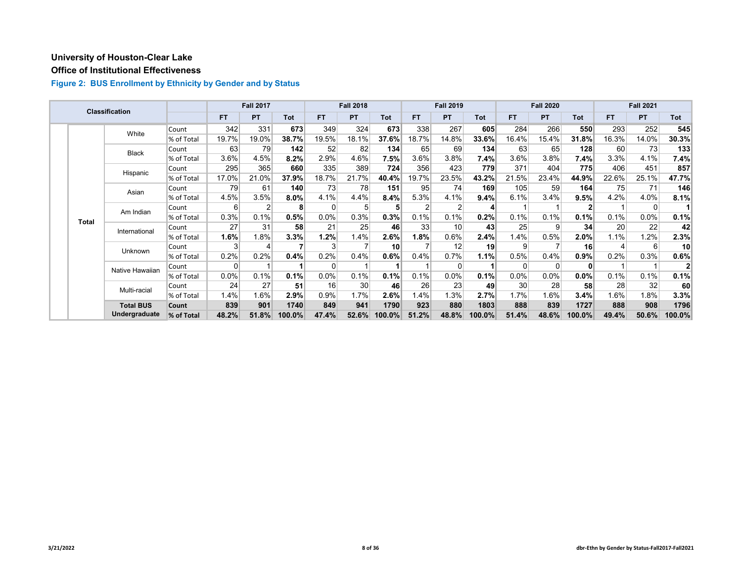# **Office of Institutional Effectiveness**

|              | <b>Classification</b> |            |           | <b>Fall 2017</b> |            |           | <b>Fall 2018</b> |                 |           | <b>Fall 2019</b> |            |           | <b>Fall 2020</b> |            |       | <b>Fall 2021</b> |            |
|--------------|-----------------------|------------|-----------|------------------|------------|-----------|------------------|-----------------|-----------|------------------|------------|-----------|------------------|------------|-------|------------------|------------|
|              |                       |            | <b>FT</b> | <b>PT</b>        | <b>Tot</b> | <b>FT</b> | PT               | <b>Tot</b>      | <b>FT</b> | <b>PT</b>        | <b>Tot</b> | <b>FT</b> | PT               | <b>Tot</b> | FT.   | PT.              | <b>Tot</b> |
|              | White                 | Count      | 342       | 331              | 673        | 349       | 324              | 673             | 338       | 267              | 605        | 284       | 266              | 550        | 293   | 252              | 545        |
|              |                       | % of Total | 19.7%     | 19.0%            | 38.7%      | 19.5%     | 18.1%            | 37.6%           | 18.7%     | 14.8%            | 33.6%      | 16.4%     | 15.4%            | 31.8%      | 16.3% | 14.0%            | 30.3%      |
|              | <b>Black</b>          | Count      | 63        | 79               | 142        | 52        | 82               | 134             | 65        | 69               | 134        | 63        | 65               | 128        | 60    | 73               | 133        |
|              |                       | % of Total | 3.6%      | 4.5%             | 8.2%       | 2.9%      | 4.6%             | $7.5\%$         | 3.6%      | 3.8%             | 7.4%       | 3.6%      | 3.8%             | 7.4%       | 3.3%  | 4.1%             | 7.4%       |
|              | Hispanic              | Count      | 295       | 365              | 660        | 335       | 389              | 724             | 356       | 423              | 779        | 371       | 404              | 775        | 406   | 451              | 857        |
|              |                       | % of Total | 17.0%     | 21.0%            | 37.9%      | 18.7%     | 21.7%            | 40.4%           | 19.7%     | 23.5%            | 43.2%      | 21.5%     | 23.4%            | 44.9%      | 22.6% | 25.1%            | 47.7%      |
|              | Asian                 | Count      | 79        | 61               | 140        | 73        | 78               | 151             | 95        | 74               | 169        | 105       | 59               | 164        | 75    | 71               | 146        |
|              |                       | % of Total | 4.5%      | 3.5%             | $8.0\%$    | 4.1%      | 4.4%             | 8.4%            | 5.3%      | 4.1%             | 9.4%       | 6.1%      | 3.4%             | 9.5%       | 4.2%  | 4.0%             | 8.1%       |
|              | Am Indian             | Count      | 6         | 2                | 8          | 0         | 5                | 5               |           |                  | 4          |           |                  |            |       | 0                |            |
| <b>Total</b> |                       | % of Total | 0.3%      | 0.1%             | 0.5%       | $0.0\%$   | 0.3%             | 0.3%            | 0.1%      | 0.1%             | 0.2%       | 0.1%      | 0.1%             | 0.1%       | 0.1%  | $0.0\%$          | 0.1%       |
|              | International         | Count      | 27        | 31               | 58         | 21        | 25               | 46              | 33        | 10               | 43         | 25        | 9                | 34         | 20    | 22               | 42         |
|              |                       | % of Total | 1.6%      | 1.8%             | 3.3%       | 1.2%      | 1.4%             | 2.6%            | $1.8\%$   | 0.6%             | 2.4%       | l.4%      | 0.5%             | 2.0%       | 1.1%  | 1.2%             | 2.3%       |
|              | Unknown               | Count      | 3         |                  |            | 3         |                  | 10 <sup>1</sup> |           | 12               | 19         | 9         |                  | 16         |       | 6 <sup>1</sup>   | 10         |
|              |                       | % of Total | 0.2%      | 0.2%             | 0.4%       | 0.2%      | 0.4%             | 0.6%            | 0.4%      | 0.7%             | 1.1%       | 0.5%      | 0.4%             | 0.9%       | 0.2%  | 0.3%             | 0.6%       |
|              | Native Hawaiian       | Count      | $\Omega$  |                  |            | 0         |                  |                 |           | $\Omega$         |            | $\Omega$  | $\Omega$         |            |       |                  |            |
|              |                       | % of Total | 0.0%      | 0.1%             | 0.1%       | $0.0\%$   | 0.1%             | 0.1%            | 0.1%      | 0.0%             | 0.1%       | 0.0%      | 0.0%             | 0.0%       | 0.1%  | 0.1%             | 0.1%       |
|              | Multi-racial          | Count      | 24        | 27               | 51         | 16        | 30               | 46              | 26        | 23               | 49         | 30        | 28               | 58         | 28    | 32               | 60         |
|              |                       | % of Total | 1.4%      | 1.6%             | 2.9%       | 0.9%      | 1.7%             | 2.6%            | 1.4%      | 1.3%             | 2.7%       | $1.7\%$   | 1.6%             | 3.4%       | 1.6%  | 1.8%             | 3.3%       |
|              | <b>Total BUS</b>      | Count      | 839       | 901              | 1740       | 849       | 941              | 1790            | 923       | 880              | 1803       | 888       | 839              | 1727       | 888   | 908              | 1796       |
|              | Undergraduate         | % of Total | 48.2%     | 51.8%            | 100.0%     | 47.4%     | 52.6%            | $100.0\%$       | 51.2%     | 48.8%            | 100.0%     | 51.4%     | 48.6%            | 100.0%     | 49.4% | 50.6%            | 100.0%     |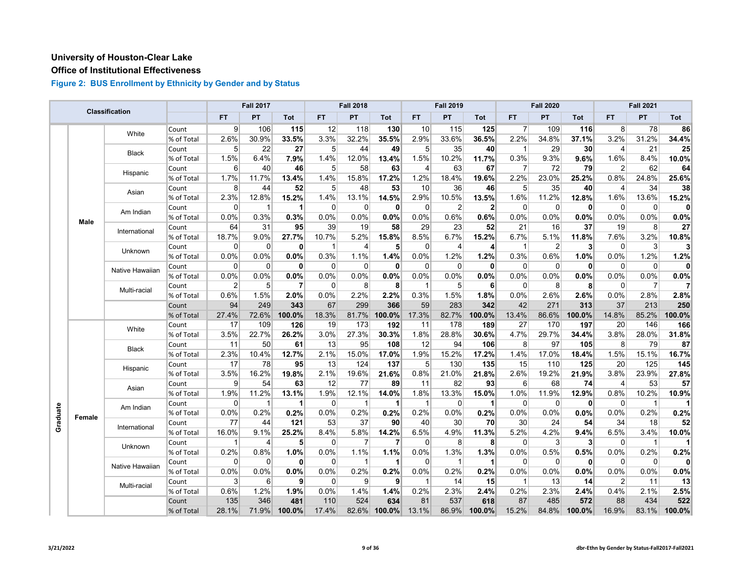## **Office of Institutional Effectiveness**

|  |                    | <b>Classification</b> |            |                | <b>Fall 2017</b> |                |                 | <b>Fall 2018</b> |              |                | <b>Fall 2019</b> |                |                | <b>Fall 2020</b> |              |                | <b>Fall 2021</b> |        |
|--|--------------------|-----------------------|------------|----------------|------------------|----------------|-----------------|------------------|--------------|----------------|------------------|----------------|----------------|------------------|--------------|----------------|------------------|--------|
|  |                    |                       |            | <b>FT</b>      | PT               | Tot            | FT.             | PT               | Tot          | <b>FT</b>      | PT               | Tot            | <b>FT</b>      | PT               | Tot          | FT.            | <b>PT</b>        | Tot    |
|  |                    | White                 | Count      | 9              | 106              | 115            | 12              | 118              | 130          | 10             | 115              | 125            | $\overline{7}$ | 109              | 116          | 8              | 78               | 86     |
|  |                    |                       | % of Total | 2.6%           | 30.9%            | 33.5%          | 3.3%            | 32.2%            | 35.5%        | 2.9%           | 33.6%            | 36.5%          | 2.2%           | 34.8%            | 37.1%        | 3.2%           | 31.2%            | 34.4%  |
|  |                    | <b>Black</b>          | Count      | 5              | 22               | 27             | 5 <sup>1</sup>  | 44               | 49           | 5 <sup>5</sup> | 35               | 40             | $\mathbf{1}$   | 29               | 30           | 4              | 21               | 25     |
|  |                    |                       | % of Total | 1.5%           | 6.4%             | 7.9%           | 1.4%            | 12.0%            | 13.4%        | 1.5%           | 10.2%            | 11.7%          | 0.3%           | 9.3%             | 9.6%         | 1.6%           | 8.4%             | 10.0%  |
|  |                    |                       | Count      | 6              | 40               | 46             | 5               | 58               | 63           | $\overline{4}$ | 63               | 67             | $\overline{7}$ | 72               | 79           | $\overline{2}$ | 62               | 64     |
|  |                    | Hispanic              | % of Total | 1.7%           | 11.7%            | 13.4%          | 1.4%            | 15.8%            | 17.2%        | 1.2%           | 18.4%            | 19.6%          | 2.2%           | 23.0%            | 25.2%        | 0.8%           | 24.8%            | 25.6%  |
|  |                    |                       | Count      | 8              | 44               | 52             | 5               | 48               | 53           | 10             | 36               | 46             | $\sqrt{5}$     | 35               | 40           | 4              | 34               | 38     |
|  |                    | Asian                 | % of Total | 2.3%           | 12.8%            | 15.2%          | 1.4%            | 13.1%            | 14.5%        | 2.9%           | 10.5%            | 13.5%          | 1.6%           | 11.2%            | 12.8%        | 1.6%           | 13.6%            | 15.2%  |
|  |                    |                       | Count      | $\mathbf 0$    | -1               | $\mathbf 1$    | $\Omega$        | $\mathbf 0$      | $\mathbf{0}$ | $\Omega$       | $\overline{2}$   | $\overline{2}$ | $\mathbf 0$    | $\overline{0}$   | $\mathbf{0}$ | $\Omega$       | $\overline{0}$   | 0      |
|  |                    | Am Indian             | % of Total | 0.0%           | 0.3%             | 0.3%           | 0.0%            | 0.0%             | 0.0%         | 0.0%           | 0.6%             | 0.6%           | 0.0%           | 0.0%             | 0.0%         | 0.0%           | 0.0%             | 0.0%   |
|  | Male               |                       | Count      | 64             | 31               | 95             | 39              | 19               | 58           | 29             | 23               | 52             | 21             | 16               | 37           | 19             | 8 <sup>°</sup>   | 27     |
|  |                    | International         | % of Total | 18.7%          | 9.0%             | 27.7%          | 10.7%           | 5.2%             | 15.8%        | 8.5%           | 6.7%             | 15.2%          | 6.7%           | 5.1%             | 11.8%        | 7.6%           | 3.2%             | 10.8%  |
|  |                    | Unknown               | Count      | $\mathbf 0$    | $\Omega$         | $\mathbf{0}$   | 1               | 4                | 5            | $\Omega$       | $\overline{4}$   | 4              | $\overline{1}$ | $\overline{c}$   | $\mathbf{3}$ | $\Omega$       | $\mathbf{3}$     | 3      |
|  |                    |                       | % of Total | 0.0%           | 0.0%             | 0.0%           | 0.3%            | 1.1%             | 1.4%         | 0.0%           | 1.2%             | 1.2%           | 0.3%           | 0.6%             | 1.0%         | 0.0%           | 1.2%             | 1.2%   |
|  |                    |                       | Count      | 0              | $\mathbf 0$      | $\mathbf{0}$   | $\Omega$        | $\mathbf 0$      | $\mathbf 0$  | $\Omega$       | $\mathbf 0$      | $\mathbf{0}$   | $\mathbf 0$    | $\Omega$         | $\mathbf{0}$ | $\mathbf 0$    | 0                | 0      |
|  |                    | Native Hawaiian       | % of Total | 0.0%           | 0.0%             | 0.0%           | 0.0%            | 0.0%             | 0.0%         | 0.0%           | 0.0%             | 0.0%           | 0.0%           | 0.0%             | 0.0%         | 0.0%           | 0.0%             | 0.0%   |
|  |                    |                       | Count      | $\overline{2}$ | 5                | $\overline{7}$ | $\Omega$        | 8                | 8            |                | 5                | 6              | 0              | 8                | 8            | $\Omega$       | $\overline{7}$   |        |
|  |                    | Multi-racial          | % of Total | 0.6%           | 1.5%             | 2.0%           | 0.0%            | 2.2%             | 2.2%         | 0.3%           | 1.5%             | 1.8%           | 0.0%           | 2.6%             | 2.6%         | 0.0%           | 2.8%             | 2.8%   |
|  |                    |                       | Count      | 94             | 249              | 343            | 67              | 299              | 366          | 59             | 283              | 342            | 42             | 271              | 313          | 37             | 213              | 250    |
|  |                    |                       | % of Total | 27.4%          | 72.6%            | 100.0%         | 18.3%           | 81.7%            | 100.0%       | 17.3%          | 82.7%            | 100.0%         | 13.4%          | 86.6%            | 100.0%       | 14.8%          | 85.2%            | 100.0% |
|  |                    |                       | Count      | 17             | 109              | 126            | 19              | 173              | 192          | 11             | 178              | 189            | 27             | 170              | 197          | 20             | 146              | 166    |
|  |                    | White                 | % of Total | 3.5%           | 22.7%            | 26.2%          | 3.0%            | 27.3%            | 30.3%        | 1.8%           | 28.8%            | 30.6%          | 4.7%           | 29.7%            | 34.4%        | 3.8%           | 28.0%            | 31.8%  |
|  |                    |                       | Count      | 11             | 50               | 61             | 13              | 95               | 108          | 12             | 94               | 106            | 8              | 97               | 105          | 8              | 79               | 87     |
|  |                    | <b>Black</b>          | % of Total | 2.3%           | 10.4%            | 12.7%          | 2.1%            | 15.0%            | 17.0%        | 1.9%           | 15.2%            | 17.2%          | 1.4%           | 17.0%            | 18.4%        | 1.5%           | 15.1%            | 16.7%  |
|  |                    |                       | Count      | 17             | 78               | 95             | 13              | 124              | 137          | 5              | 130              | 135            | 15             | 110              | 125          | 20             | 125              | 145    |
|  |                    | Hispanic              | % of Total | 3.5%           | 16.2%            | 19.8%          | 2.1%            | 19.6%            | 21.6%        | 0.8%           | 21.0%            | 21.8%          | 2.6%           | 19.2%            | 21.9%        | 3.8%           | 23.9%            | 27.8%  |
|  |                    |                       | Count      | 9              | 54               | 63             | $\overline{12}$ | $\overline{77}$  | 89           | 11             | 82               | 93             | 6              | 68               | 74           | $\overline{4}$ | 53               | 57     |
|  |                    | Asian                 | % of Total | 1.9%           | 11.2%            | 13.1%          | 1.9%            | 12.1%            | 14.0%        | 1.8%           | 13.3%            | 15.0%          | 1.0%           | 11.9%            | 12.9%        | 0.8%           | 10.2%            | 10.9%  |
|  |                    |                       | Count      | $\mathbf 0$    | -1               | 1              | $\Omega$        | $\overline{1}$   | $\mathbf 1$  | -1             | $\mathbf 0$      | 1              | $\mathbf 0$    | 0                | $\mathbf{0}$ | $\mathbf 0$    | $\mathbf{1}$     |        |
|  |                    | Am Indian             | % of Total | 0.0%           | 0.2%             | 0.2%           | 0.0%            | 0.2%             | 0.2%         | 0.2%           | 0.0%             | 0.2%           | 0.0%           | 0.0%             | $0.0\%$      | 0.0%           | 0.2%             | 0.2%   |
|  |                    |                       | Count      | 77             | 44               | 121            | 53              | 37               | 90           | 40             | 30               | 70             | 30             | 24               | 54           | 34             | 18               | 52     |
|  | Graduate<br>Female | International         | % of Total | 16.0%          | 9.1%             | 25.2%          | 8.4%            | 5.8%             | 14.2%        | 6.5%           | 4.9%             | 11.3%          | 5.2%           | 4.2%             | 9.4%         | 6.5%           | 3.4%             | 10.0%  |
|  |                    |                       | Count      | -1             | $\overline{4}$   | 5 <sup>1</sup> | $\Omega$        | 7                | 7            | $\Omega$       | 8                | 8              | $\mathbf 0$    | 3                | 3            | $\mathbf 0$    | $\mathbf{1}$     |        |
|  |                    | Unknown               | % of Total | 0.2%           | 0.8%             | 1.0%           | 0.0%            | 1.1%             | 1.1%         | 0.0%           | 1.3%             | 1.3%           | 0.0%           | 0.5%             | 0.5%         | 0.0%           | 0.2%             | 0.2%   |
|  |                    |                       | Count      | $\mathbf 0$    | $\mathbf 0$      | 0              | $\mathbf 0$     | -1               | $\mathbf 1$  | $\mathbf 0$    | 1                | 1              | $\mathbf 0$    | $\Omega$         | $\mathbf{0}$ | $\mathbf 0$    | 0                | 0      |
|  |                    | Native Hawaiian       | % of Total | 0.0%           | 0.0%             | 0.0%           | 0.0%            | 0.2%             | 0.2%         | 0.0%           | 0.2%             | 0.2%           | 0.0%           | 0.0%             | 0.0%         | 0.0%           | 0.0%             | 0.0%   |
|  |                    |                       | Count      | 3              | 6                | 9              | $\Omega$        | 9                | 9            | 1              | 14               | 15             | $\mathbf{1}$   | 13               | 14           | $\overline{2}$ | 11               | 13     |
|  |                    | Multi-racial          | % of Total | 0.6%           | 1.2%             | 1.9%           | 0.0%            | 1.4%             | 1.4%         | 0.2%           | 2.3%             | 2.4%           | 0.2%           | 2.3%             | 2.4%         | 0.4%           | 2.1%             | 2.5%   |
|  |                    |                       | Count      | 135            | 346              | 481            | 110             | 524              | 634          | 81             | 537              | 618            | 87             | 485              | 572          | 88             | 434              | 522    |
|  |                    |                       | % of Total | 28.1%          | 71.9%            | 100.0%         | 17.4%           | 82.6%            | 100.0%       | 13.1%          | 86.9%            | 100.0%         | 15.2%          | 84.8%            | 100.0%       | 16.9%          | 83.1%            | 100.0% |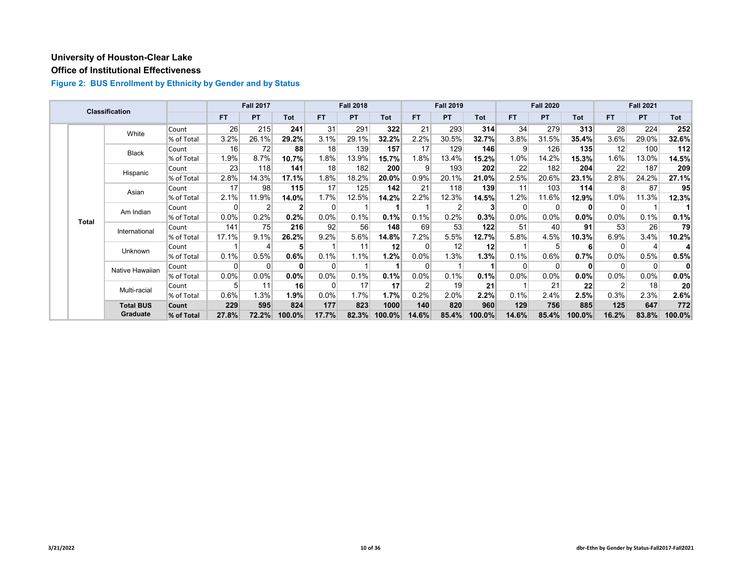## **Office of Institutional Effectiveness**

|              | <b>Classification</b> |            |           | <b>Fall 2017</b> |            |           | <b>Fall 2018</b> |                 |                | <b>Fall 2019</b> |                 |           | <b>Fall 2020</b> |            |                | <b>Fall 2021</b> |                 |
|--------------|-----------------------|------------|-----------|------------------|------------|-----------|------------------|-----------------|----------------|------------------|-----------------|-----------|------------------|------------|----------------|------------------|-----------------|
|              |                       |            | <b>FT</b> | <b>PT</b>        | <b>Tot</b> | <b>FT</b> | <b>PT</b>        | Tot             | FT.            | <b>PT</b>        | Tot             | <b>FT</b> | <b>PT</b>        | <b>Tot</b> | FT.            | <b>PT</b>        | <b>Tot</b>      |
|              | White                 | Count      | 26        | 215              | 241        | 31        | 291              | 322             | 21             | 293              | 314             | 34        | 279              | 313        | 28             | 224              | 252             |
|              |                       | % of Total | 3.2%      | 26.1%            | 29.2%      | 3.1%      | 29.1%            | 32.2%           | 2.2%           | 30.5%            | 32.7%           | 3.8%      | 31.5%            | 35.4%      | 3.6%           | 29.0%            | 32.6%           |
|              | <b>Black</b>          | Count      | 16        | 72               | 88         | 18        | 139              | 157             | 17             | 129              | 146             | 9         | 126              | 135        | 12             | 100              | 112             |
|              |                       | % of Total | 1.9%      | 8.7%             | 10.7%      | 1.8%      | 13.9%            | 15.7%           | 1.8%           | 13.4%            | 15.2%           | 1.0%      | 14.2%            | 15.3%      | 1.6%           | 13.0%            | 14.5%           |
|              | Hispanic              | Count      | 23        | 118              | 141        | 18        | 182              | 200             | 9              | 193              | 202             | 22        | 182              | 204        | 22             | 187              | 209             |
|              |                       | % of Total | 2.8%      | 14.3%            | 17.1%      | 1.8%      | 18.2%            | 20.0%           | 0.9%           | 20.1%            | 21.0%           | 2.5%      | 20.6%            | 23.1%      | 2.8%           | 24.2%            | 27.1%           |
|              | Asian                 | Count      | 17        | 98               | 115        | 17        | 125              | 142             | 21             | 118              | 139             | 11        | 103              | 114        | 8 <sup>1</sup> | 87               | 95              |
|              |                       | % of Total | 2.1%      | 11.9%            | 14.0%      | 1.7%      | 12.5%            | 14.2%           | 2.2%           | 12.3%            | 14.5%           | 1.2%      | 11.6%            | 12.9%      | 1.0%           | 11.3%            | 12.3%           |
|              | Am Indian             | Count      | $\Omega$  |                  |            | 0         |                  |                 |                |                  | 3               |           | O                |            | 0              |                  |                 |
| <b>Total</b> |                       | % of Total | 0.0%      | 0.2%             | 0.2%       | $0.0\%$   | 0.1%             | 0.1%            | 0.1%           | 0.2%             | 0.3%            | $0.0\%$   | $0.0\%$          | $0.0\%$    | $0.0\%$        | 0.1%             | 0.1%            |
|              | International         | Count      | 141       | 75               | 216        | 92        | 56               | 148             | 69             | 53               | 122             | 51        | 40               | 91         | 53             | 26               | 79              |
|              |                       | % of Total | 17.1%     | 9.1%             | 26.2%      | 9.2%      | 5.6%             | 14.8%           | 7.2%           | 5.5%             | 12.7%           | 5.8%      | 4.5%             | 10.3%      | 6.9%           | 3.4%             | 10.2%           |
|              | Unknown               | Count      |           |                  | 5          |           | 11               | 12 <sup>1</sup> | 0              | 12               | 12 <sub>h</sub> |           | 5                |            | 0              |                  |                 |
|              |                       | % of Total | 0.1%      | 0.5%             | 0.6%       | 0.1%      | 1.1%             | $1.2\%$         | $0.0\%$        | 1.3%             | 1.3%            | 0.1%      | 0.6%             | 0.7%       | 0.0%           | 0.5%             | 0.5%            |
|              | Native Hawaiian       | Count      | $\Omega$  |                  | 0          | $\Omega$  |                  |                 | $\Omega$       |                  |                 |           | $\Omega$         |            | $\Omega$       | 0                | 0               |
|              |                       | % of Total | 0.0%      | 0.0%             | 0.0%       | $0.0\%$   | 0.1%             | 0.1%            | $0.0\%$        | 0.1%             | 0.1%            | $0.0\%$   | 0.0%             | 0.0%       | 0.0%           | 0.0%             | $0.0\%$         |
|              | Multi-racial          | Count      | 5         | 11               | 16         | 0         | 17               | 17              | $\overline{2}$ | 19               | 21              |           | 21               | 22         | 2              | 18               | 20 <sup>1</sup> |
|              |                       | % of Total | 0.6%      | 1.3%             | 1.9%       | $0.0\%$   | 1.7%             | 1.7%            | 0.2%           | 2.0%             | 2.2%            | 0.1%      | 2.4%             | 2.5%       | 0.3%           | 2.3%             | $2.6\%$         |
|              | <b>Total BUS</b>      | Count      | 229       | 595              | 824        | 177       | 823              | 1000            | 140            | 820              | 960             | 129       | 756              | 885        | 125            | 647              | 772             |
|              | <b>Graduate</b>       | % of Total | 27.8%     | 72.2%            | 100.0%     | 17.7%     | 82.3%            | $100.0\%$       | 14.6%          | 85.4%            | $100.0\%$       | 14.6%     | 85.4%            | 100.0%     | 16.2%          | 83.8%            | 100.0%          |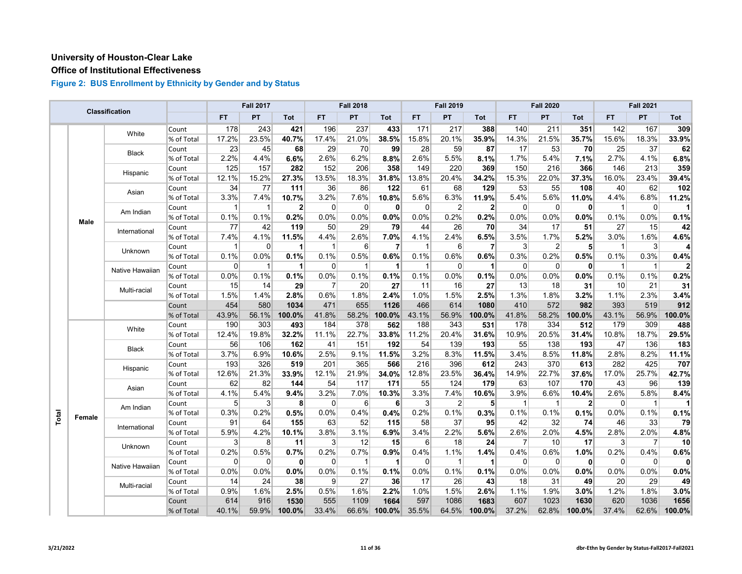## **Office of Institutional Effectiveness**

|       |        | <b>Classification</b> |            |              | <b>Fall 2017</b> |              |                | <b>Fall 2018</b> |                |             | <b>Fall 2019</b> |                      |                | <b>Fall 2020</b> |                |              | <b>Fall 2021</b> |          |
|-------|--------|-----------------------|------------|--------------|------------------|--------------|----------------|------------------|----------------|-------------|------------------|----------------------|----------------|------------------|----------------|--------------|------------------|----------|
|       |        |                       |            | <b>FT</b>    | PT               | <b>Tot</b>   | FT.            | PT               | Tot            | <b>FT</b>   | PT               | Tot                  | <b>FT</b>      | PT               | Tot            | FT.          | PT               | Tot      |
|       |        | White                 | Count      | 178          | 243              | 421          | 196            | 237              | 433            | 171         | 217              | 388                  | 140            | 211              | 351            | 142          | 167              | 309      |
|       |        |                       | % of Total | 17.2%        | 23.5%            | 40.7%        | 17.4%          | 21.0%            | 38.5%          | 15.8%       | 20.1%            | 35.9%                | 14.3%          | 21.5%            | 35.7%          | 15.6%        | 18.3%            | 33.9%    |
|       |        | <b>Black</b>          | Count      | 23           | 45               | 68           | 29             | 70               | 99             | 28          | 59               | 87                   | 17             | 53               | 70             | 25           | 37               | 62       |
|       |        |                       | % of Total | 2.2%         | 4.4%             | 6.6%         | 2.6%           | 6.2%             | 8.8%           | 2.6%        | 5.5%             | 8.1%                 | 1.7%           | 5.4%             | 7.1%           | 2.7%         | 4.1%             | 6.8%     |
|       |        | Hispanic              | Count      | 125          | 157              | 282          | 152            | 206              | 358            | 149         | 220              | 369                  | 150            | 216              | 366            | 146          | 213              | 359      |
|       |        |                       | % of Total | 12.1%        | 15.2%            | 27.3%        | 13.5%          | 18.3%            | 31.8%          | 13.8%       | 20.4%            | 34.2%                | 15.3%          | 22.0%            | 37.3%          | 16.0%        | 23.4%            | 39.4%    |
|       |        | Asian                 | Count      | 34           | 77               | 111          | 36             | 86               | 122            | 61          | 68               | 129                  | 53             | 55               | 108            | 40           | 62               | 102      |
|       |        |                       | % of Total | 3.3%         | 7.4%             | 10.7%        | 3.2%           | 7.6%             | 10.8%          | 5.6%        | 6.3%             | 11.9%                | 5.4%           | 5.6%             | 11.0%          | 4.4%         | 6.8%             | 11.2%    |
|       |        | Am Indian             | Count      | $\mathbf{1}$ | 1                | $\mathbf{2}$ | 0              | $\mathbf 0$      | 0              | $\Omega$    | $\overline{2}$   | $\mathbf{2}$         | $\mathbf 0$    | 0                | $\mathbf{0}$   | $\mathbf 1$  | 0                |          |
|       | Male   |                       | % of Total | 0.1%         | 0.1%             | 0.2%         | 0.0%           | 0.0%             | 0.0%           | 0.0%        | 0.2%             | 0.2%                 | 0.0%           | 0.0%             | 0.0%           | 0.1%         | 0.0%             | 0.1%     |
|       |        | International         | Count      | 77           | 42               | 119          | 50             | 29               | 79             | 44          | 26               | 70                   | 34             | 17               | 51             | 27           | 15               | 42       |
|       |        |                       | % of Total | 7.4%         | 4.1%             | 11.5%        | 4.4%           | 2.6%             | 7.0%           | 4.1%        | 2.4%             | 6.5%                 | 3.5%           | 1.7%             | 5.2%           | 3.0%         | 1.6%             | 4.6%     |
|       |        | Unknown               | Count      | 1            | $\Omega$         | 1            | $\mathbf{1}$   | 6                | $\overline{7}$ | $\mathbf 1$ | 6                | $\overline{7}$       | 3              | $\overline{2}$   | 5              | $\mathbf 1$  | $\mathbf{3}$     |          |
|       |        |                       | % of Total | 0.1%         | 0.0%             | 0.1%         | 0.1%           | 0.5%             | 0.6%           | 0.1%        | 0.6%             | 0.6%                 | 0.3%           | 0.2%             | 0.5%           | 0.1%         | 0.3%             | 0.4%     |
|       |        | Native Hawaiian       | Count      | $\Omega$     | $\mathbf 1$      | 1            | $\Omega$       | $\overline{1}$   | 1              | 1           | $\Omega$         | $\mathbf 1$          | $\Omega$       | $\Omega$         | $\mathbf{0}$   | $\mathbf{1}$ | $\mathbf{1}$     | 2        |
|       |        |                       | % of Total | 0.0%         | 0.1%             | 0.1%         | 0.0%           | 0.1%             | 0.1%           | 0.1%        | 0.0%             | 0.1%                 | 0.0%           | 0.0%             | 0.0%           | 0.1%         | 0.1%             | 0.2%     |
|       |        | Multi-racial          | Count      | 15           | 14               | 29           | $\overline{7}$ | 20               | 27             | 11          | 16               | 27                   | 13             | 18               | 31             | 10           | 21               | 31       |
|       |        |                       | % of Total | 1.5%         | 1.4%             | 2.8%         | 0.6%           | 1.8%             | 2.4%           | 1.0%        | 1.5%             | 2.5%                 | 1.3%           | 1.8%             | 3.2%           | 1.1%         | 2.3%             | 3.4%     |
|       |        |                       | Count      | 454          | 580              | 1034         | 471            | 655              | 1126           | 466         | 614              | 1080                 | 410            | 572              | 982            | 393          | 519              | 912      |
|       |        |                       | % of Total | 43.9%        | 56.1%            | 100.0%       | 41.8%          | 58.2%            | 100.0%         | 43.1%       | 56.9%            | 100.0%               | 41.8%          | 58.2%            | 100.0%         | 43.1%        | 56.9%            | 100.0%   |
|       |        | White                 | Count      | 190          | 303              | 493          | 184            | 378              | 562            | 188         | 343              | 531                  | 178            | 334              | 512            | 179          | 309              | 488      |
|       |        |                       | % of Total | 12.4%        | 19.8%            | 32.2%        | 11.1%          | 22.7%            | 33.8%          | 11.2%       | 20.4%            | 31.6%                | 10.9%          | 20.5%            | 31.4%          | 10.8%        | 18.7%            | 29.5%    |
|       |        | <b>Black</b>          | Count      | 56           | 106              | 162          | 41             | 151              | 192            | 54          | 139              | 193                  | 55             | 138              | 193            | 47           | 136              | 183      |
|       |        |                       | % of Total | 3.7%         | 6.9%             | 10.6%        | 2.5%           | 9.1%             | 11.5%          | 3.2%        | 8.3%             | 11.5%                | 3.4%           | 8.5%             | 11.8%          | 2.8%         | 8.2%             | 11.1%    |
|       |        | Hispanic              | Count      | 193          | 326              | 519          | 201            | 365              | 566            | 216         | 396              | 612                  | 243            | 370              | 613            | 282          | 425              | 707      |
|       |        |                       | % of Total | 12.6%        | 21.3%            | 33.9%        | 12.1%          | 21.9%            | 34.0%          | 12.8%       | 23.5%            | 36.4%                | 14.9%          | 22.7%            | 37.6%          | 17.0%        | 25.7%            | 42.7%    |
|       |        | Asian                 | Count      | 62           | 82               | 144          | 54             | 117              | 171            | 55          | 124              | 179                  | 63             | 107              | 170            | 43           | 96               | 139      |
|       |        |                       | % of Total | 4.1%         | 5.4%             | 9.4%         | 3.2%           | 7.0%             | 10.3%          | 3.3%        | 7.4%             | 10.6%                | 3.9%           | 6.6%             | 10.4%          | 2.6%         | 5.8%             | 8.4%     |
|       |        | Am Indian             | Count      | 5            | 3                | 8            | $\Omega$       | 6                | 6              | 3           | $\overline{2}$   | 5                    | $\overline{1}$ | $\mathbf{1}$     | $\overline{2}$ | $\mathbf 0$  | $\mathbf{1}$     |          |
| Total | Female |                       | % of Total | 0.3%         | 0.2%             | 0.5%         | 0.0%           | 0.4%             | 0.4%           | 0.2%        | 0.1%             | 0.3%                 | 0.1%           | 0.1%             | 0.1%           | 0.0%         | 0.1%             | 0.1%     |
|       |        | International         | Count      | 91           | 64               | 155          | 63             | 52               | 115            | 58          | 37               | 95                   | 42             | 32               | 74             | 46           | 33               | 79       |
|       |        |                       | % of Total | 5.9%         | 4.2%             | 10.1%        | 3.8%           | 3.1%             | 6.9%           | 3.4%        | 2.2%             | 5.6%                 | 2.6%           | 2.0%             | 4.5%           | 2.8%         | 2.0%             | 4.8%     |
|       |        | Unknown               | Count      | 3            | 8                | 11           | 3              | 12               | 15             | 6           | 18               | 24                   | $\overline{7}$ | 10               | 17             | 3            | $\overline{7}$   | 10       |
|       |        |                       | % of Total | 0.2%         | 0.5%             | 0.7%         | 0.2%           | 0.7%             | 0.9%           | 0.4%        | 1.1%             | 1.4%                 | 0.4%           | 0.6%             | 1.0%           | 0.2%         | 0.4%             | 0.6%     |
|       |        | Native Hawaiian       | Count      | $\mathbf 0$  | $\mathbf 0$      | $\mathbf{0}$ | 0              | $\overline{1}$   | 1              | $\Omega$    | $\mathbf{1}$     | $\blacktriangleleft$ | $\overline{0}$ | 0                | $\mathbf{0}$   | $\mathbf 0$  | $\overline{0}$   | $\Omega$ |
|       |        |                       | % of Total | $0.0\%$      | $0.0\%$          | 0.0%         | 0.0%           | 0.1%             | 0.1%           | 0.0%        | 0.1%             | 0.1%                 | 0.0%           | 0.0%             | 0.0%           | 0.0%         | 0.0%             | 0.0%     |
|       |        | Multi-racial          | Count      | 14           | 24               | 38           | 9              | 27               | 36             | 17          | 26               | 43                   | 18             | 31               | 49             | 20           | 29               | 49       |
|       |        |                       | % of Total | 0.9%         | 1.6%             | 2.5%         | 0.5%           | 1.6%             | 2.2%           | 1.0%        | 1.5%             | 2.6%                 | 1.1%           | 1.9%             | 3.0%           | 1.2%         | 1.8%             | 3.0%     |
|       |        |                       | Count      | 614          | 916              | 1530         | 555            | 1109             | 1664           | 597         | 1086             | 1683                 | 607            | 1023             | 1630           | 620          | 1036             | 1656     |
|       |        |                       | % of Total | 40.1%        | 59.9%            | 100.0%       | 33.4%          | 66.6%            | 100.0%         | 35.5%       | 64.5%            | 100.0%               | 37.2%          | 62.8%            | 100.0%         | 37.4%        | 62.6%            | 100.0%   |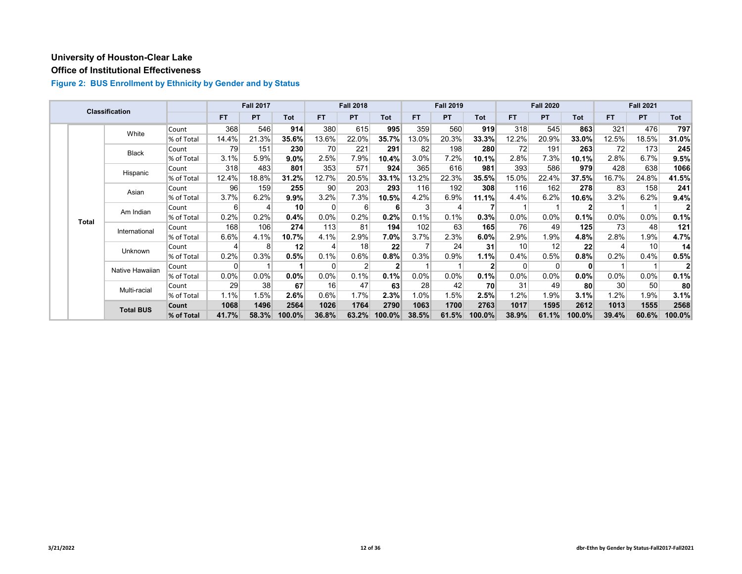## **Office of Institutional Effectiveness**

|  |              | <b>Classification</b> |            |           | <b>Fall 2017</b> |                 |         | <b>Fall 2018</b> |            |       | <b>Fall 2019</b> |        |           | <b>Fall 2020</b> |            |       | <b>Fall 2021</b> |        |
|--|--------------|-----------------------|------------|-----------|------------------|-----------------|---------|------------------|------------|-------|------------------|--------|-----------|------------------|------------|-------|------------------|--------|
|  |              |                       |            | <b>FT</b> | <b>PT</b>        | <b>Tot</b>      | FT.     | <b>PT</b>        | <b>Tot</b> | FT.   | <b>PT</b>        | Tot    | <b>FT</b> | <b>PT</b>        | <b>Tot</b> | FT.   | PT               | Tot    |
|  |              | White                 | Count      | 368       | 546              | 914             | 380     | 615              | 995        | 359   | 560              | 919    | 318       | 545              | 863        | 321   | 476              | 797    |
|  |              |                       | % of Total | 14.4%     | 21.3%            | 35.6%           | 13.6%   | 22.0%            | 35.7%      | 13.0% | 20.3%            | 33.3%  | 12.2%     | 20.9%            | 33.0%      | 12.5% | 18.5%            | 31.0%  |
|  |              | <b>Black</b>          | Count      | 79        | 151              | 230             | 70      | 221              | 291        | 82    | 198              | 280    | 72        | 191              | 263        | 72    | 173              | 245    |
|  |              |                       | % of Total | 3.1%      | 5.9%             | 9.0%            | 2.5%    | 7.9%             | 10.4%      | 3.0%  | 7.2%             | 10.1%  | 2.8%      | 7.3%             | 10.1%      | 2.8%  | 6.7%             | 9.5%   |
|  |              | Hispanic              | Count      | 318       | 483              | 801             | 353     | 571              | 924        | 365   | 616              | 981    | 393       | 586              | 979        | 428   | 638              | 1066   |
|  |              |                       | % of Total | 12.4%     | 18.8%            | 31.2%           | 12.7%   | 20.5%            | 33.1%      | 13.2% | 22.3%            | 35.5%  | 15.0%     | 22.4%            | 37.5%      | 16.7% | 24.8%            | 41.5%  |
|  |              | Asian                 | Count      | 96        | 159              | 255             | 90      | 203              | 293        | 116   | 192              | 308    | 116       | 162              | 278        | 83    | 158              | 241    |
|  | <b>Total</b> |                       | % of Total | 3.7%      | 6.2%             | 9.9%            | 3.2%    | 7.3%             | 10.5%      | 4.2%  | 6.9%             | 11.1%  | 4.4%      | 6.2%             | 10.6%      | 3.2%  | 6.2%             | 9.4%   |
|  |              | Am Indian             | Count      | 6         |                  | 10 <sup>1</sup> | 0       | 6                | 6          |       | 4                |        |           |                  | 2          |       |                  |        |
|  |              |                       | % of Total | 0.2%      | 0.2%             | 0.4%            | $0.0\%$ | 0.2%             | 0.2%       | 0.1%  | 0.1%             | 0.3%   | 0.0%      | 0.0%             | 0.1%       | 0.0%  | $0.0\%$          | 0.1%   |
|  |              | International         | Count      | 168       | 106              | 274             | 113     | 81               | 194        | 102   | 63               | 165    | 76        | 49               | 125        | 73    | 48               | 121    |
|  |              |                       | % of Total | 6.6%      | 4.1%             | 10.7%           | 4.1%    | 2.9%             | 7.0%       | 3.7%  | 2.3%             | 6.0%   | 2.9%      | 1.9%             | 4.8%       | 2.8%  | 1.9%             | 4.7%   |
|  |              | Unknown               | Count      |           | 8                | 12              | Δ       | 18               | 22         |       | 24               | 31     | 10        | 12               | 22         |       | 10 <sup>1</sup>  | 14     |
|  |              |                       | % of Total | 0.2%      | 0.3%             | 0.5%            | 0.1%    | 0.6%             | 0.8%       | 0.3%  | 0.9%             | 1.1%   | 0.4%      | 0.5%             | 0.8%       | 0.2%  | 0.4%             | 0.5%   |
|  |              | Native Hawaiian       | Count      | $\Omega$  |                  |                 | 0       | 2                | 2          |       |                  |        | $\Omega$  | $\Omega$         | ŋ          |       |                  |        |
|  |              |                       | % of Total | 0.0%      | $0.0\%$          | 0.0%            | 0.0%    | 0.1%             | 0.1%       | 0.0%  | $0.0\%$          | 0.1%   | 0.0%      | $0.0\%$          | 0.0%       | 0.0%  | $0.0\%$          | 0.1%   |
|  |              | Multi-racial          | Count      | 29        | 38               | 67              | 16      | 47               | 63         | 28    | 42               | 70     | 31        | 49               | 80         | 30    | 50 <sub>1</sub>  | 80     |
|  |              |                       | % of Total | 1.1%      | 1.5%             | 2.6%            | 0.6%    | 1.7%             | 2.3%       | 1.0%  | 1.5%             | 2.5%   | 1.2%      | 1.9%             | 3.1%       | 1.2%  | 1.9%             | 3.1%   |
|  |              | <b>Total BUS</b>      | Count      | 1068      | 1496             | 2564            | 1026    | 1764             | 2790       | 1063  | 1700             | 2763   | 1017      | 1595             | 2612       | 1013  | 1555             | 2568   |
|  |              |                       | % of Total | 41.7%     | 58.3%            | 100.0%          | 36.8%   | 63.2%            | $100.0\%$  | 38.5% | 61.5%            | 100.0% | 38.9%     | 61.1%            | 100.0%     | 39.4% | 60.6%            | 100.0% |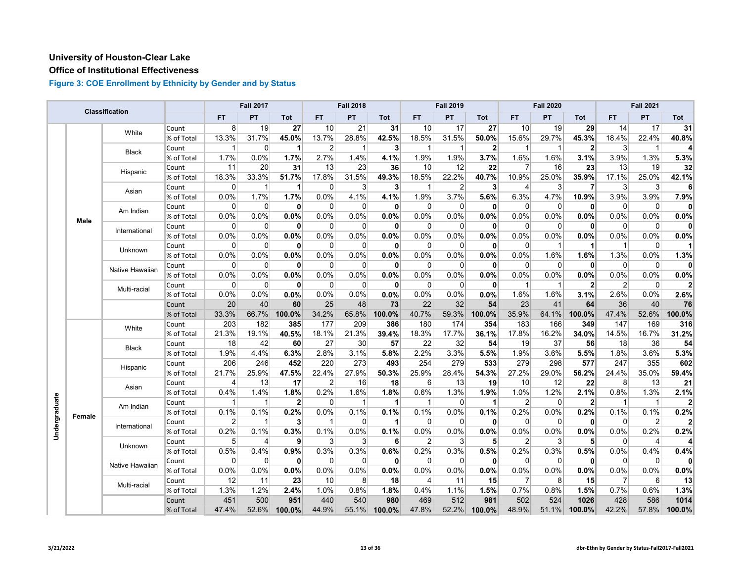## **Office of Institutional Effectiveness**

|               |        | Classification  |            |                | <b>Fall 2017</b> |              |                 | <b>Fall 2018</b> |              |                         | <b>Fall 2019</b> |              |                | <b>Fall 2020</b> |              |                | <b>Fall 2021</b> |        |
|---------------|--------|-----------------|------------|----------------|------------------|--------------|-----------------|------------------|--------------|-------------------------|------------------|--------------|----------------|------------------|--------------|----------------|------------------|--------|
|               |        |                 |            | <b>FT</b>      | PT               | Tot          | FT.             | PT               | Tot          | FT                      | PT               | Tot          | <b>FT</b>      | PT               | Tot          | FT             | PT               | Tot    |
|               |        | White           | Count      | 8 <sup>1</sup> | 19               | 27           | 10              | 21               | 31           | 10                      | 17               | 27           | 10             | 19               | 29           | 14             | 17               | 31     |
|               |        |                 | % of Total | 13.3%          | 31.7%            | 45.0%        | 13.7%           | 28.8%            | 42.5%        | 18.5%                   | 31.5%            | 50.0%        | 15.6%          | 29.7%            | 45.3%        | 18.4%          | 22.4%            | 40.8%  |
|               |        | <b>Black</b>    | Count      |                | $\Omega$         | 1            | $\overline{2}$  | $\overline{1}$   | 3            | $\overline{\mathbf{1}}$ | -1               | $\mathbf{2}$ | -1             | 1                | $\mathbf{2}$ | 3              | $\mathbf 1$      |        |
|               |        |                 | % of Total | 1.7%           | 0.0%             | 1.7%         | 2.7%            | 1.4%             | 4.1%         | 1.9%                    | 1.9%             | 3.7%         | 1.6%           | 1.6%             | 3.1%         | 3.9%           | 1.3%             | 5.3%   |
|               |        | Hispanic        | Count      | 11             | 20               | 31           | 13              | 23               | 36           | 10                      | 12               | 22           | 7              | 16               | 23           | 13             | 19               | 32     |
|               |        |                 | % of Total | 18.3%          | 33.3%            | 51.7%        | 17.8%           | 31.5%            | 49.3%        | 18.5%                   | 22.2%            | 40.7%        | 10.9%          | 25.0%            | 35.9%        | 17.1%          | 25.0%            | 42.1%  |
|               |        | Asian           | Count      | $\Omega$       | -1               | 1            | $\Omega$        | 3                | 3            | -1                      | $\overline{2}$   | 3            | 4              | 3                | 7            | 3              | 3                | Е      |
|               |        |                 | % of Total | 0.0%           | 1.7%             | 1.7%         | 0.0%            | 4.1%             | 4.1%         | 1.9%                    | 3.7%             | 5.6%         | 6.3%           | 4.7%             | 10.9%        | 3.9%           | 3.9%             | 7.9%   |
|               |        | Am Indian       | Count      | 0              | 0                | $\mathbf{0}$ | 0               | 0                | $\mathbf{0}$ | $\overline{0}$          | 0                | $\mathbf{0}$ | 0              | 0                | 0            | $\overline{0}$ | 0                | n      |
|               | Male   |                 | % of Total | 0.0%           | 0.0%             | 0.0%         | 0.0%            | 0.0%             | 0.0%         | 0.0%                    | 0.0%             | 0.0%         | 0.0%           | 0.0%             | 0.0%         | 0.0%           | 0.0%             | 0.0%   |
|               |        | International   | Count      | 0              | 0                | 0            | $\overline{0}$  | 0                | $\mathbf{0}$ | $\overline{0}$          | 0                | $\mathbf{0}$ | 0              | 0                | $\mathbf{0}$ | $\overline{0}$ | 0                | 0      |
|               |        |                 | % of Total | 0.0%           | 0.0%             | 0.0%         | 0.0%            | 0.0%             | 0.0%         | 0.0%                    | 0.0%             | 0.0%         | 0.0%           | 0.0%             | 0.0%         | 0.0%           | 0.0%             | 0.0%   |
|               |        | Unknown         | Count      | 0              | 0                | $\mathbf{0}$ | $\overline{0}$  | 0                | $\mathbf{0}$ | $\overline{0}$          | $\Omega$         | 0            | 0              | 1                | 1            | $\mathbf{1}$   | 0                |        |
|               |        |                 | % of Total | 0.0%           | 0.0%             | 0.0%         | 0.0%            | 0.0%             | 0.0%         | 0.0%                    | 0.0%             | 0.0%         | 0.0%           | 1.6%             | 1.6%         | 1.3%           | 0.0%             | 1.3%   |
|               |        | Native Hawaiian | Count      | 0              | 0                | $\mathbf{0}$ | $\overline{0}$  | 0                | 0            | $\overline{0}$          | $\Omega$         | 0            | $\Omega$       | 0                | 0            | $\mathbf 0$    | 0                | 0      |
|               |        |                 | % of Total | 0.0%           | 0.0%             | 0.0%         | 0.0%            | 0.0%             | 0.0%         | $0.0\%$                 | 0.0%             | 0.0%         | 0.0%           | 0.0%             | 0.0%         | 0.0%           | 0.0%             | 0.0%   |
|               |        | Multi-racial    | Count      | $\Omega$       | $\mathbf 0$      | $\mathbf{0}$ | $\overline{0}$  | 0                | $\mathbf{0}$ | $\overline{0}$          | $\Omega$         | 0            | 1              | $\mathbf 1$      | $\mathbf{2}$ | $\overline{2}$ | 0                |        |
|               |        |                 | % of Total | 0.0%           | 0.0%             | 0.0%         | 0.0%            | 0.0%             | 0.0%         | 0.0%                    | 0.0%             | 0.0%         | 1.6%           | 1.6%             | 3.1%         | 2.6%           | 0.0%             | 2.6%   |
|               |        |                 | Count      | 20             | 40               | 60           | 25              | 48               | 73           | 22                      | 32               | 54           | 23             | 41               | 64           | 36             | 40               | 76     |
|               |        |                 | % of Total | 33.3%          | 66.7%            | 100.0%       | 34.2%           | 65.8%            | 100.0%       | 40.7%                   | 59.3%            | 100.0%       | 35.9%          | 64.1%            | 100.0%       | 47.4%          | 52.6%            | 100.0% |
|               |        | White           | Count      | 203            | 182              | 385          | 177             | 209              | 386          | 180                     | 174              | 354          | 183            | 166              | 349          | 147            | 169              | 316    |
|               |        |                 | % of Total | 21.3%          | 19.1%            | 40.5%        | 18.1%           | 21.3%            | 39.4%        | 18.3%                   | 17.7%            | 36.1%        | 17.8%          | 16.2%            | 34.0%        | 14.5%          | 16.7%            | 31.2%  |
|               |        | <b>Black</b>    | Count      | 18             | 42               | 60           | 27              | 30               | 57           | 22                      | 32               | 54           | 19             | 37               | 56           | 18             | 36               | 54     |
|               |        |                 | % of Total | 1.9%           | 4.4%             | 6.3%         | 2.8%            | 3.1%             | 5.8%         | 2.2%                    | 3.3%             | 5.5%         | 1.9%           | 3.6%             | 5.5%         | 1.8%           | 3.6%             | 5.3%   |
|               |        | Hispanic        | Count      | 206            | 246              | 452          | 220             | 273              | 493          | 254                     | 279              | 533          | 279            | 298              | 577          | 247            | 355              | 602    |
|               |        |                 | % of Total | 21.7%          | 25.9%            | 47.5%        | 22.4%           | 27.9%            | 50.3%        | 25.9%                   | 28.4%            | 54.3%        | 27.2%          | 29.0%            | 56.2%        | 24.4%          | 35.0%            | 59.4%  |
|               |        | Asian           | Count      | 4              | 13               | 17           | $\overline{2}$  | 16               | 18           | $6 \mid$                | 13               | 19           | 10             | 12               | 22           | 8              | 13               | 21     |
|               |        |                 | % of Total | 0.4%           | 1.4%             | 1.8%         | 0.2%            | 1.6%             | 1.8%         | 0.6%                    | 1.3%             | 1.9%         | 1.0%           | 1.2%             | 2.1%         | 0.8%           | 1.3%             | 2.1%   |
| Undergraduate |        | Am Indian       | Count      | 1              | 1                | $\mathbf{2}$ | $\overline{0}$  | $\mathbf{1}$     | 1            | $\mathbf{1}$            | 0                | 1            | 2              | 0                | $\mathbf{2}$ | $\overline{1}$ | $\mathbf{1}$     |        |
|               | Female |                 | % of Total | 0.1%           | 0.1%             | 0.2%         | 0.0%            | 0.1%             | 0.1%         | 0.1%                    | 0.0%             | 0.1%         | 0.2%           | 0.0%             | 0.2%         | 0.1%           | 0.1%             | 0.2%   |
|               |        | International   | Count      | 2              | -1               | $\mathbf{3}$ | $\mathbf{1}$    | 0                | $\mathbf 1$  | $\overline{0}$          | 0                | 0            | 0              | 0                | 0            | $\mathbf 0$    | $\overline{2}$   |        |
|               |        |                 | % of Total | 0.2%           | 0.1%             | 0.3%         | 0.1%            | 0.0%             | 0.1%         | 0.0%                    | 0.0%             | 0.0%         | 0.0%           | 0.0%             | 0.0%         | 0.0%           | 0.2%             | 0.2%   |
|               |        | Unknown         | Count      | 5              | 4                | 9            | $\mathbf{3}$    | 3                | 6            | $\overline{2}$          | 3                | 5            | $\overline{2}$ | 3                | 5            | 0              | 4                |        |
|               |        |                 | % of Total | 0.5%           | 0.4%             | 0.9%         | 0.3%            | 0.3%             | 0.6%         | 0.2%                    | 0.3%             | 0.5%         | 0.2%           | 0.3%             | 0.5%         | 0.0%           | 0.4%             | 0.4%   |
|               |        | Native Hawaiian | Count      | $\mathbf 0$    | $\mathbf 0$      | $\mathbf{0}$ | 0               | 0                | 0            | $\overline{0}$          | $\overline{0}$   | 0            | 0              | $\mathbf 0$      | 0            | $\overline{0}$ | 0                |        |
|               |        |                 | % of Total | 0.0%           | 0.0%             | 0.0%         | 0.0%            | 0.0%             | 0.0%         | 0.0%                    | 0.0%             | 0.0%         | 0.0%           | 0.0%             | 0.0%         | 0.0%           | 0.0%             | 0.0%   |
|               |        | Multi-racial    | Count      | 12             | 11               | 23           | 10 <sup>1</sup> | 8                | 18           | 4                       | 11               | 15           | $\overline{7}$ | 8                | 15           | $\overline{7}$ | 6                | 13     |
|               |        |                 | % of Total | 1.3%           | 1.2%             | 2.4%         | 1.0%            | 0.8%             | 1.8%         | 0.4%                    | 1.1%             | 1.5%         | 0.7%           | 0.8%             | 1.5%         | 0.7%           | 0.6%             | 1.3%   |
|               |        |                 | Count      | 451            | 500              | 951          | 440             | 540              | 980          | 469                     | 512              | 981          | 502            | 524              | 1026         | 428            | 586              | 1014   |
|               |        |                 | % of Total | 47.4%          | 52.6%            | 100.0%       | 44.9%           | 55.1%            | 100.0%       | 47.8%                   | 52.2%            | 100.0%       | 48.9%          | 51.1%            | 100.0%       | 42.2%          | 57.8%            | 100.0% |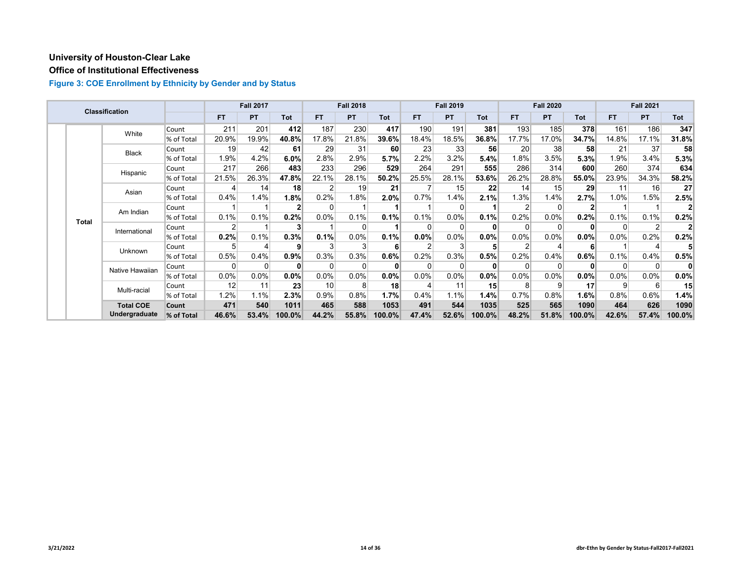## **Office of Institutional Effectiveness**

|  |              | <b>Classification</b> |            |           | <b>Fall 2017</b> |              |                 | <b>Fall 2018</b> |        |       | <b>Fall 2019</b> |            |         | <b>Fall 2020</b> |              |          | <b>Fall 2021</b> |        |
|--|--------------|-----------------------|------------|-----------|------------------|--------------|-----------------|------------------|--------|-------|------------------|------------|---------|------------------|--------------|----------|------------------|--------|
|  |              |                       |            | <b>FT</b> | <b>PT</b>        | Tot          | <b>FT</b>       | <b>PT</b>        | Tot    | FT.   | <b>PT</b>        | <b>Tot</b> | FT.     | <b>PT</b>        | <b>Tot</b>   | FT.      | <b>PT</b>        | Tot    |
|  |              | White                 | Count      | 211       | 201              | 412          | 187             | 230              | 417    | 190   | 191              | 381        | 193     | 185              | 378          | 161      | 186              | 347    |
|  |              |                       | % of Total | 20.9%     | 19.9%            | 40.8%        | 17.8%           | 21.8%            | 39.6%  | 18.4% | 18.5%            | 36.8%      | 17.7%   | 17.0%            | 34.7%        | 14.8%    | 17.1%            | 31.8%  |
|  |              | <b>Black</b>          | Count      | 19        | 42               | 61           | 29              | 31               | 60     | 23    | 33               | 56         | 20      | 38               | 58           | 21       | 37               | 58     |
|  |              |                       | % of Total | 1.9%      | 4.2%             | 6.0%         | 2.8%            | 2.9%             | 5.7%   | 2.2%  | 3.2%             | 5.4%       | 1.8%    | 3.5%             | 5.3%         | 1.9%     | 3.4%             | 5.3%   |
|  |              | Hispanic              | Count      | 217       | 266              | 483          | 233             | 296              | 529    | 264   | 291              | 555        | 286     | 314              | 600          | 260      | 374              | 634    |
|  |              |                       | % of Total | 21.5%     | 26.3%            | 47.8%        | 22.1%           | 28.1%            | 50.2%  | 25.5% | 28.1%            | 53.6%      | 26.2%   | 28.8%            | 55.0%        | 23.9%    | 34.3%            | 58.2%  |
|  | Asian        | Count                 |            | 14        | 18               |              | 19              | 21               |        | 15    | 22               | 14         | 15      | 29               | 11           | 16       | 27               |        |
|  |              |                       | % of Total | 0.4%      | 1.4%             | 1.8%         | 0.2%            | 1.8%             | 2.0%   | 0.7%  | 1.4%             | 2.1%       | 1.3%    | 1.4%             | 2.7%         | 1.0%     | 1.5%             | 2.5%   |
|  | <b>Total</b> | Am Indian             | Count      |           |                  | $\mathbf{2}$ | $\Omega$        |                  |        |       |                  |            |         | $\Omega$         | $\mathbf{2}$ |          |                  |        |
|  |              |                       | % of Total | 0.1%      | 0.1%             | 0.2%         | 0.0%            | 0.1%             | 0.1%   | 0.1%  | $0.0\%$          | 0.1%       | 0.2%    | 0.0%             | 0.2%         | 0.1%     | 0.1%             | 0.2%   |
|  |              | International         | Count      | 2         |                  | 3            |                 | $\Omega$         |        |       |                  |            |         | $\Omega$         | $\mathbf{0}$ | $\Omega$ | $\overline{2}$   |        |
|  |              |                       | % of Total | 0.2%      | 0.1%             | 0.3%         | 0.1%            | 0.0%             | 0.1%   | 0.0%  | 0.0%             | 0.0%       | $0.0\%$ | $0.0\%$          | $0.0\%$      | 0.0%     | 0.2%             | 0.2%   |
|  |              | Unknown               | Count      |           |                  | 9            |                 | 3                |        |       |                  |            |         |                  | 6            |          | 4                |        |
|  |              |                       | % of Total | 0.5%      | 0.4%             | 0.9%         | 0.3%            | 0.3%             | 0.6%   | 0.2%  | 0.3%             | 0.5%       | 0.2%    | 0.4%             | 0.6%         | 0.1%     | 0.4%             | 0.5%   |
|  |              | Native Hawaiian       | Count      | 0         | 0                | $\bf{0}$     | $\Omega$        | 0                |        |       |                  | 0          |         | $\Omega$         | $\bf{0}$     | $\Omega$ | 0                | 0      |
|  |              |                       | % of Total | 0.0%      | 0.0%             | $0.0\%$      | $0.0\%$         | 0.0%             | 0.0%   | 0.0%  | 0.0%             | 0.0%       | 0.0%    | $0.0\%$          | $0.0\%$      | $0.0\%$  | 0.0%             | 0.0%   |
|  |              | Multi-racial          | Count      | 12        | 11               | 23           | 10 <sup>1</sup> | 8                | 18     |       | 11               | 15         | 8       | 9                | 17           | 9        | 6                | 15     |
|  |              |                       | % of Total | 1.2%      | 1.1%             | 2.3%         | 0.9%            | 0.8%             | 1.7%   | 0.4%  | 1.1%             | 1.4%       | 0.7%    | 0.8%             | 1.6%         | 0.8%     | 0.6%             | 1.4%   |
|  |              | <b>Total COE</b>      | Count      | 471       | 540              | 1011         | 465             | 588              | 1053   | 491   | 544              | 1035       | 525     | 565              | 1090         | 464      | 626              | 1090   |
|  |              | Undergraduate         | % of Total | 46.6%     | 53.4%            | 100.0%       | 44.2%           | 55.8%            | 100.0% | 47.4% | 52.6%            | 100.0%     | 48.2%   | 51.8%            | 100.0%       | 42.6%    | 57.4%            | 100.0% |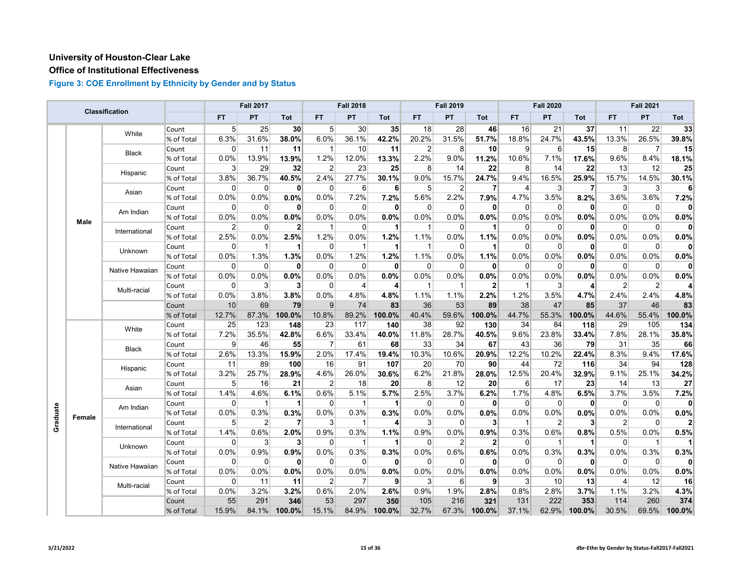#### **Office of Institutional Effectiveness**

|          |             | Classification  |            |                | <b>Fall 2017</b> |                      |                 | <b>Fall 2018</b> |                      |                | <b>Fall 2019</b> |                |              | <b>Fall 2020</b> |              |                | <b>Fall 2021</b> |        |
|----------|-------------|-----------------|------------|----------------|------------------|----------------------|-----------------|------------------|----------------------|----------------|------------------|----------------|--------------|------------------|--------------|----------------|------------------|--------|
|          |             |                 |            | <b>FT</b>      | PT               | Tot                  | <b>FT</b>       | PT               | Tot                  | <b>FT</b>      | PT               | Tot            | <b>FT</b>    | PT               | <b>Tot</b>   | <b>FT</b>      | PT               | Tot    |
|          |             | White           | Count      | 5 <sup>1</sup> | 25               | 30 <sub>l</sub>      | 5 <sup>1</sup>  | 30               | 35                   | 18             | 28               | 46             | 16           | 21               | 37           | 11             | 22               | 33     |
|          |             |                 | % of Total | 6.3%           | 31.6%            | 38.0%                | 6.0%            | 36.1%            | 42.2%                | 20.2%          | 31.5%            | 51.7%          | 18.8%        | 24.7%            | 43.5%        | 13.3%          | 26.5%            | 39.8%  |
|          |             | Black           | Count      | 0              | 11               | 11                   | $\mathbf 1$     | 10               | 11                   | $\overline{2}$ | 8                | 10             | 9            | 6                | 15           | 8              | 7                | 15     |
|          |             |                 | % of Total | 0.0%           | 13.9%            | 13.9%                | 1.2%            | 12.0%            | 13.3%                | 2.2%           | 9.0%             | 11.2%          | 10.6%        | 7.1%             | 17.6%        | 9.6%           | 8.4%             | 18.1%  |
|          |             | Hispanic        | Count      | 3              | 29               | 32                   | $\overline{2}$  | 23               | 25                   | 8 <sup>1</sup> | 14               | 22             | 8            | 14               | 22           | 13             | 12               | 25     |
|          |             |                 | % of Total | 3.8%           | 36.7%            | 40.5%                | 2.4%            | 27.7%            | 30.1%                | 9.0%           | 15.7%            | 24.7%          | 9.4%         | 16.5%            | 25.9%        | 15.7%          | 14.5%            | 30.1%  |
|          |             | Asian           | Count      | $\Omega$       | $\Omega$         | $\mathbf{0}$         | $\Omega$        | 6                | 6                    | 5 <sup>5</sup> | 2                | 7              | 4            | 3                | 7            | 3              | 3                | 6      |
|          |             |                 | % of Total | 0.0%           | 0.0%             | 0.0%                 | 0.0%            | 7.2%             | 7.2%                 | 5.6%           | 2.2%             | 7.9%           | 4.7%         | 3.5%             | 8.2%         | 3.6%           | 3.6%             | 7.2%   |
|          |             | Am Indian       | Count      | 0              | 0                | $\mathbf{0}$         | $\overline{0}$  | 0                | $\mathbf{0}$         | $\overline{0}$ | $\Omega$         | 0              | $\Omega$     | 0                | 0            | $\overline{0}$ | 0                |        |
|          | <b>Male</b> |                 | % of Total | 0.0%           | 0.0%             | 0.0%                 | 0.0%            | 0.0%             | 0.0%                 | 0.0%           | 0.0%             | 0.0%           | 0.0%         | 0.0%             | $0.0\%$      | 0.0%           | 0.0%             | 0.0%   |
|          |             | International   | Count      | $\overline{2}$ | $\mathbf{0}$     | $\overline{2}$       | $\mathbf{1}$    | $\mathbf 0$      | $\blacktriangleleft$ | $\mathbf{1}$   | $\Omega$         | 1              | $\Omega$     | $\mathbf{0}$     | $\mathbf{0}$ | $\Omega$       | 0                | O      |
|          |             |                 | % of Total | 2.5%           | 0.0%             | 2.5%                 | 1.2%            | 0.0%             | 1.2%                 | 1.1%           | 0.0%             | 1.1%           | 0.0%         | 0.0%             | 0.0%         | 0.0%           | 0.0%             | 0.0%   |
|          |             | Unknown         | Count      | 0              | -1               | 1                    | $\Omega$        | $\overline{1}$   | $\mathbf 1$          | $\mathbf 1$    | $\Omega$         | 1              | $\Omega$     | 0                | 0            | $\Omega$       | $\Omega$         | 0      |
|          |             |                 | % of Total | 0.0%           | 1.3%             | 1.3%                 | 0.0%            | 1.2%             | 1.2%                 | 1.1%           | 0.0%             | 1.1%           | 0.0%         | 0.0%             | 0.0%         | 0.0%           | 0.0%             | 0.0%   |
|          |             | Native Hawaiian | Count      | $\Omega$       | $\mathbf 0$      | $\mathbf{0}$         | $\overline{0}$  | $\mathbf 0$      | $\mathbf{0}$         | 0              | 0                | $\mathbf{0}$   | $\Omega$     | $\Omega$         | 0            | $\overline{0}$ | $\mathbf 0$      | 0      |
|          |             |                 | % of Total | 0.0%           | 0.0%             | $0.0\%$              | 0.0%            | 0.0%             | $0.0\%$              | 0.0%           | 0.0%             | 0.0%           | 0.0%         | 0.0%             | $0.0\%$      | 0.0%           | 0.0%             | 0.0%   |
|          |             | Multi-racial    | Count      | $\Omega$       | 3                | 3                    | $\Omega$        | 4                | 4                    | -1             | -1               | $\overline{2}$ | -1           | 3                | 4            | $\overline{2}$ | $\overline{2}$   |        |
|          |             |                 | % of Total | 0.0%           | 3.8%             | 3.8%                 | 0.0%            | 4.8%             | 4.8%                 | 1.1%           | 1.1%             | 2.2%           | 1.2%         | 3.5%             | 4.7%         | 2.4%           | 2.4%             | 4.8%   |
|          |             |                 | Count      | 10             | 69               | 79                   | $\vert 9 \vert$ | 74               | 83                   | 36             | 53               | 89             | 38           | 47               | 85           | 37             | 46               | 83     |
|          |             |                 | % of Total | 12.7%          | 87.3%            | 100.0%               | 10.8%           | 89.2%            | 100.0%               | 40.4%          | 59.6%            | 100.0%         | 44.7%        | 55.3%            | 100.0%       | 44.6%          | 55.4%            | 100.0% |
|          |             | White           | Count      | 25             | 123              | 148                  | 23              | 117              | 140                  | 38             | 92               | 130            | 34           | 84               | 118          | 29             | 105              | 134    |
|          |             |                 | % of Total | 7.2%           | 35.5%            | 42.8%                | 6.6%            | 33.4%            | 40.0%                | 11.8%          | 28.7%            | 40.5%          | 9.6%         | 23.8%            | 33.4%        | 7.8%           | 28.1%            | 35.8%  |
|          |             | <b>Black</b>    | Count      | 9              | 46               | 55                   | $\overline{7}$  | 61               | 68                   | 33             | 34               | 67             | 43           | 36               | 79           | 31             | 35               | 66     |
|          |             |                 | % of Total | 2.6%           | 13.3%            | 15.9%                | 2.0%            | 17.4%            | 19.4%                | 10.3%          | 10.6%            | 20.9%          | 12.2%        | 10.2%            | 22.4%        | 8.3%           | 9.4%             | 17.6%  |
|          |             | Hispanic        | Count      | 11             | 89               | 100                  | 16              | 91               | 107                  | 20             | 70               | 90             | 44           | 72               | 116          | 34             | 94               | 128    |
|          |             |                 | % of Total | 3.2%           | 25.7%            | 28.9%                | 4.6%            | 26.0%            | 30.6%                | 6.2%           | 21.8%            | 28.0%          | 12.5%        | 20.4%            | 32.9%        | 9.1%           | 25.1%            | 34.2%  |
|          |             | Asian           | Count      | 5 <sup>5</sup> | 16               | 21                   | $\overline{2}$  | 18               | 20 <sub>l</sub>      | 8              | 12               | 20             | 6            | 17               | 23           | 14             | 13               | 27     |
|          |             |                 | % of Total | 1.4%           | 4.6%             | 6.1%                 | 0.6%            | 5.1%             | 5.7%                 | 2.5%           | 3.7%             | 6.2%           | 1.7%         | 4.8%             | 6.5%         | 3.7%           | 3.5%             | 7.2%   |
|          |             | Am Indian       | Count      | $\Omega$       | -1               | $\blacktriangleleft$ | $\overline{0}$  | $\mathbf{1}$     | $\mathbf{1}$         | $\Omega$       | 0                | 0              | $\Omega$     | $\Omega$         | 0            | $\mathbf 0$    | $\mathbf 0$      | 0      |
| Graduate | Female      |                 | % of Total | 0.0%           | 0.3%             | 0.3%                 | 0.0%            | 0.3%             | 0.3%                 | 0.0%           | 0.0%             | 0.0%           | 0.0%         | 0.0%             | 0.0%         | 0.0%           | 0.0%             | 0.0%   |
|          |             | International   | Count      | 5              | $\overline{2}$   | $\overline{7}$       | $\mathbf{3}$    | $\mathbf{1}$     | $\vert$              | 3              | 0                | 3              | $\mathbf{1}$ | 2                | 3            | $\overline{2}$ | 0                |        |
|          |             |                 | % of Total | 1.4%           | 0.6%             | 2.0%                 | 0.9%            | 0.3%             | 1.1%                 | 0.9%           | 0.0%             | 0.9%           | 0.3%         | 0.6%             | 0.8%         | 0.5%           | 0.0%             | 0.5%   |
|          |             | Unknown         | Count      | $\Omega$       | 3                | $\mathbf{3}$         | $\overline{0}$  | $\mathbf{1}$     | $\mathbf 1$          | $\Omega$       | $2^{\circ}$      | $\overline{2}$ | $\Omega$     | 1                | 1            | 0              | $\mathbf{1}$     |        |
|          |             |                 | % of Total | 0.0%           | 0.9%             | 0.9%                 | 0.0%            | 0.3%             | 0.3%                 | 0.0%           | 0.6%             | 0.6%           | 0.0%         | 0.3%             | 0.3%         | 0.0%           | 0.3%             | 0.3%   |
|          |             | Native Hawaiian | Count      | $\Omega$       | $\Omega$         | $\mathbf{0}$         | 0               | $\mathbf 0$      | $\mathbf{0}$         | $\Omega$       | $\Omega$         | 0              | $\Omega$     | $\Omega$         | $\mathbf{0}$ | $\overline{0}$ | $\mathbf 0$      |        |
|          |             |                 | % of Total | 0.0%           | 0.0%             | 0.0%                 | 0.0%            | 0.0%             | 0.0%                 | 0.0%           | 0.0%             | 0.0%           | 0.0%         | 0.0%             | 0.0%         | 0.0%           | 0.0%             | 0.0%   |
|          |             | Multi-racial    | Count      | 0              | 11               | 11                   | $\overline{2}$  | 7                | 9                    | $\mathbf{3}$   | 6                | 9              | 3            | 10               | 13           | $\overline{4}$ | 12               | 16     |
|          |             |                 | % of Total | 0.0%           | 3.2%             | 3.2%                 | 0.6%            | 2.0%             | 2.6%                 | 0.9%           | 1.9%             | 2.8%           | 0.8%         | 2.8%             | 3.7%         | 1.1%           | 3.2%             | 4.3%   |
|          |             |                 | Count      | 55             | 291              | 346                  | 53              | 297              | 350                  | 105            | 216              | 321            | 131          | 222              | 353          | 114            | 260              | 374    |
|          |             |                 | % of Total | 15.9%          | 84.1%            | $100.0\%$            | 15.1%           | 84.9%            | 100.0%               | 32.7%          | 67.3%            | 100.0%         | 37.1%        | 62.9%            | 100.0%       | 30.5%          | 69.5%            | 100.0% |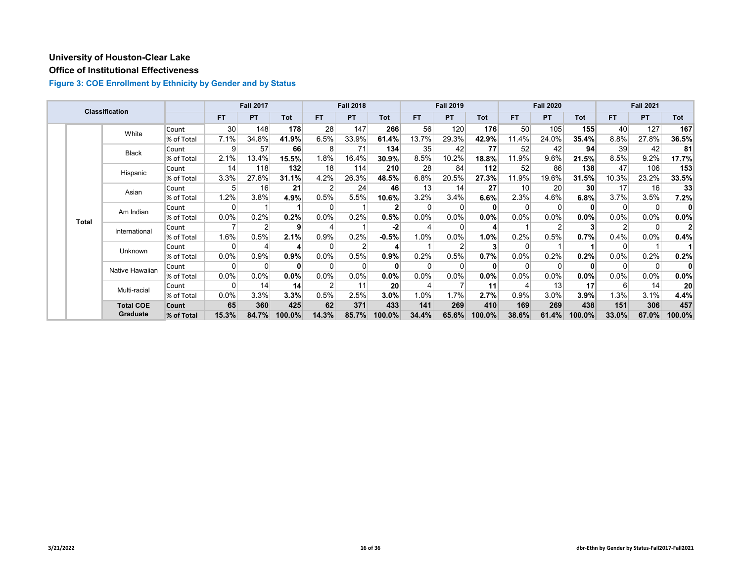## **Office of Institutional Effectiveness**

|  |              | <b>Classification</b> |            |                 | <b>Fall 2017</b> |                 |                | <b>Fall 2018</b> |              |          | <b>Fall 2019</b> |            |                 | <b>Fall 2020</b> |                 |         | <b>Fall 2021</b> |                 |
|--|--------------|-----------------------|------------|-----------------|------------------|-----------------|----------------|------------------|--------------|----------|------------------|------------|-----------------|------------------|-----------------|---------|------------------|-----------------|
|  |              |                       |            | FT.             | <b>PT</b>        | Tot             | <b>FT</b>      | <b>PT</b>        | Tot          | FT.      | <b>PT</b>        | <b>Tot</b> | FT.             | <b>PT</b>        | <b>Tot</b>      | FT.     | <b>PT</b>        | Tot             |
|  |              | White                 | Count      | 30 <sup>1</sup> | 148              | 178             | 28             | 147              | 266          | 56       | 120              | 176        | 50 <sub>1</sub> | 105              | 155             | 40      | 127              | 167             |
|  |              |                       | % of Total | 7.1%            | 34.8%            | 41.9%           | 6.5%           | 33.9%            | 61.4%        | 13.7%    | 29.3%            | 42.9%      | 11.4%           | 24.0%            | 35.4%           | 8.8%    | 27.8%            | 36.5%           |
|  |              | <b>Black</b>          | Count      | 9               | 57               | 66              | 8              | 71               | 134          | 35       | 42               | 77         | 52              | 42               | 94              | 39      | 42               | 81              |
|  |              |                       | % of Total | 2.1%            | 13.4%            | 15.5%           | 1.8%           | 16.4%            | 30.9%        | 8.5%     | 10.2%            | 18.8%      | 11.9%           | 9.6%             | 21.5%           | 8.5%    | 9.2%             | 17.7%           |
|  |              | Hispanic              | Count      | 14              | 118              | 132             | 18             | 114              | 210          | 28       | 84               | $112$      | 52              | 86               | 138             | 47      | 106              | 153             |
|  |              |                       | % of Total | 3.3%            | 27.8%            | 31.1%           | 4.2%           | 26.3%            | 48.5%        | 6.8%     | 20.5%            | 27.3%      | 11.9%           | 19.6%            | 31.5%           | 10.3%   | 23.2%            | 33.5%           |
|  |              | Asian                 | Count      | 5               | 16               | 21              |                | 24               | 46           | 13       | 14               | 27         | 10 <sup>1</sup> | 20 <sup>1</sup>  | 30 <sup>2</sup> | 17      | 16               | 33              |
|  |              |                       | % of Total | 1.2%            | 3.8%             | 4.9%            | 0.5%           | 5.5%             | 10.6%        | 3.2%     | 3.4%             | 6.6%       | 2.3%            | 4.6%             | 6.8%            | 3.7%    | 3.5%             | 7.2%            |
|  | <b>Total</b> | Am Indian             | Count      | 0               |                  |                 | $\Omega$       |                  |              | $\Omega$ |                  |            |                 | 0                | 0               | 0       | $\Omega$         | 0               |
|  |              |                       | % of Total | $0.0\%$         | 0.2%             | 0.2%            | 0.0%           | 0.2%             | 0.5%         | 0.0%     | 0.0%             | $0.0\%$    | 0.0%            | $0.0\%$          | 0.0%            | $0.0\%$ | 0.0%             | $0.0\%$         |
|  |              | International         | Count      |                 |                  | 9               |                |                  | -2           |          |                  |            |                 |                  | 3               | 2       | 0                |                 |
|  |              |                       | % of Total | 1.6%            | 0.5%             | 2.1%            | 0.9%           | 0.2%             | $-0.5%$      | 1.0%     | 0.0%             | 1.0%       | 0.2%            | 0.5%             | 0.7%            | 0.4%    | $0.0\%$          | 0.4%            |
|  |              | Unknown               | Count      | 0               |                  | 4               |                | 2                |              |          |                  |            |                 |                  |                 | 0       |                  |                 |
|  |              |                       | % of Total | 0.0%            | 0.9%             | 0.9%            | 0.0%           | 0.5%             | 0.9%         | 0.2%     | 0.5%             | 0.7%       | 0.0%            | 0.2%             | 0.2%            | 0.0%    | 0.2%             | 0.2%            |
|  |              | Native Hawaiian       | Count      | 0               | 0                | $\bf{0}$        | $\Omega$       | 0                | $\mathbf{0}$ | $\Omega$ |                  | $\bf{0}$   |                 | $\Omega$         | $\mathbf{0}$    | 0       | $\Omega$         | 0               |
|  |              |                       | % of Total | $0.0\%$         | $0.0\%$          | 0.0%            | $0.0\%$        | 0.0%             | 0.0%         | $0.0\%$  | 0.0%             | 0.0%       | 0.0%            | $0.0\%$          | 0.0%            | 0.0%    | $0.0\%$          | $0.0\%$         |
|  |              | Multi-racial          | Count      | 0               | 14               | 14 <sup>1</sup> | $\overline{2}$ | 11               | 20           | 4        |                  | 11         |                 | 13               | 17              | 6       | 14               | 20 <sup>1</sup> |
|  |              |                       | % of Total | 0.0%            | 3.3%             | 3.3%            | 0.5%           | 2.5%             | 3.0%         | 1.0%     | 1.7%             | 2.7%       | 0.9%            | 3.0%             | 3.9%            | 1.3%    | 3.1%             | 4.4%            |
|  |              | <b>Total COE</b>      | Count      | 65              | 360              | 425             | 62             | 371              | 433          | 141      | 269              | 410        | 169             | 269              | 438             | 151     | 306              | 457             |
|  |              | Graduate              | % of Total | 15.3%           | 84.7%            | 100.0%          | 14.3%          | 85.7%            | 100.0%       | 34.4%    | 65.6%            | 100.0%     | 38.6%           | 61.4%            | 100.0%          | 33.0%   | 67.0%            | 100.0%          |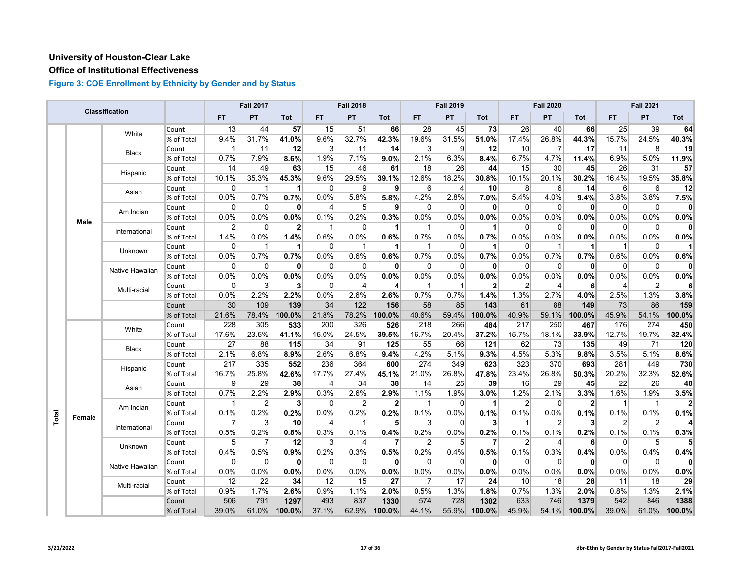## **Office of Institutional Effectiveness**

|       |        | <b>Classification</b> |            |                | <b>Fall 2017</b> |                      |                | <b>Fall 2018</b> |                |                | <b>Fall 2019</b>         |                |                | <b>Fall 2020</b> |                |                | <b>Fall 2021</b>        |        |
|-------|--------|-----------------------|------------|----------------|------------------|----------------------|----------------|------------------|----------------|----------------|--------------------------|----------------|----------------|------------------|----------------|----------------|-------------------------|--------|
|       |        |                       |            | <b>FT</b>      | PT               | Tot                  | FT.            | PT               | Tot            | FT             | PT                       | Tot            | <b>FT</b>      | PT               | Tot            | FT             | PT                      | Tot    |
|       |        | White                 | Count      | 13             | 44               | 57                   | 15             | 51               | 66             | 28             | 45                       | 73             | 26             | 40               | 66             | 25             | 39                      | 64     |
|       |        |                       | % of Total | 9.4%           | 31.7%            | 41.0%                | 9.6%           | 32.7%            | 42.3%          | 19.6%          | 31.5%                    | 51.0%          | 17.4%          | 26.8%            | 44.3%          | 15.7%          | 24.5%                   | 40.3%  |
|       |        | <b>Black</b>          | Count      | $\mathbf{1}$   | 11               | 12                   | $\mathbf{3}$   | 11               | 14             | $\mathbf{3}$   | 9                        | 12             | 10             | $\overline{7}$   | 17             | 11             | 8                       | 19     |
|       |        |                       | % of Total | 0.7%           | 7.9%             | 8.6%                 | 1.9%           | 7.1%             | 9.0%           | 2.1%           | 6.3%                     | 8.4%           | 6.7%           | 4.7%             | 11.4%          | 6.9%           | 5.0%                    | 11.9%  |
|       |        | Hispanic              | Count      | 14             | 49               | 63                   | 15             | 46               | 61             | 18             | 26                       | 44             | 15             | 30               | 45             | 26             | 31                      | 57     |
|       |        |                       | % of Total | 10.1%          | 35.3%            | 45.3%                | 9.6%           | 29.5%            | 39.1%          | 12.6%          | 18.2%                    | 30.8%          | 10.1%          | 20.1%            | 30.2%          | 16.4%          | 19.5%                   | 35.8%  |
|       |        | Asian                 | Count      | $\Omega$       | -1               | $\blacktriangleleft$ | $\Omega$       | 9                | 9              | $6 \mid$       | $\overline{\mathcal{A}}$ | 10             | 8              | 6                | 14             | 6              | 6                       | 12     |
|       |        |                       | % of Total | 0.0%           | 0.7%             | 0.7%                 | 0.0%           | 5.8%             | 5.8%           | 4.2%           | 2.8%                     | 7.0%           | 5.4%           | 4.0%             | 9.4%           | 3.8%           | 3.8%                    | 7.5%   |
|       |        | Am Indian             | Count      | 0              | 0                | $\mathbf{0}$         | $\overline{4}$ | 5 <sup>5</sup>   | 9              | $\overline{0}$ | $\Omega$                 | 0              | 0              | 0                | $\mathbf{0}$   | $\overline{0}$ | 0                       | n      |
|       | Male   |                       | % of Total | 0.0%           | 0.0%             | 0.0%                 | 0.1%           | 0.2%             | 0.3%           | 0.0%           | 0.0%                     | 0.0%           | 0.0%           | 0.0%             | 0.0%           | $0.0\%$        | 0.0%                    | 0.0%   |
|       |        | International         | Count      | $\overline{2}$ | $\mathbf{0}$     | $\mathbf{2}$         | $\mathbf{1}$   | $\mathbf 0$      | 1              | $\mathbf{1}$   | $\Omega$                 | 1              | $\Omega$       | $\mathbf{0}$     | $\mathbf{0}$   | $\Omega$       | 0                       | 0      |
|       |        |                       | % of Total | 1.4%           | 0.0%             | 1.4%                 | 0.6%           | 0.0%             | 0.6%           | 0.7%           | 0.0%                     | 0.7%           | 0.0%           | 0.0%             | 0.0%           | 0.0%           | 0.0%                    | 0.0%   |
|       |        | Unknown               | Count      | 0              | -1               | 1                    | $\overline{0}$ | $\mathbf{1}$     | $\mathbf 1$    | $\mathbf 1$    | 0                        | 1              | 0              | 1                | 1              | $\mathbf{1}$   | 0                       |        |
|       |        |                       | % of Total | 0.0%           | 0.7%             | 0.7%                 | 0.0%           | 0.6%             | 0.6%           | 0.7%           | 0.0%                     | 0.7%           | 0.0%           | 0.7%             | 0.7%           | 0.6%           | 0.0%                    | 0.6%   |
|       |        | Native Hawaiian       | Count      | $\mathbf 0$    | $\mathbf 0$      | $\mathbf{0}$         | $\overline{0}$ | $\mathbf 0$      | $\mathbf{0}$   | $\overline{0}$ | $\Omega$                 | 0              | $\mathbf 0$    | 0                | 0              | $\overline{0}$ | 0                       | 0      |
|       |        |                       | % of Total | 0.0%           | 0.0%             | 0.0%                 | 0.0%           | 0.0%             | 0.0%           | $0.0\%$        | 0.0%                     | 0.0%           | 0.0%           | 0.0%             | 0.0%           | 0.0%           | 0.0%                    | 0.0%   |
|       |        | Multi-racial          | Count      | $\Omega$       | 3                | 3 <sup>1</sup>       | $\overline{0}$ | 4                | $\overline{4}$ | -1             |                          | $\overline{2}$ | $\overline{2}$ | 4                | 6              | $\overline{4}$ | 2                       |        |
|       |        |                       | % of Total | 0.0%           | 2.2%             | 2.2%                 | 0.0%           | 2.6%             | 2.6%           | 0.7%           | 0.7%                     | 1.4%           | 1.3%           | 2.7%             | 4.0%           | 2.5%           | 1.3%                    | 3.8%   |
|       |        |                       | Count      | 30             | 109              | 139                  | 34             | 122              | 156            | 58             | 85                       | 143            | 61             | 88               | 149            | 73             | 86                      | 159    |
|       |        |                       | % of Total | 21.6%          | 78.4%            | 100.0%               | 21.8%          | 78.2%            | 100.0%         | 40.6%          | 59.4%                    | 100.0%         | 40.9%          | 59.1%            | 100.0%         | 45.9%          | 54.1%                   | 100.0% |
|       |        | White                 | Count      | 228            | 305              | 533                  | 200            | 326              | 526            | 218            | 266                      | 484            | 217            | 250              | 467            | 176            | 274                     | 450    |
|       |        |                       | % of Total | 17.6%          | 23.5%            | 41.1%                | 15.0%          | 24.5%            | 39.5%          | 16.7%          | 20.4%                    | 37.2%          | 15.7%          | 18.1%            | 33.9%          | 12.7%          | 19.7%                   | 32.4%  |
|       |        | <b>Black</b>          | Count      | 27             | 88               | 115                  | 34             | 91               | 125            | 55             | 66                       | 121            | 62             | 73               | 135            | 49             | 71                      | 120    |
|       |        |                       | % of Total | 2.1%           | 6.8%             | 8.9%                 | 2.6%           | 6.8%             | 9.4%           | 4.2%           | 5.1%                     | 9.3%           | 4.5%           | 5.3%             | 9.8%           | 3.5%           | 5.1%                    | 8.6%   |
|       |        | Hispanic              | Count      | 217            | 335              | 552                  | 236            | 364              | 600            | 274            | 349                      | 623            | 323            | 370              | 693            | 281            | 449                     | 730    |
|       |        |                       | % of Total | 16.7%          | 25.8%            | 42.6%                | 17.7%          | 27.4%            | 45.1%          | 21.0%          | 26.8%                    | 47.8%          | 23.4%          | 26.8%            | 50.3%          | 20.2%          | 32.3%                   | 52.6%  |
|       |        | Asian                 | Count      | 9              | 29               | 38                   | $\overline{4}$ | 34               | 38             | 14             | 25                       | 39             | 16             | 29               | 45             | 22             | 26                      | 48     |
|       |        |                       | % of Total | 0.7%           | 2.2%             | 2.9%                 | 0.3%           | 2.6%             | 2.9%           | 1.1%           | 1.9%                     | 3.0%           | 1.2%           | 2.1%             | 3.3%           | 1.6%           | 1.9%                    | 3.5%   |
|       |        | Am Indian             | Count      | 1              | $\overline{2}$   | 3 <sup>1</sup>       | $\Omega$       | $\overline{2}$   | $\overline{2}$ | $\mathbf{1}$   | $\Omega$                 | 1              | $\overline{2}$ | $\Omega$         | $\overline{2}$ | $\overline{1}$ | $\overline{1}$          |        |
| Total | Female |                       | % of Total | 0.1%           | 0.2%             | 0.2%                 | 0.0%           | 0.2%             | 0.2%           | 0.1%           | 0.0%                     | 0.1%           | 0.1%           | 0.0%             | 0.1%           | 0.1%           | 0.1%                    | 0.1%   |
|       |        | International         | Count      | 7              | 3                | 10                   | 4              | $\mathbf{1}$     | 5              | 3              | 0                        | 3              | 1              | 2                | 3              | $\overline{2}$ | $\overline{\mathbf{c}}$ |        |
|       |        |                       | % of Total | 0.5%           | 0.2%             | 0.8%                 | 0.3%           | 0.1%             | 0.4%           | 0.2%           | 0.0%                     | 0.2%           | 0.1%           | 0.1%             | 0.2%           | 0.1%           | $0.1\%$                 | 0.3%   |
|       |        | Unknown               | Count      | 5              | 7                | 12                   | $\mathbf{3}$   | 4                | $\overline{7}$ | 2              | 5                        | 7              | $\overline{2}$ | 4                | 6              | $\Omega$       | 5                       |        |
|       |        |                       | % of Total | 0.4%           | 0.5%             | 0.9%                 | 0.2%           | 0.3%             | 0.5%           | 0.2%           | 0.4%                     | 0.5%           | 0.1%           | 0.3%             | 0.4%           | 0.0%           | 0.4%                    | 0.4%   |
|       |        | Native Hawaiian       | Count      | $\mathbf 0$    | $\mathbf 0$      | $\mathbf{0}$         | $\overline{0}$ | $\mathbf 0$      | $\mathbf{0}$   | $\Omega$       | $\Omega$                 | $\mathbf{0}$   | $\Omega$       | $\mathbf{0}$     | $\mathbf{0}$   | $\overline{0}$ | $\mathbf 0$             |        |
|       |        |                       | % of Total | 0.0%           | 0.0%             | 0.0%                 | 0.0%           | 0.0%             | 0.0%           | 0.0%           | 0.0%                     | 0.0%           | 0.0%           | 0.0%             | 0.0%           | 0.0%           | 0.0%                    | 0.0%   |
|       |        | Multi-racial          | Count      | 12             | 22               | 34                   | 12             | 15               | 27             | 7              | 17                       | 24             | 10             | 18               | 28             | 11             | 18                      | 29     |
|       |        |                       | % of Total | 0.9%           | 1.7%             | 2.6%                 | 0.9%           | 1.1%             | 2.0%           | 0.5%           | 1.3%                     | 1.8%           | 0.7%           | 1.3%             | 2.0%           | 0.8%           | 1.3%                    | 2.1%   |
|       |        |                       | Count      | 506            | 791              | 1297                 | 493            | 837              | 1330           | 574            | 728                      | 1302           | 633            | 746              | 1379           | 542            | 846                     | 1388   |
|       |        |                       | % of Total | 39.0%          | 61.0%            | 100.0%               | 37.1%          | 62.9%            | 100.0%         | 44.1%          | 55.9%                    | 100.0%         | 45.9%          | 54.1%            | 100.0%         | 39.0%          | 61.0%                   | 100.0% |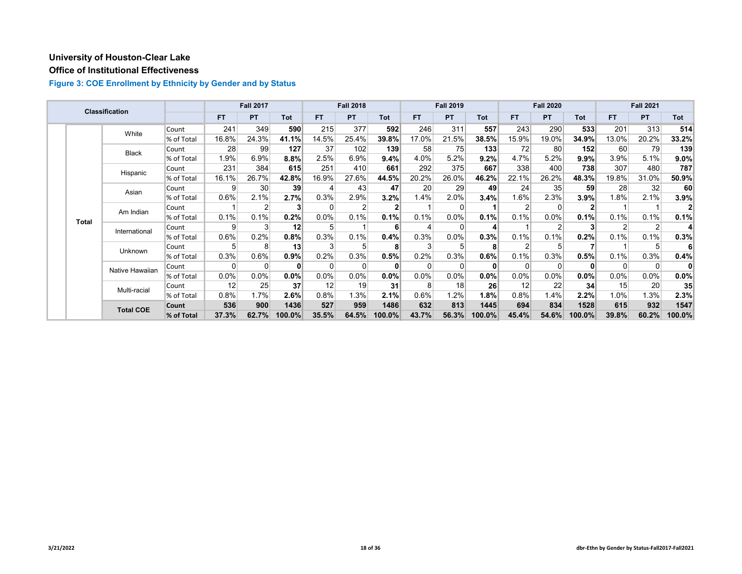## **Office of Institutional Effectiveness**

|  |                                    | Classification   |            |         | <b>Fall 2017</b> |          |           | <b>Fall 2018</b> |        |          | <b>Fall 2019</b> |              |                | <b>Fall 2020</b> |              |          | <b>Fall 2021</b> |         |
|--|------------------------------------|------------------|------------|---------|------------------|----------|-----------|------------------|--------|----------|------------------|--------------|----------------|------------------|--------------|----------|------------------|---------|
|  |                                    |                  |            | FT.     | <b>PT</b>        | Tot      | <b>FT</b> | <b>PT</b>        | Tot    | FT.      | <b>PT</b>        | <b>Tot</b>   | FT.            | <b>PT</b>        | Tot          | FT.      | <b>PT</b>        | Tot     |
|  |                                    | White            | Count      | 241     | 349              | 590      | 215       | 377              | 592    | 246      | 311              | 557          | 243            | 290              | 533          | 201      | 313              | 514     |
|  |                                    |                  | % of Total | 16.8%   | 24.3%            | 41.1%    | 14.5%     | 25.4%            | 39.8%  | 17.0%    | 21.5%            | 38.5%        | 15.9%          | 19.0%            | 34.9%        | 13.0%    | 20.2%            | 33.2%   |
|  |                                    | <b>Black</b>     | Count      | 28      | 99               | 127      | 37        | 102              | 139    | 58       | 75               | 133          | 72             | 80               | 152          | 60       | 79               | 139     |
|  |                                    |                  | % of Total | $1.9\%$ | 6.9%             | $8.8\%$  | 2.5%      | 6.9%             | 9.4%   | 4.0%     | 5.2%             | 9.2%         | 4.7%           | 5.2%             | 9.9%         | 3.9%     | 5.1%             | $9.0\%$ |
|  |                                    | Hispanic         | Count      | 231     | 384              | 615      | 251       | 410              | 661    | 292      | 375              | 667          | 338            | 400              | 738          | 307      | 480              | 787     |
|  |                                    |                  | % of Total | 16.1%   | 26.7%            | 42.8%    | 16.9%     | 27.6%            | 44.5%  | 20.2%    | 26.0%            | 46.2%        | 22.1%          | 26.2%            | 48.3%        | 19.8%    | 31.0%            | 50.9%   |
|  | Asian<br>Am Indian<br><b>Total</b> | Count            | 9          | 30      | 39               | 4        | 43        | 47               | 20     | 29       | 49               | 24           | 35             | 59               | 28           | 32       | 60               |         |
|  |                                    | % of Total       | 0.6%       | 2.1%    | 2.7%             | 0.3%     | 2.9%      | 3.2%             | 1.4%   | 2.0%     | 3.4%             | $1.6\%$      | 2.3%           | 3.9%             | 1.8%         | 2.1%     | 3.9%             |         |
|  |                                    |                  | Count      |         | 2                | 3        | $\Omega$  | 2                |        |          |                  |              | 2 <sub>1</sub> | $\Omega$         | $\mathbf{2}$ |          |                  |         |
|  |                                    |                  | % of Total | 0.1%    | 0.1%             | 0.2%     | $0.0\%$   | 0.1%             | 0.1%   | 0.1%     | 0.0%             | 0.1%         | 0.1%           | $0.0\%$          | 0.1%         | 0.1%     | 0.1%             | 0.1%    |
|  |                                    | International    | Count      | 9       | p                | 12       | 5         |                  |        | 4        |                  |              |                | 2                |              | 2        | $\overline{2}$   |         |
|  |                                    |                  | % of Total | 0.6%    | 0.2%             | 0.8%     | 0.3%      | 0.1%             | 0.4%   | 0.3%     | 0.0%             | 0.3%         | 0.1%           | 0.1%             | 0.2%         | 0.1%     | 0.1%             | 0.3%    |
|  |                                    | Unknown          | Count      | 5       | 8                | 13       |           | 5                |        | 3        |                  | 8            |                | 5                |              |          | 5                |         |
|  |                                    |                  | % of Total | 0.3%    | 0.6%             | $0.9\%$  | 0.2%      | 0.3%             | 0.5%   | 0.2%     | 0.3%             | 0.6%         | 0.1%           | 0.3%             | 0.5%         | 0.1%     | 0.3%             | 0.4%    |
|  |                                    | Native Hawaiian  | Count      | 0       | 0                | $\bf{0}$ | $\Omega$  | 0                | 0      | $\Omega$ |                  | $\mathbf{0}$ |                | $\Omega$         | $\mathbf{0}$ | $\Omega$ | $\Omega$         | 0       |
|  |                                    |                  | % of Total | $0.0\%$ | 0.0%             | 0.0%     | 0.0%      | 0.0%             | 0.0%   | 0.0%     | 0.0%             | 0.0%         | 0.0%           | $0.0\%$          | 0.0%         | 0.0%     | $0.0\%$          | $0.0\%$ |
|  |                                    | Multi-racial     | Count      | 12      | 25               | 37       | 12        | 19               | 31     | 8        | 18               | 26           | 12             | 22               | 34           | 15       | 20               | 35      |
|  |                                    |                  | % of Total | 0.8%    | 1.7%             | 2.6%     | 0.8%      | 1.3%             | 2.1%   | 0.6%     | 1.2%             | 1.8%         | 0.8%           | 1.4%             | 2.2%         | 1.0%     | 1.3%             | $2.3\%$ |
|  |                                    | <b>Total COE</b> | Count      | 536     | 900              | 1436     | 527       | 959              | 1486   | 632      | 813              | 1445         | 694            | 834              | 1528         | 615      | 932              | 1547    |
|  |                                    |                  | % of Total | 37.3%   | 62.7%            | 100.0%   | 35.5%     | 64.5%            | 100.0% | 43.7%    | 56.3%            | 100.0%       | 45.4%          | 54.6%            | 100.0%       | 39.8%    | 60.2%            | 100.0%  |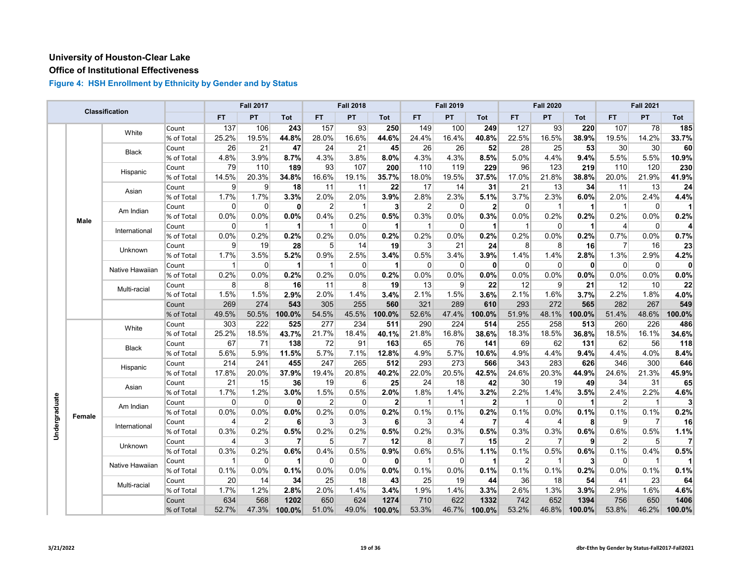## **Office of Institutional Effectiveness**

|               |        | Classification  |            |              | <b>Fall 2017</b> |              |                | <b>Fall 2018</b> |                 |              | <b>Fall 2019</b> |                |                | <b>Fall 2020</b> |                      |                | <b>Fall 2021</b> |              |
|---------------|--------|-----------------|------------|--------------|------------------|--------------|----------------|------------------|-----------------|--------------|------------------|----------------|----------------|------------------|----------------------|----------------|------------------|--------------|
|               |        |                 |            | <b>FT</b>    | PT               | Tot          | <b>FT</b>      | PT               | <b>Tot</b>      | FT           | PT               | Tot            | <b>FT</b>      | PT               | <b>Tot</b>           | FT.            | <b>PT</b>        | Tot          |
|               |        | White           | Count      | 137          | 106              | 243          | 157            | 93               | 250             | 149          | 100              | 249            | 127            | 93               | 220                  | 107            | 78               | 185          |
|               |        |                 | % of Total | 25.2%        | 19.5%            | 44.8%        | 28.0%          | 16.6%            | 44.6%           | 24.4%        | 16.4%            | 40.8%          | 22.5%          | 16.5%            | 38.9%                | 19.5%          | 14.2%            | 33.7%        |
|               |        | <b>Black</b>    | Count      | 26           | 21               | 47           | 24             | 21               | 45              | 26           | 26               | 52             | 28             | 25               | 53                   | 30             | 30               | 60           |
|               |        |                 | % of Total | 4.8%         | 3.9%             | 8.7%         | 4.3%           | 3.8%             | 8.0%            | 4.3%         | 4.3%             | 8.5%           | 5.0%           | 4.4%             | 9.4%                 | 5.5%           | 5.5%             | 10.9%        |
|               |        | Hispanic        | Count      | 79           | 110              | 189          | 93             | 107              | 200             | 110          | 119              | 229            | 96             | 123              | 219                  | 110            | 120              | 230          |
|               |        |                 | % of Total | 14.5%        | 20.3%            | 34.8%        | 16.6%          | 19.1%            | 35.7%           | 18.0%        | 19.5%            | 37.5%          | 17.0%          | 21.8%            | 38.8%                | 20.0%          | 21.9%            | 41.9%        |
|               |        | Asian           | Count      | 9            | 9                | 18           | 11             | 11               | 22              | 17           | 14               | 31             | 21             | 13               | 34                   | 11             | 13               | 24           |
|               |        |                 | % of Total | 1.7%         | 1.7%             | 3.3%         | 2.0%           | 2.0%             | 3.9%            | 2.8%         | 2.3%             | 5.1%           | 3.7%           | 2.3%             | 6.0%                 | 2.0%           | 2.4%             | 4.4%         |
|               |        | Am Indian       | Count      | 0            | 0                | $\mathbf{0}$ | 2              | $\overline{1}$   | $\vert$ 3       | 2            | $\Omega$         | $\overline{2}$ | $\Omega$       | $\mathbf{1}$     | $\overline{1}$       | $\mathbf{1}$   | $\overline{0}$   | 11           |
|               | Male   |                 | % of Total | 0.0%         | 0.0%             | 0.0%         | 0.4%           | 0.2%             | 0.5%            | 0.3%         | 0.0%             | 0.3%           | 0.0%           | 0.2%             | 0.2%                 | 0.2%           | 0.0%             | 0.2%         |
|               |        | International   | Count      | 0            | $\mathbf{1}$     | 1            | $\mathbf{1}$   | $\overline{0}$   | $\mathbf{1}$    | $\mathbf{1}$ | $\overline{0}$   | 1              | $\mathbf 1$    | $\mathbf 0$      | $\blacktriangleleft$ | $\overline{4}$ | $\overline{0}$   | 4            |
|               |        |                 | % of Total | 0.0%         | 0.2%             | 0.2%         | 0.2%           | 0.0%             | 0.2%            | 0.2%         | 0.0%             | 0.2%           | 0.2%           | 0.0%             | 0.2%                 | 0.7%           | 0.0%             | 0.7%         |
|               |        | Unknown         | Count      | 9            | 19               | 28           | 5              | 14               | 19              | 3            | 21               | 24             | 8              | 8                | 16                   | $\overline{7}$ | 16               | 23           |
|               |        |                 | % of Total | 1.7%         | 3.5%             | 5.2%         | 0.9%           | 2.5%             | 3.4%            | 0.5%         | 3.4%             | 3.9%           | 1.4%           | 1.4%             | 2.8%                 | 1.3%           | 2.9%             | 4.2%         |
|               |        | Native Hawaiian | Count      | 1            | $\mathbf 0$      | $\mathbf 1$  | $\mathbf{1}$   | $\overline{0}$   | $\mathbf{1}$    | 0            | $\overline{0}$   | 0              | $\Omega$       | $\mathbf 0$      | $\mathbf{0}$         | $\mathbf 0$    | $\overline{0}$   | $\mathbf{0}$ |
|               |        |                 | % of Total | 0.2%         | 0.0%             | 0.2%         | 0.2%           | 0.0%             | 0.2%            | 0.0%         | 0.0%             | 0.0%           | 0.0%           | $0.0\%$          | 0.0%                 | 0.0%           | 0.0%             | 0.0%         |
|               |        | Multi-racial    | Count      | 8            | 8                | 16           | 11             | 8                | 19              | 13           | $\overline{9}$   | 22             | 12             | 9                | 21                   | 12             | 10               | 22           |
|               |        |                 | % of Total | 1.5%         | 1.5%             | 2.9%         | 2.0%           | 1.4%             | 3.4%            | 2.1%         | 1.5%             | 3.6%           | 2.1%           | 1.6%             | 3.7%                 | 2.2%           | 1.8%             | 4.0%         |
|               |        |                 | Count      | 269          | 274              | 543          | 305            | 255              | 560             | 321          | 289              | 610            | 293            | 272              | 565                  | 282            | 267              | 549          |
|               |        |                 | % of Total | 49.5%        | 50.5%            | 100.0%       | 54.5%          | 45.5%            | 100.0%          | 52.6%        | 47.4%            | 100.0%         | 51.9%          | 48.1%            | 100.0%               | 51.4%          | 48.6%            | 100.0%       |
|               |        | White           | Count      | 303          | 222              | 525          | 277            | 234              | 511             | 290          | 224              | 514            | 255            | 258              | 513                  | 260            | 226              | 486          |
|               |        |                 | % of Total | 25.2%        | 18.5%            | 43.7%        | 21.7%          | 18.4%            | 40.1%           | 21.8%        | 16.8%            | 38.6%          | 18.3%          | 18.5%            | 36.8%                | 18.5%          | 16.1%            | 34.6%        |
|               |        | <b>Black</b>    | Count      | 67           | 71               | 138          | 72             | 91               | 163             | 65           | 76               | 141            | 69             | 62               | 131                  | 62             | 56               | 118          |
|               |        |                 | % of Total | 5.6%         | 5.9%             | 11.5%        | 5.7%           | 7.1%             | 12.8%           | 4.9%         | 5.7%             | 10.6%          | 4.9%           | 4.4%             | 9.4%                 | 4.4%           | 4.0%             | 8.4%         |
|               |        | Hispanic        | Count      | 214          | 241              | 455          | 247            | 265              | 512             | 293          | 273              | 566            | 343            | 283              | 626                  | 346            | 300              | 646          |
|               |        |                 | % of Total | 17.8%        | 20.0%            | 37.9%        | 19.4%          | 20.8%            | 40.2%           | 22.0%        | 20.5%            | 42.5%          | 24.6%          | 20.3%            | 44.9%                | 24.6%          | 21.3%            | 45.9%        |
|               |        | Asian           | Count      | 21           | 15               | 36           | 19             | 6                | 25              | 24           | 18               | 42             | 30             | 19               | 49                   | 34             | 31               | 65           |
|               |        |                 | % of Total | 1.7%         | 1.2%             | 3.0%         | 1.5%           | 0.5%             | 2.0%            | 1.8%         | 1.4%             | 3.2%           | 2.2%           | 1.4%             | 3.5%                 | 2.4%           | 2.2%             | 4.6%         |
| Undergraduate |        | Am Indian       | Count      | 0            | $\mathbf 0$      | 0            | $\overline{2}$ | $\mathbf 0$      | $\mathbf{2}$    | $\mathbf 1$  | -1               | $\overline{2}$ | 1              | $\Omega$         | 1                    | $\overline{2}$ | $\overline{1}$   | 3            |
|               | Female |                 | % of Total | 0.0%         | 0.0%             | 0.0%         | 0.2%           | 0.0%             | 0.2%            | 0.1%         | 0.1%             | 0.2%           | 0.1%           | 0.0%             | 0.1%                 | 0.1%           | 0.1%             | 0.2%         |
|               |        | International   | Count      | 4            | $\overline{2}$   | 6            | 3              | 3                | 6               | 3            | 4                | $\overline{7}$ | 4              | 4                | 8                    | 9              | $\overline{7}$   | 16           |
|               |        |                 | % of Total | 0.3%         | 0.2%             | 0.5%         | 0.2%           | 0.2%             | 0.5%            | 0.2%         | 0.3%             | 0.5%           | 0.3%           | 0.3%             | 0.6%                 | 0.6%           | 0.5%             | 1.1%         |
|               |        | Unknown         | Count      | 4            | 3                | 7            | 5              | 7                | 12 <sup>1</sup> | 8            | 7                | 15             | 2              | 7                | 9                    | $\overline{2}$ | 5                | $\mathbf{7}$ |
|               |        |                 | % of Total | 0.3%         | 0.2%             | 0.6%         | 0.4%           | 0.5%             | 0.9%            | 0.6%         | 0.5%             | 1.1%           | 0.1%           | 0.5%             | 0.6%                 | 0.1%           | 0.4%             | 0.5%         |
|               |        | Native Hawaiian | Count      | $\mathbf{1}$ | 0                | 1            | $\mathbf 0$    | $\overline{0}$   | 0               | $\mathbf 1$  | $\overline{0}$   | -1             | $\overline{2}$ | $\mathbf{1}$     | $\mathbf{3}$         | $\mathbf 0$    | $\mathbf{1}$     |              |
|               |        |                 | % of Total | 0.1%         | 0.0%             | 0.1%         | 0.0%           | 0.0%             | 0.0%            | 0.1%         | 0.0%             | $0.1\%$        | 0.1%           | 0.1%             | 0.2%                 | 0.0%           | 0.1%             | 0.1%         |
|               |        | Multi-racial    | Count      | 20           | 14               | 34           | 25             | 18               | 43              | 25           | 19               | 44             | 36             | 18               | 54                   | 41             | 23               | 64           |
|               |        |                 | % of Total | 1.7%         | 1.2%             | 2.8%         | 2.0%           | 1.4%             | 3.4%            | 1.9%         | 1.4%             | 3.3%           | 2.6%           | 1.3%             | 3.9%                 | 2.9%           | 1.6%             | 4.6%         |
|               |        |                 | Count      | 634          | 568              | 1202         | 650            | 624              | 1274            | 710          | 622              | 1332           | 742            | 652              | 1394                 | 756            | 650              | 1406         |
|               |        |                 | % of Total | 52.7%        | 47.3%            | 100.0%       | 51.0%          | 49.0%            | 100.0%          | 53.3%        | 46.7%            | 100.0%         | 53.2%          | 46.8%            | 100.0%               | 53.8%          | 46.2%            | 100.0%       |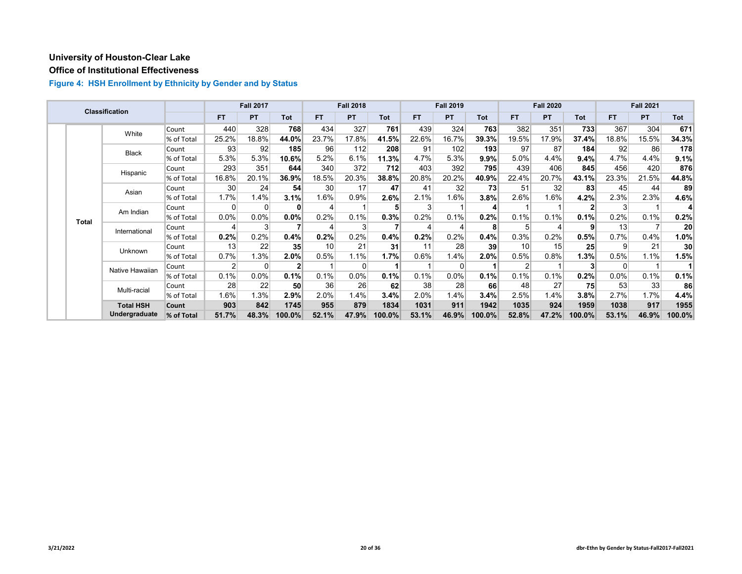## **Office of Institutional Effectiveness**

|  |              | Classification   |                 |           | <b>Fall 2017</b> |                 |                          | <b>Fall 2018</b> |        |       | <b>Fall 2019</b> |            |                 | <b>Fall 2020</b> |              |       | <b>Fall 2021</b> |                 |
|--|--------------|------------------|-----------------|-----------|------------------|-----------------|--------------------------|------------------|--------|-------|------------------|------------|-----------------|------------------|--------------|-------|------------------|-----------------|
|  |              |                  |                 | <b>FT</b> | <b>PT</b>        | Tot             | FT.                      | <b>PT</b>        | Tot    | FT.   | <b>PT</b>        | <b>Tot</b> | <b>FT</b>       | <b>PT</b>        | <b>Tot</b>   | FT.   | <b>PT</b>        | <b>Tot</b>      |
|  |              | White            | Count           | 440       | 328              | 768             | 434                      | 327              | 761    | 439   | 324              | 763        | 382             | 351              | 733          | 367   | 304              | 671             |
|  |              |                  | % of Total      | 25.2%     | 18.8%            | 44.0%           | 23.7%                    | 17.8%            | 41.5%  | 22.6% | 16.7%            | 39.3%      | 19.5%           | 17.9%            | 37.4%        | 18.8% | 15.5%            | 34.3%           |
|  |              | <b>Black</b>     | Count           | 93        | 92               | 185             | 96                       | 112              | 208    | 91    | 102              | 193        | 97              | 87               | 184          | 92    | 86               | 178             |
|  |              |                  | % of Total      | 5.3%      | 5.3%             | 10.6%           | 5.2%                     | 6.1%             | 11.3%  | 4.7%  | 5.3%             | 9.9%       | 5.0%            | 4.4%             | 9.4%         | 4.7%  | 4.4%             | 9.1%            |
|  |              | Hispanic         | Count           | 293       | 351              | 644             | 340                      | 372              | 712    | 403   | 392              | 795        | 439             | 406              | 845          | 456   | 420              | 876             |
|  |              |                  | % of Total      | 16.8%     | 20.1%            | 36.9%           | 18.5%                    | 20.3%            | 38.8%  | 20.8% | 20.2%            | 40.9%      | 22.4%           | 20.7%            | 43.1%        | 23.3% | 21.5%            | 44.8%           |
|  | Asian        | Count            | 30 <sup>2</sup> | 24        | 54               | 30              | 17                       | 47               | 41     | 32    | 73               | 51         | 32              | 83               | 45           | 44    | 89               |                 |
|  |              |                  | % of Total      | 1.7%      | 1.4%             | 3.1%            | 1.6%                     | 0.9%             | 2.6%   | 2.1%  | 1.6%             | 3.8%       | 2.6%            | 1.6%             | 4.2%         | 2.3%  | 2.3%             | 4.6%            |
|  | <b>Total</b> | Am Indian        | Count           | 0         | $\Omega$         | 0               | $\overline{\mathcal{L}}$ |                  |        | 3     |                  | 4          |                 |                  | $\mathbf{2}$ | 3     |                  |                 |
|  |              |                  | % of Total      | 0.0%      | 0.0%             | 0.0%            | 0.2%                     | 0.1%             | 0.3%   | 0.2%  | 0.1%             | 0.2%       | 0.1%            | 0.1%             | 0.1%         | 0.2%  | 0.1%             | 0.2%            |
|  |              | International    | Count           |           | 3                |                 |                          | 3                |        | 4     |                  | 8          | 5               |                  | 9            | 13    | 7                | 20 <sup>2</sup> |
|  |              |                  | % of Total      | 0.2%      | 0.2%             | 0.4%            | 0.2%                     | 0.2%             | 0.4%   | 0.2%  | 0.2%             | 0.4%       | 0.3%            | 0.2%             | 0.5%         | 0.7%  | 0.4%             | 1.0%            |
|  |              | Unknown          | Count           | 13        | 22               | 35 <sup>5</sup> | 10                       | 21               | 31     | 11    | 28               | 39         | 10 <sup>1</sup> | 15               | 25           | 9     | 21               | 30 <sup>°</sup> |
|  |              |                  | % of Total      | 0.7%      | 1.3%             | $2.0\%$         | 0.5%                     | 1.1%             | 1.7%   | 0.6%  | 1.4%             | 2.0%       | 0.5%            | 0.8%             | 1.3%         | 0.5%  | 1.1%             | 1.5%            |
|  |              | Native Hawaiian  | Count           | 2         | 0                | $\mathbf{2}$    |                          | 0                |        |       |                  |            |                 |                  |              | 0     |                  |                 |
|  |              |                  | % of Total      | 0.1%      | 0.0%             | 0.1%            | 0.1%                     | 0.0%             | 0.1%   | 0.1%  | 0.0%             | 0.1%       | 0.1%            | 0.1%             | 0.2%         | 0.0%  | 0.1%             | 0.1%            |
|  |              | Multi-racial     | Count           | 28        | 22               | 50              | 36                       | 26               | 62     | 38    | 28               | 66         | 48              | 27               | 75           | 53    | 33               | 86              |
|  |              |                  | % of Total      | 1.6%      | 1.3%             | 2.9%            | 2.0%                     | 1.4%             | 3.4%   | 2.0%  | 1.4%             | 3.4%       | 2.5%            | 1.4%             | 3.8%         | 2.7%  | 1.7%             | 4.4%            |
|  |              | <b>Total HSH</b> | Count           | 903       | 842              | 1745            | 955                      | 879              | 1834   | 1031  | 911              | 1942       | 1035            | 924              | 1959         | 1038  | 917              | 1955            |
|  |              | Undergraduate    | % of Total      | 51.7%     | 48.3%            | 100.0%          | 52.1%                    | 47.9%            | 100.0% | 53.1% | 46.9%            | 100.0%     | 52.8%           | 47.2%            | 100.0%       | 53.1% | 46.9%            | 100.0%          |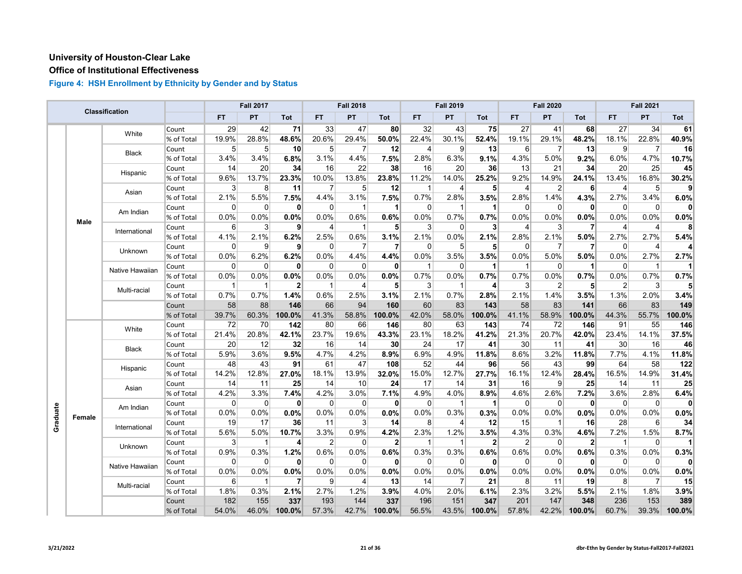## **Office of Institutional Effectiveness**

|          |             | Classification  |            |           | <b>Fall 2017</b> |                |                | <b>Fall 2018</b> |                |                | <b>Fall 2019</b> |                |                | <b>Fall 2020</b> |                |                | <b>Fall 2021</b> |        |
|----------|-------------|-----------------|------------|-----------|------------------|----------------|----------------|------------------|----------------|----------------|------------------|----------------|----------------|------------------|----------------|----------------|------------------|--------|
|          |             |                 |            | <b>FT</b> | PT               | Tot            | <b>FT</b>      | PT               | Tot            | <b>FT</b>      | PT               | Tot            | <b>FT</b>      | PT               | Tot            | <b>FT</b>      | PT               | Tot    |
|          |             | White           | Count      | 29        | 42               | 71             | 33             | 47               | 80             | 32             | 43               | 75             | 27             | 41               | 68             | 27             | 34               | 61     |
|          |             |                 | % of Total | 19.9%     | 28.8%            | 48.6%          | 20.6%          | 29.4%            | 50.0%          | 22.4%          | 30.1%            | 52.4%          | 19.1%          | 29.1%            | 48.2%          | 18.1%          | 22.8%            | 40.9%  |
|          |             | Black           | Count      | 5         | 5                | 10             | 5 <sup>5</sup> | 7                | 12             | 4              | 9                | 13             | 6              | 7                | 13             | 9              | 7                | 16     |
|          |             |                 | % of Total | 3.4%      | 3.4%             | 6.8%           | 3.1%           | 4.4%             | 7.5%           | 2.8%           | 6.3%             | 9.1%           | 4.3%           | 5.0%             | 9.2%           | 6.0%           | 4.7%             | 10.7%  |
|          |             | Hispanic        | Count      | 14        | 20               | 34             | 16             | 22               | 38             | 16             | 20               | 36             | 13             | 21               | 34             | 20             | 25               | 45     |
|          |             |                 | % of Total | 9.6%      | 13.7%            | 23.3%          | 10.0%          | 13.8%            | 23.8%          | 11.2%          | 14.0%            | 25.2%          | 9.2%           | 14.9%            | 24.1%          | 13.4%          | 16.8%            | 30.2%  |
|          |             | Asian           | Count      | 3         | 8                | 11             | $\overline{7}$ | 5                | 12             | $\mathbf{1}$   | $\overline{4}$   | 5              | 4              | $\overline{2}$   | 6              | $\overline{4}$ | 5                | 9      |
|          |             |                 | % of Total | 2.1%      | 5.5%             | 7.5%           | 4.4%           | 3.1%             | 7.5%           | 0.7%           | 2.8%             | 3.5%           | 2.8%           | 1.4%             | 4.3%           | 2.7%           | 3.4%             | 6.0%   |
|          |             | Am Indian       | Count      | 0         | 0                | $\mathbf{0}$   | $\overline{0}$ | -1               | 1              | $\overline{0}$ | -1               | 1              | 0              | 0                | 0              | $\overline{0}$ | 0                |        |
|          | <b>Male</b> |                 | % of Total | $0.0\%$   | 0.0%             | 0.0%           | 0.0%           | 0.6%             | 0.6%           | $0.0\%$        | 0.7%             | 0.7%           | 0.0%           | 0.0%             | $0.0\%$        | 0.0%           | 0.0%             | 0.0%   |
|          |             | International   | Count      | 6         | 3                | $\mathbf{9}$   | $\overline{4}$ | $\mathbf{1}$     | 5              | $\mathbf{3}$   | $\Omega$         | 3              | $\overline{4}$ | 3                | $\overline{7}$ | $\overline{4}$ | $\overline{4}$   | 8      |
|          |             |                 | % of Total | 4.1%      | 2.1%             | 6.2%           | 2.5%           | 0.6%             | 3.1%           | $2.1\%$        | 0.0%             | 2.1%           | 2.8%           | 2.1%             | 5.0%           | 2.7%           | 2.7%             | 5.4%   |
|          |             | Unknown         | Count      | 0         | 9                | 9              | $\Omega$       | 7                | $\overline{7}$ | $\Omega$       | 5                | 5              | $\Omega$       | 7                | 7              | $\Omega$       | 4                |        |
|          |             |                 | % of Total | 0.0%      | 6.2%             | 6.2%           | 0.0%           | 4.4%             | 4.4%           | 0.0%           | 3.5%             | 3.5%           | 0.0%           | 5.0%             | 5.0%           | 0.0%           | 2.7%             | 2.7%   |
|          |             | Native Hawaiian | Count      | $\Omega$  | $\mathbf 0$      | $\mathbf{0}$   | $\overline{0}$ | $\mathbf 0$      | $\mathbf{0}$   | $\overline{1}$ | $\mathbf 0$      | 1              | $\mathbf{1}$   | $\Omega$         | 1              | $\overline{0}$ | $\mathbf{1}$     |        |
|          |             |                 | % of Total | $0.0\%$   | 0.0%             | $0.0\%$        | 0.0%           | 0.0%             | $0.0\%$        | 0.7%           | 0.0%             | 0.7%           | 0.7%           | 0.0%             | 0.7%           | 0.0%           | 0.7%             | 0.7%   |
|          |             | Multi-racial    | Count      | 1         | $\mathbf 1$      | $\overline{2}$ | $\mathbf{1}$   | 4                | 5              | 3              | -1               | 4              | 3              | $\overline{2}$   | 5              | $\overline{2}$ | 3                |        |
|          |             |                 | % of Total | 0.7%      | 0.7%             | 1.4%           | 0.6%           | 2.5%             | 3.1%           | 2.1%           | 0.7%             | 2.8%           | 2.1%           | 1.4%             | 3.5%           | 1.3%           | 2.0%             | 3.4%   |
|          |             |                 | Count      | 58        | 88               | 146            | 66             | 94               | 160            | 60             | 83               | 143            | 58             | 83               | 141            | 66             | 83               | 149    |
|          |             |                 | % of Total | 39.7%     | 60.3%            | 100.0%         | 41.3%          | 58.8%            | 100.0%         | 42.0%          | 58.0%            | 100.0%         | 41.1%          | 58.9%            | 100.0%         | 44.3%          | 55.7%            | 100.0% |
|          |             | White           | Count      | 72        | 70               | 142            | 80             | 66               | 146            | 80             | 63               | 143            | 74             | 72               | 146            | 91             | 55               | 146    |
|          |             |                 | % of Total | 21.4%     | 20.8%            | 42.1%          | 23.7%          | 19.6%            | 43.3%          | 23.1%          | 18.2%            | 41.2%          | 21.3%          | 20.7%            | 42.0%          | 23.4%          | 14.1%            | 37.5%  |
|          |             | <b>Black</b>    | Count      | 20        | 12               | 32             | 16             | 14               | 30             | 24             | 17               | 41             | 30             | 11               | 41             | 30             | 16               | 46     |
|          |             |                 | % of Total | 5.9%      | 3.6%             | 9.5%           | 4.7%           | 4.2%             | 8.9%           | 6.9%           | 4.9%             | 11.8%          | 8.6%           | 3.2%             | 11.8%          | 7.7%           | 4.1%             | 11.8%  |
|          |             | Hispanic        | Count      | 48        | 43               | 91             | 61             | 47               | 108            | 52             | 44               | 96             | 56             | 43               | 99             | 64             | 58               | 122    |
|          |             |                 | % of Total | 14.2%     | 12.8%            | 27.0%          | 18.1%          | 13.9%            | 32.0%          | 15.0%          | 12.7%            | 27.7%          | 16.1%          | 12.4%            | 28.4%          | 16.5%          | 14.9%            | 31.4%  |
|          |             | Asian           | Count      | 14        | 11               | 25             | 14             | 10               | 24             | 17             | 14               | 31             | 16             | 9                | 25             | 14             | 11               | 25     |
|          |             |                 | % of Total | 4.2%      | 3.3%             | 7.4%           | 4.2%           | 3.0%             | 7.1%           | 4.9%           | 4.0%             | 8.9%           | 4.6%           | 2.6%             | 7.2%           | 3.6%           | 2.8%             | 6.4%   |
|          |             | Am Indian       | Count      | $\Omega$  | $\Omega$         | 0              | $\overline{0}$ | $\mathbf 0$      | $\mathbf{0}$   | $\Omega$       | -1               | 1              | $\Omega$       | $\Omega$         | 0              | $\mathbf 0$    | $\mathbf 0$      | 0      |
| Graduate | Female      |                 | % of Total | 0.0%      | 0.0%             | 0.0%           | 0.0%           | 0.0%             | 0.0%           | 0.0%           | 0.3%             | 0.3%           | 0.0%           | 0.0%             | 0.0%           | 0.0%           | 0.0%             | 0.0%   |
|          |             | International   | Count      | 19        | 17               | 36             | 11             | 3                | 14             | 8              | 4                | 12             | 15             | 1                | 16             | 28             | 6                | 34     |
|          |             |                 | % of Total | 5.6%      | 5.0%             | 10.7%          | 3.3%           | 0.9%             | 4.2%           | 2.3%           | 1.2%             | 3.5%           | 4.3%           | 0.3%             | 4.6%           | 7.2%           | 1.5%             | 8.7%   |
|          |             | Unknown         | Count      | 3         | $\mathbf 1$      | $\overline{4}$ | $\overline{2}$ | 0                | $\overline{2}$ | -1             | -1               | $\overline{2}$ | $\overline{2}$ | $\Omega$         | 2 <sup>1</sup> | $\mathbf{1}$   | 0                |        |
|          |             |                 | % of Total | 0.9%      | 0.3%             | 1.2%           | 0.6%           | 0.0%             | 0.6%           | 0.3%           | 0.3%             | 0.6%           | 0.6%           | 0.0%             | 0.6%           | 0.3%           | 0.0%             | 0.3%   |
|          |             | Native Hawaiian | Count      | $\Omega$  | $\Omega$         | $\mathbf{0}$   | 0              | $\mathbf 0$      | $\mathbf{0}$   | $\Omega$       | $\Omega$         | $\mathbf{0}$   | $\Omega$       | $\Omega$         | $\mathbf{0}$   | $\overline{0}$ | $\mathbf 0$      |        |
|          |             |                 | % of Total | 0.0%      | 0.0%             | 0.0%           | 0.0%           | 0.0%             | 0.0%           | 0.0%           | 0.0%             | 0.0%           | 0.0%           | 0.0%             | 0.0%           | 0.0%           | 0.0%             | 0.0%   |
|          |             | Multi-racial    | Count      | 6         | 1                | 7              | $\overline{9}$ | 4                | 13             | 14             | 7                | 21             | 8              | 11               | 19             | 8              | 7                | 15     |
|          |             |                 | % of Total | 1.8%      | 0.3%             | 2.1%           | 2.7%           | 1.2%             | 3.9%           | 4.0%           | 2.0%             | 6.1%           | 2.3%           | 3.2%             | 5.5%           | 2.1%           | 1.8%             | 3.9%   |
|          |             |                 | Count      | 182       | 155              | 337            | 193            | 144              | 337            | 196            | 151              | 347            | 201            | 147              | 348            | 236            | 153              | 389    |
|          |             |                 | % of Total | 54.0%     | 46.0%            | 100.0%         | 57.3%          | 42.7%            | 100.0%         | 56.5%          | 43.5%            | 100.0%         | 57.8%          | 42.2%            | 100.0%         | 60.7%          | 39.3%            | 100.0% |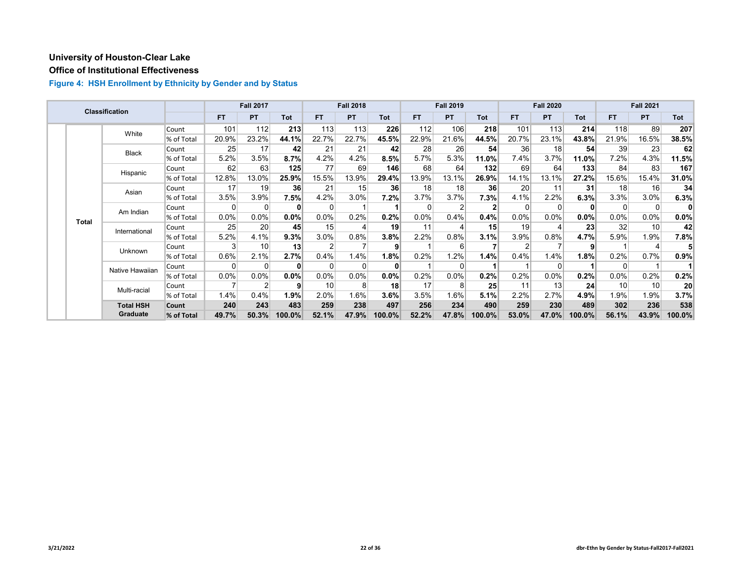# **Office of Institutional Effectiveness**

|  |              | <b>Classification</b> |            |         | <b>Fall 2017</b> |                 |           | <b>Fall 2018</b> |              |       | <b>Fall 2019</b> |            |       | <b>Fall 2020</b> |                 |          | <b>Fall 2021</b> |                 |
|--|--------------|-----------------------|------------|---------|------------------|-----------------|-----------|------------------|--------------|-------|------------------|------------|-------|------------------|-----------------|----------|------------------|-----------------|
|  |              |                       |            | FT.     | <b>PT</b>        | Tot             | <b>FT</b> | <b>PT</b>        | Tot          | FT.   | <b>PT</b>        | <b>Tot</b> | FT.   | <b>PT</b>        | <b>Tot</b>      | FT.      | <b>PT</b>        | Tot             |
|  |              | White                 | Count      | 101     | 112              | 213             | 113       | 113              | 226          | 112   | 106              | 218        | 101   | 113              | 214             | 118      | 89               | 207             |
|  |              |                       | % of Total | 20.9%   | 23.2%            | 44.1%           | 22.7%     | 22.7%            | 45.5%        | 22.9% | 21.6%            | 44.5%      | 20.7% | 23.1%            | 43.8%           | 21.9%    | 16.5%            | 38.5%           |
|  |              | <b>Black</b>          | Count      | 25      | 17               | 42              | 21        | 21               | 42           | 28    | 26               | 54         | 36    | 18               | 54              | 39       | 23               | 62              |
|  |              |                       | % of Total | 5.2%    | 3.5%             | 8.7%            | 4.2%      | 4.2%             | 8.5%         | 5.7%  | 5.3%             | 11.0%      | 7.4%  | 3.7%             | 11.0%           | 7.2%     | 4.3%             | 11.5%           |
|  |              | Hispanic              | Count      | 62      | 63               | 125             | 77        | 69               | 146          | 68    | 64               | 132        | 69    | 64               | 133             | 84       | 83               | 167             |
|  |              |                       | % of Total | 12.8%   | 13.0%            | 25.9%           | 15.5%     | 13.9%            | 29.4%        | 13.9% | 13.1%            | 26.9%      | 14.1% | 13.1%            | 27.2%           | 15.6%    | 15.4%            | 31.0%           |
|  |              | Asian                 | Count      | 17      | 19               | 36              | 21        | 15               | 36           | 18    | 18               | 36         | 20    | 11               | 31              | 18       | 16               | 34              |
|  |              |                       | % of Total | 3.5%    | 3.9%             | 7.5%            | 4.2%      | 3.0%             | 7.2%         | 3.7%  | 3.7%             | 7.3%       | 4.1%  | 2.2%             | 6.3%            | 3.3%     | 3.0%             | 6.3%            |
|  | <b>Total</b> | Am Indian             | Count      | 0       | 0                | 0               | $\Omega$  |                  |              | 0     |                  |            |       | $\Omega$         | 0               | 0        | 0                | 0               |
|  |              |                       | % of Total | 0.0%    | 0.0%             | $0.0\%$         | 0.0%      | 0.2%             | 0.2%         | 0.0%  | 0.4%             | 0.4%       | 0.0%  | $0.0\%$          | 0.0%            | 0.0%     | 0.0%             | $0.0\%$         |
|  |              | International         | Count      | 25      | 20               | 45              | 15        | 4                | 19           | 11    |                  | 15         | 19    |                  | 23              | 32       | 10               | 42              |
|  |              |                       | % of Total | 5.2%    | 4.1%             | 9.3%            | $3.0\%$   | 0.8%             | 3.8%         | 2.2%  | 0.8%             | 3.1%       | 3.9%  | 0.8%             | 4.7%            | 5.9%     | 1.9%             | 7.8%            |
|  |              | Unknown               | Count      | 3       | 10               | 13 <sup>1</sup> | 2         |                  | 9            |       |                  |            |       |                  | 9               |          |                  |                 |
|  |              |                       | % of Total | 0.6%    | 2.1%             | 2.7%            | 0.4%      | 1.4%             | 1.8%         | 0.2%  | 1.2%             | 1.4%       | 0.4%  | 1.4%             | 1.8%            | 0.2%     | 0.7%             | 0.9%            |
|  |              | Native Hawaiian       | Count      | 0       | $\Omega$         | $\bf{0}$        | $\Omega$  | 0                | $\mathbf{0}$ |       |                  |            |       | $\Omega$         |                 | $\Omega$ |                  |                 |
|  |              |                       | % of Total | $0.0\%$ | 0.0%             | 0.0%            | $0.0\%$   | $0.0\%$          | 0.0%         | 0.2%  | 0.0%             | 0.2%       | 0.2%  | 0.0%             | 0.2%            | 0.0%     | 0.2%             | 0.2%            |
|  |              | Multi-racial          | Count      |         | Ω                | 9               | 10        | 8                | 18           | 17    |                  | 25         | 11    | 13               | 24 <sup>°</sup> | 10       | 10               | 20 <sup>1</sup> |
|  |              |                       | % of Total | 1.4%    | 0.4%             | 1.9%            | 2.0%      | 1.6%             | $3.6\%$      | 3.5%  | 1.6%             | 5.1%       | 2.2%  | 2.7%             | 4.9%            | 1.9%     | 1.9%             | 3.7%            |
|  |              | <b>Total HSH</b>      | Count      | 240     | 243              | 483             | 259       | 238              | 497          | 256   | 234              | 490        | 259   | 230              | 489             | 302      | 236              | 538             |
|  |              | Graduate              | % of Total | 49.7%   | 50.3%            | 100.0%          | 52.1%     | 47.9%            | 100.0%       | 52.2% | 47.8%            | 100.0%     | 53.0% | 47.0%            | 100.0%          | 56.1%    | 43.9%            | 100.0%          |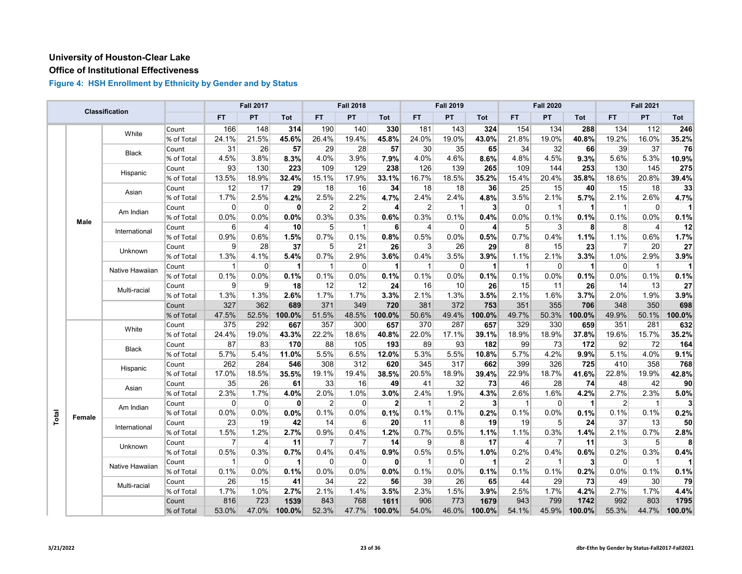## **Office of Institutional Effectiveness**

|       |             | Classification  |            |                | <b>Fall 2017</b>        |                      |                | <b>Fall 2018</b> |                 |                | <b>Fall 2019</b> |                |                | <b>Fall 2020</b> |                      |                | <b>Fall 2021</b> |                 |
|-------|-------------|-----------------|------------|----------------|-------------------------|----------------------|----------------|------------------|-----------------|----------------|------------------|----------------|----------------|------------------|----------------------|----------------|------------------|-----------------|
|       |             |                 |            | <b>FT</b>      | PT                      | Tot                  | <b>FT</b>      | PT               | <b>Tot</b>      | FT.            | PT               | Tot            | <b>FT</b>      | <b>PT</b>        | <b>Tot</b>           | FT.            | <b>PT</b>        | Tot             |
|       |             | White           | Count      | 166            | 148                     | 314                  | 190            | 140              | 330             | 181            | 143              | 324            | 154            | 134              | 288                  | 134            | 112              | 246             |
|       |             |                 | % of Total | 24.1%          | 21.5%                   | 45.6%                | 26.4%          | 19.4%            | 45.8%           | 24.0%          | 19.0%            | 43.0%          | 21.8%          | 19.0%            | 40.8%                | 19.2%          | 16.0%            | 35.2%           |
|       |             | Black           | Count      | 31             | 26                      | 57                   | 29             | 28               | 57              | 30             | 35               | 65             | 34             | 32               | 66                   | 39             | 37               | 76              |
|       |             |                 | % of Total | 4.5%           | 3.8%                    | 8.3%                 | 4.0%           | 3.9%             | 7.9%            | 4.0%           | 4.6%             | 8.6%           | 4.8%           | 4.5%             | 9.3%                 | 5.6%           | 5.3%             | 10.9%           |
|       |             | Hispanic        | Count      | 93             | 130                     | 223                  | 109            | 129              | 238             | 126            | 139              | 265            | 109            | 144              | 253                  | 130            | 145              | 275             |
|       |             |                 | % of Total | 13.5%          | 18.9%                   | 32.4%                | 15.1%          | 17.9%            | 33.1%           | 16.7%          | 18.5%            | 35.2%          | 15.4%          | 20.4%            | 35.8%                | 18.6%          | 20.8%            | 39.4%           |
|       |             | Asian           | Count      | 12             | 17                      | 29                   | 18             | 16               | 34              | 18             | 18               | 36             | 25             | 15               | 40                   | 15             | 18               | 33              |
|       |             |                 | % of Total | 1.7%           | 2.5%                    | 4.2%                 | 2.5%           | 2.2%             | 4.7%            | 2.4%           | 2.4%             | 4.8%           | 3.5%           | 2.1%             | 5.7%                 | 2.1%           | 2.6%             | 4.7%            |
|       |             | Am Indian       | Count      | 0              | 0                       | $\mathbf{0}$         | 2              | $\overline{2}$   | $\vert$         | $\overline{2}$ | -1               | $\mathbf{3}$   | $\Omega$       | $\mathbf{1}$     | $\blacktriangleleft$ | $\mathbf{1}$   | $\overline{0}$   |                 |
|       | <b>Male</b> |                 | % of Total | 0.0%           | 0.0%                    | 0.0%                 | 0.3%           | 0.3%             | 0.6%            | 0.3%           | 0.1%             | 0.4%           | 0.0%           | 0.1%             | 0.1%                 | 0.1%           | 0.0%             | 0.1%            |
|       |             | International   | Count      | 6              | $\overline{\mathbf{4}}$ | 10                   | 5              | $\mathbf{1}$     | 6               | $\overline{4}$ | $\Omega$         | $\overline{4}$ | 5              | 3                | $\mathbf{8}$         | 8              | $\overline{4}$   | 12              |
|       |             |                 | % of Total | 0.9%           | 0.6%                    | 1.5%                 | 0.7%           | 0.1%             | 0.8%            | 0.5%           | 0.0%             | 0.5%           | 0.7%           | 0.4%             | 1.1%                 | 1.1%           | 0.6%             | 1.7%            |
|       |             | Unknown         | Count      | 9              | 28                      | 37                   | 5              | 21               | 26              | 3              | 26               | 29             | 8              | 15               | 23                   | $\overline{7}$ | 20               | 27              |
|       |             |                 | % of Total | 1.3%           | 4.1%                    | 5.4%                 | 0.7%           | 2.9%             | 3.6%            | 0.4%           | 3.5%             | 3.9%           | 1.1%           | 2.1%             | 3.3%                 | 1.0%           | 2.9%             | 3.9%            |
|       |             | Native Hawaiian | Count      | 1              | $\Omega$                | $\mathbf 1$          | $\mathbf{1}$   | $\overline{0}$   | $\vert$         | $\mathbf 1$    | $\overline{0}$   | $\mathbf{1}$   | 1              | $\Omega$         | $\mathbf 1$          | $\mathbf 0$    | $\overline{1}$   | $\mathbf{1}$    |
|       |             |                 | % of Total | 0.1%           | 0.0%                    | 0.1%                 | 0.1%           | 0.0%             | 0.1%            | 0.1%           | 0.0%             | 0.1%           | 0.1%           | 0.0%             | 0.1%                 | 0.0%           | 0.1%             | 0.1%            |
|       |             | Multi-racial    | Count      | 9              | 9                       | 18                   | 12             | 12               | 24              | 16             | 10               | 26             | 15             | 11               | 26                   | 14             | 13               | 27              |
|       |             |                 | % of Total | 1.3%           | 1.3%                    | 2.6%                 | 1.7%           | 1.7%             | 3.3%            | 2.1%           | 1.3%             | 3.5%           | 2.1%           | 1.6%             | 3.7%                 | 2.0%           | 1.9%             | 3.9%            |
|       |             |                 | Count      | 327            | 362                     | 689                  | 371            | 349              | 720             | 381            | 372              | 753            | 351            | 355              | 706                  | 348            | 350              | 698             |
|       |             |                 | % of Total | 47.5%          | 52.5%                   | 100.0%               | 51.5%          | 48.5%            | 100.0%          | 50.6%          | 49.4%            | 100.0%         | 49.7%          | 50.3%            | 100.0%               | 49.9%          | 50.1%            | 100.0%          |
|       |             | White           | Count      | 375            | 292                     | 667                  | 357            | 300              | 657             | 370            | 287              | 657            | 329            | 330              | 659                  | 351            | 281              | 632             |
|       |             |                 | % of Total | 24.4%          | 19.0%                   | 43.3%                | 22.2%          | 18.6%            | 40.8%           | 22.0%          | 17.1%            | 39.1%          | 18.9%          | 18.9%            | 37.8%                | 19.6%          | 15.7%            | 35.2%           |
|       |             | <b>Black</b>    | Count      | 87             | 83                      | 170                  | 88             | 105              | 193             | 89             | 93               | 182            | 99             | 73               | 172                  | 92             | 72               | 164             |
|       |             |                 | % of Total | 5.7%           | 5.4%                    | 11.0%                | 5.5%           | 6.5%             | 12.0%           | 5.3%           | 5.5%             | 10.8%          | 5.7%           | 4.2%             | 9.9%                 | 5.1%           | 4.0%             | 9.1%            |
|       |             | Hispanic        | Count      | 262            | 284                     | 546                  | 308            | 312              | 620             | 345            | 317              | 662            | 399            | 326              | 725                  | 410            | 358              | 768             |
|       |             |                 | % of Total | 17.0%          | 18.5%                   | 35.5%                | 19.1%          | 19.4%            | 38.5%           | 20.5%          | 18.9%            | 39.4%          | 22.9%          | 18.7%            | 41.6%                | 22.8%          | 19.9%            | 42.8%           |
|       |             | Asian           | Count      | 35             | 26                      | 61                   | 33             | 16               | 49              | 41             | 32               | 73             | 46             | 28               | 74                   | 48             | 42               | 90 <sup>°</sup> |
|       |             |                 | % of Total | 2.3%           | 1.7%                    | 4.0%                 | 2.0%           | 1.0%             | 3.0%            | 2.4%           | 1.9%             | 4.3%           | 2.6%           | 1.6%             | 4.2%                 | 2.7%           | 2.3%             | 5.0%            |
|       |             | Am Indian       | Count      | $\Omega$       | $\Omega$                | $\mathbf{0}$         | 2              | $\Omega$         | $\mathbf{2}$    | $\mathbf{1}$   | $\overline{2}$   | $\mathbf{3}$   | 1              | $\Omega$         | $\blacktriangleleft$ | $\overline{2}$ | $\overline{1}$   | 3 <sup>1</sup>  |
| Total | Female      |                 | % of Total | 0.0%           | 0.0%                    | 0.0%                 | 0.1%           | 0.0%             | 0.1%            | 0.1%           | 0.1%             | 0.2%           | 0.1%           | 0.0%             | 0.1%                 | 0.1%           | 0.1%             | 0.2%            |
|       |             | International   | Count      | 23             | 19                      | 42                   | 14             | $6 \mid$         | 20 <sub>l</sub> | 11             | 8 <sup>2</sup>   | 19             | 19             | 5 <sup>5</sup>   | 24                   | 37             | 13               | 50              |
|       |             |                 | % of Total | 1.5%           | 1.2%                    | 2.7%                 | 0.9%           | 0.4%             | 1.2%            | 0.7%           | 0.5%             | 1.1%           | 1.1%           | 0.3%             | 1.4%                 | 2.1%           | 0.7%             | 2.8%            |
|       |             | Unknown         | Count      | $\overline{7}$ | 4                       | 11                   | $\overline{7}$ | $\overline{7}$   | 14              | 9              | 8                | 17             | 4              | 7                | 11                   | 3              | 5                | 8               |
|       |             |                 | % of Total | 0.5%           | 0.3%                    | 0.7%                 | 0.4%           | 0.4%             | 0.9%            | 0.5%           | 0.5%             | 1.0%           | 0.2%           | 0.4%             | 0.6%                 | 0.2%           | 0.3%             | 0.4%            |
|       |             | Native Hawaiian | Count      | $\mathbf{1}$   | $\Omega$                | $\blacktriangleleft$ | $\Omega$       | $\Omega$         | 0               | $\mathbf 1$    | $\Omega$         | 1              | $\overline{2}$ | $\mathbf{1}$     | $\mathbf{3}$         | $\mathbf 0$    | $\overline{1}$   | 11              |
|       |             |                 | % of Total | 0.1%           | 0.0%                    | 0.1%                 | 0.0%           | 0.0%             | 0.0%            | 0.1%           | 0.0%             | 0.1%           | 0.1%           | 0.1%             | 0.2%                 | 0.0%           | 0.1%             | 0.1%            |
|       |             | Multi-racial    | Count      | 26             | 15                      | 41                   | 34             | 22               | 56              | 39             | 26               | 65             | 44             | 29               | 73                   | 49             | 30               | 79              |
|       |             |                 | % of Total | 1.7%           | 1.0%                    | 2.7%                 | 2.1%           | 1.4%             | 3.5%            | 2.3%           | 1.5%             | 3.9%           | 2.5%           | 1.7%             | 4.2%                 | 2.7%           | 1.7%             | 4.4%            |
|       |             |                 | Count      | 816            | 723                     | 1539                 | 843            | 768              | 1611            | 906            | 773              | 1679           | 943            | 799              | 1742                 | 992            | 803              | 1795            |
|       |             |                 | % of Total | 53.0%          | 47.0%                   | 100.0%               | 52.3%          | 47.7%            | 100.0%          | 54.0%          | 46.0%            | 100.0%         | 54.1%          | 45.9%            | 100.0%               | 55.3%          | 44.7%            | 100.0%          |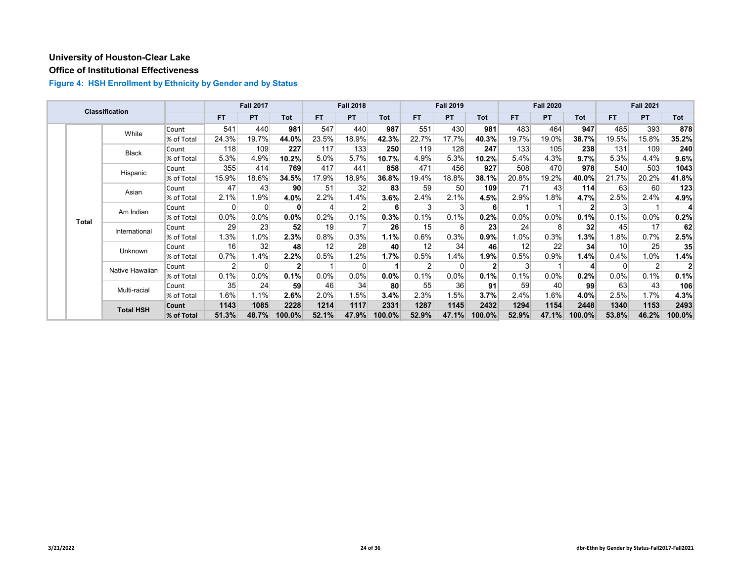## **Office of Institutional Effectiveness**

|  |              | Classification   |            |           | <b>Fall 2017</b> |                |           | <b>Fall 2018</b> |        |       | <b>Fall 2019</b> |            |         | <b>Fall 2020</b> |            |          | <b>Fall 2021</b> |        |
|--|--------------|------------------|------------|-----------|------------------|----------------|-----------|------------------|--------|-------|------------------|------------|---------|------------------|------------|----------|------------------|--------|
|  |              |                  |            | <b>FT</b> | <b>PT</b>        | Tot            | <b>FT</b> | <b>PT</b>        | Tot    | FT.   | <b>PT</b>        | <b>Tot</b> | FT.     | <b>PT</b>        | <b>Tot</b> | FT.      | <b>PT</b>        | Tot    |
|  |              | White            | Count      | 541       | 440              | 981            | 547       | 440              | 987    | 551   | 430              | 981        | 483     | 464              | 947        | 485      | 393              | 878    |
|  |              |                  | % of Total | 24.3%     | 19.7%            | 44.0%          | 23.5%     | 18.9%            | 42.3%  | 22.7% | 17.7%            | 40.3%      | 19.7%   | 19.0%            | 38.7%      | 19.5%    | 15.8%            | 35.2%  |
|  |              | <b>Black</b>     | Count      | 118       | 109              | 227            | 117       | 133              | 250    | 119   | 128              | 247        | 133     | 105              | 238        | 131      | 109              | 240    |
|  |              |                  | % of Total | 5.3%      | 4.9%             | 10.2%          | 5.0%      | 5.7%             | 10.7%  | 4.9%  | 5.3%             | 10.2%      | 5.4%    | 4.3%             | 9.7%       | 5.3%     | 4.4%             | 9.6%   |
|  |              | Hispanic         | Count      | 355       | 414              | 769            | 417       | 441              | 858    | 471   | 456              | 927        | 508     | 470              | 978        | 540      | 503              | 1043   |
|  |              |                  | % of Total | 15.9%     | 18.6%            | 34.5%          | 17.9%     | 18.9%            | 36.8%  | 19.4% | 18.8%            | 38.1%      | 20.8%   | 19.2%            | 40.0%      | 21.7%    | 20.2%            | 41.8%  |
|  | Asian        | Count            | 47         | 43        | 90               | 51             | 32        | 83               | 59     | 50    | 109              | 71         | 43      | 114              | 63         | 60       | 123              |        |
|  |              |                  | % of Total | 2.1%      | 1.9%             | 4.0%           | 2.2%      | 1.4%             | 3.6%   | 2.4%  | 2.1%             | 4.5%       | 2.9%    | 1.8%             | 4.7%       | 2.5%     | 2.4%             | 4.9%   |
|  | <b>Total</b> | Am Indian        | Count      | 0         | 0                | 0              | $\angle$  | 2                | 6      | 3     |                  | 6          |         |                  | 2          | 3        |                  | 4      |
|  |              |                  | % of Total | 0.0%      | 0.0%             | $0.0\%$        | 0.2%      | 0.1%             | 0.3%   | 0.1%  | 0.1%             | 0.2%       | $0.0\%$ | $0.0\%$          | 0.1%       | 0.1%     | 0.0%             | 0.2%   |
|  |              | International    | Count      | 29        | 23               | 52             | 19        |                  | 26     | 15    |                  | 23         | 24      | 8                | 32         | 45       | 17               | 62     |
|  |              |                  | % of Total | 1.3%      | 1.0%             | 2.3%           | 0.8%      | 0.3%             | 1.1%   | 0.6%  | 0.3%             | 0.9%       | 1.0%    | 0.3%             | 1.3%       | 1.8%     | 0.7%             | 2.5%   |
|  |              | Unknown          | Count      | 16        | 32               | 48             | 12        | 28               | 40     | 12    | 34               | 46         | 12      | 22               | 34         | 10       | 25               | 35     |
|  |              |                  | % of Total | 0.7%      | 1.4%             | 2.2%           | 0.5%      | 1.2%             | 1.7%   | 0.5%  | 1.4%             | 1.9%       | 0.5%    | 0.9%             | 1.4%       | 0.4%     | 1.0%             | 1.4%   |
|  |              | Native Hawaiian  | Count      | 2         | $\Omega$         | 2 <sup>1</sup> |           | 0                |        | 2     |                  |            | 3       |                  | 4          | $\Omega$ | 2                |        |
|  |              |                  | % of Total | 0.1%      | 0.0%             | 0.1%           | $0.0\%$   | 0.0%             | 0.0%   | 0.1%  | 0.0%             | 0.1%       | 0.1%    | $0.0\%$          | 0.2%       | 0.0%     | 0.1%             | 0.1%   |
|  |              | Multi-racial     | Count      | 35        | 24               | 59             | 46        | 34               | 80     | 55    | 36               | 91         | 59      | 40               | 99         | 63       | 43               | 106    |
|  |              |                  | % of Total | 1.6%      | 1.1%             | $2.6\%$        | 2.0%      | 1.5%             | 3.4%   | 2.3%  | 1.5%             | 3.7%       | 2.4%    | 1.6%             | 4.0%       | 2.5%     | 1.7%             | 4.3%   |
|  |              | <b>Total HSH</b> | Count      | 1143      | 1085             | 2228           | 1214      | 1117             | 2331   | 1287  | 1145             | 2432       | 1294    | 1154             | 2448       | 1340     | 1153             | 2493   |
|  |              |                  | % of Total | 51.3%     | 48.7%            | 100.0%         | 52.1%     | 47.9%            | 100.0% | 52.9% | 47.1%            | 100.0%     | 52.9%   | 47.1%            | 100.0%     | 53.8%    | 46.2%            | 100.0% |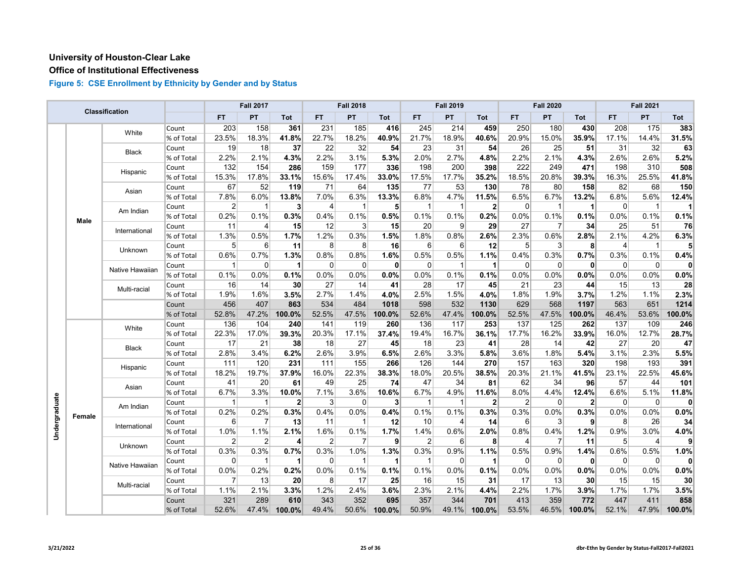#### **Office of Institutional Effectiveness**

|               |        | Classification  |            |                | <b>Fall 2017</b> |              |                | <b>Fall 2018</b> |              |             | <b>Fall 2019</b> |              |                | <b>Fall 2020</b> |              |                | <b>Fall 2021</b> |              |
|---------------|--------|-----------------|------------|----------------|------------------|--------------|----------------|------------------|--------------|-------------|------------------|--------------|----------------|------------------|--------------|----------------|------------------|--------------|
|               |        |                 |            | <b>FT</b>      | PT               | Tot          | <b>FT</b>      | PT               | Tot          | FT.         | PT               | <b>Tot</b>   | <b>FT</b>      | PT               | <b>Tot</b>   | <b>FT</b>      | PT               | Tot          |
|               |        | White           | Count      | 203            | 158              | 361          | 231            | 185              | 416          | 245         | 214              | 459          | 250            | 180              | 430          | 208            | 175              | 383          |
|               |        |                 | % of Total | 23.5%          | 18.3%            | 41.8%        | 22.7%          | 18.2%            | 40.9%        | 21.7%       | 18.9%            | 40.6%        | 20.9%          | 15.0%            | 35.9%        | 17.1%          | 14.4%            | 31.5%        |
|               |        | <b>Black</b>    | Count      | 19             | 18               | 37           | 22             | 32               | 54           | 23          | 31               | 54           | 26             | 25               | 51           | 31             | 32               | 63           |
|               |        |                 | % of Total | 2.2%           | 2.1%             | 4.3%         | 2.2%           | 3.1%             | 5.3%         | 2.0%        | 2.7%             | 4.8%         | 2.2%           | 2.1%             | 4.3%         | 2.6%           | 2.6%             | 5.2%         |
|               |        | Hispanic        | Count      | 132            | 154              | 286          | 159            | 177              | 336          | 198         | 200              | 398          | 222            | 249              | 471          | 198            | 310              | 508          |
|               |        |                 | % of Total | 15.3%          | 17.8%            | 33.1%        | 15.6%          | 17.4%            | 33.0%        | 17.5%       | 17.7%            | 35.2%        | 18.5%          | 20.8%            | 39.3%        | 16.3%          | 25.5%            | 41.8%        |
|               |        | Asian           | Count      | 67             | 52               | 119          | 71             | 64               | 135          | 77          | 53               | 130          | 78             | 80               | 158          | 82             | 68               | 150          |
|               |        |                 | % of Total | 7.8%           | 6.0%             | 13.8%        | 7.0%           | 6.3%             | 13.3%        | 6.8%        | 4.7%             | 11.5%        | 6.5%           | 6.7%             | 13.2%        | 6.8%           | 5.6%             | 12.4%        |
|               |        | Am Indian       | Count      | $\overline{2}$ | $\mathbf{1}$     | 3            | $\overline{4}$ | $\mathbf{1}$     | 5            | 1           | -1               | $\mathbf{2}$ | $\overline{0}$ | $\mathbf{1}$     | 1            | $\overline{0}$ | $\overline{1}$   | 1            |
|               | Male   |                 | % of Total | 0.2%           | 0.1%             | 0.3%         | 0.4%           | 0.1%             | 0.5%         | 0.1%        | 0.1%             | 0.2%         | 0.0%           | 0.1%             | 0.1%         | 0.0%           | 0.1%             | 0.1%         |
|               |        | International   | Count      | 11             | $\overline{4}$   | 15           | 12             | 3                | 15           | 20          | 9                | 29           | 27             | $\overline{7}$   | 34           | 25             | 51               | 76           |
|               |        |                 | % of Total | 1.3%           | 0.5%             | 1.7%         | 1.2%           | 0.3%             | 1.5%         | 1.8%        | 0.8%             | 2.6%         | 2.3%           | 0.6%             | 2.8%         | 2.1%           | 4.2%             | 6.3%         |
|               |        | Unknown         | Count      | 5 <sup>1</sup> | 6                | 11           | 8              | 8                | 16           | 6           | 6                | 12           | 5 <sup>5</sup> | 3                | 8            | 4              | $\overline{1}$   | 5            |
|               |        |                 | % of Total | 0.6%           | 0.7%             | 1.3%         | 0.8%           | 0.8%             | 1.6%         | 0.5%        | 0.5%             | 1.1%         | 0.4%           | 0.3%             | 0.7%         | 0.3%           | 0.1%             | 0.4%         |
|               |        | Native Hawaiian | Count      | $\mathbf{1}$   | $\mathbf 0$      | 1            | $\overline{0}$ | $\mathbf 0$      | 0            | 0           | 1                | 1            | $\overline{0}$ | $\mathbf 0$      | $\mathbf{0}$ | $\overline{0}$ | $\mathbf 0$      | $\mathbf{0}$ |
|               |        |                 | % of Total | 0.1%           | 0.0%             | 0.1%         | 0.0%           | 0.0%             | 0.0%         | 0.0%        | 0.1%             | 0.1%         | 0.0%           | 0.0%             | 0.0%         | 0.0%           | 0.0%             | 0.0%         |
|               |        | Multi-racial    | Count      | 16             | 14               | 30           | 27             | 14               | 41           | 28          | 17               | 45           | 21             | 23               | 44           | 15             | 13               | 28           |
|               |        |                 | % of Total | 1.9%           | 1.6%             | 3.5%         | 2.7%           | 1.4%             | 4.0%         | 2.5%        | 1.5%             | 4.0%         | 1.8%           | 1.9%             | 3.7%         | 1.2%           | 1.1%             | 2.3%         |
|               |        |                 | Count      | 456            | 407              | 863          | 534            | 484              | 1018         | 598         | 532              | 1130         | 629            | 568              | 1197         | 563            | 651              | 1214         |
|               |        |                 | % of Total | 52.8%          | 47.2%            | 100.0%       | 52.5%          | 47.5%            | 100.0%       | 52.6%       | 47.4%            | 100.0%       | 52.5%          | 47.5%            | 100.0%       | 46.4%          | 53.6%            | 100.0%       |
|               |        | White           | Count      | 136            | 104              | 240          | 141            | 119              | 260          | 136         | 117              | 253          | 137            | 125              | 262          | 137            | 109              | 246          |
|               |        |                 | % of Total | 22.3%          | 17.0%            | 39.3%        | 20.3%          | 17.1%            | 37.4%        | 19.4%       | 16.7%            | 36.1%        | 17.7%          | 16.2%            | 33.9%        | 16.0%          | 12.7%            | 28.7%        |
|               |        | <b>Black</b>    | Count      | 17             | 21               | 38           | 18             | 27               | 45           | 18          | 23               | 41           | 28             | 14               | 42           | 27             | 20               | 47           |
|               |        |                 | % of Total | 2.8%           | 3.4%             | 6.2%         | 2.6%           | 3.9%             | 6.5%         | 2.6%        | 3.3%             | 5.8%         | 3.6%           | 1.8%             | 5.4%         | 3.1%           | 2.3%             | 5.5%         |
|               |        | Hispanic        | Count      | 111            | 120              | 231          | 111            | 155              | 266          | 126         | 144              | 270          | 157            | 163              | 320          | 198            | 193              | 391          |
|               |        |                 | % of Total | 18.2%          | 19.7%            | 37.9%        | 16.0%          | 22.3%            | 38.3%        | 18.0%       | 20.5%            | 38.5%        | 20.3%          | 21.1%            | 41.5%        | 23.1%          | 22.5%            | 45.6%        |
|               |        | Asian           | Count      | 41             | 20               | 61           | 49             | 25               | 74           | 47          | 34               | 81           | 62             | 34               | 96           | 57             | 44               | 101          |
|               |        |                 | % of Total | 6.7%           | 3.3%             | 10.0%        | 7.1%           | 3.6%             | 10.6%        | 6.7%        | 4.9%             | 11.6%        | 8.0%           | 4.4%             | 12.4%        | 6.6%           | 5.1%             | 11.8%        |
| Undergraduate |        | Am Indian       | Count      | $\mathbf{1}$   | $\mathbf{1}$     | $\mathbf{2}$ | 3              | $\mathbf 0$      | $\mathbf{3}$ | $\mathbf 1$ | -1               | $\mathbf{2}$ | $\overline{2}$ | $\mathbf 0$      | $\mathbf{2}$ | $\overline{0}$ | $\mathbf 0$      | $\mathbf{0}$ |
|               | Female |                 | % of Total | 0.2%           | 0.2%             | 0.3%         | 0.4%           | 0.0%             | 0.4%         | 0.1%        | 0.1%             | 0.3%         | 0.3%           | 0.0%             | 0.3%         | 0.0%           | 0.0%             | 0.0%         |
|               |        | International   | Count      | 6              | $\overline{7}$   | 13           | 11             | $\overline{1}$   | 12           | 10          | 4                | 14           | 6              | $\mathbf{3}$     | $\mathbf{9}$ | 8              | 26               | 34           |
|               |        |                 | % of Total | 1.0%           | 1.1%             | 2.1%         | 1.6%           | 0.1%             | 1.7%         | 1.4%        | 0.6%             | 2.0%         | 0.8%           | 0.4%             | 1.2%         | 0.9%           | 3.0%             | 4.0%         |
|               |        | Unknown         | Count      | 2              | $\overline{2}$   | 4            | $\overline{2}$ | $\overline{7}$   | 9            | 2           | 6                | 8            | 4              | 7                | 11           | 5 <sup>5</sup> | 4                | 9            |
|               |        |                 | % of Total | 0.3%           | 0.3%             | 0.7%         | 0.3%           | 1.0%             | 1.3%         | 0.3%        | 0.9%             | 1.1%         | 0.5%           | 0.9%             | 1.4%         | 0.6%           | 0.5%             | 1.0%         |
|               |        | Native Hawaiian | Count      | 0              | $\mathbf 1$      | 1            | $\overline{0}$ | $\overline{1}$   | $\vert$ 1    | 1           | 0                | -1           | $\overline{0}$ | $\overline{0}$   | 0            | $\overline{0}$ | $\mathbf 0$      | $\mathbf{0}$ |
|               |        |                 | % of Total | 0.0%           | 0.2%             | 0.2%         | 0.0%           | 0.1%             | 0.1%         | 0.1%        | 0.0%             | 0.1%         | 0.0%           | 0.0%             | 0.0%         | 0.0%           | 0.0%             | 0.0%         |
|               |        | Multi-racial    | Count      | $\overline{7}$ | 13               | 20           | 8              | 17               | 25           | 16          | 15               | 31           | 17             | 13               | 30           | 15             | 15               | 30           |
|               |        |                 | % of Total | 1.1%           | 2.1%             | 3.3%         | 1.2%           | 2.4%             | 3.6%         | 2.3%        | 2.1%             | 4.4%         | 2.2%           | 1.7%             | 3.9%         | 1.7%           | 1.7%             | 3.5%         |
|               |        |                 | Count      | 321            | 289              | 610          | 343            | 352              | 695          | 357         | 344              | 701          | 413            | 359              | 772          | 447            | 411              | 858          |
|               |        |                 | % of Total | 52.6%          | 47.4%            | 100.0%       | 49.4%          | 50.6%            | 100.0%       | 50.9%       | 49.1%            | 100.0%       | 53.5%          | 46.5%            | 100.0%       | 52.1%          | 47.9%            | 100.0%       |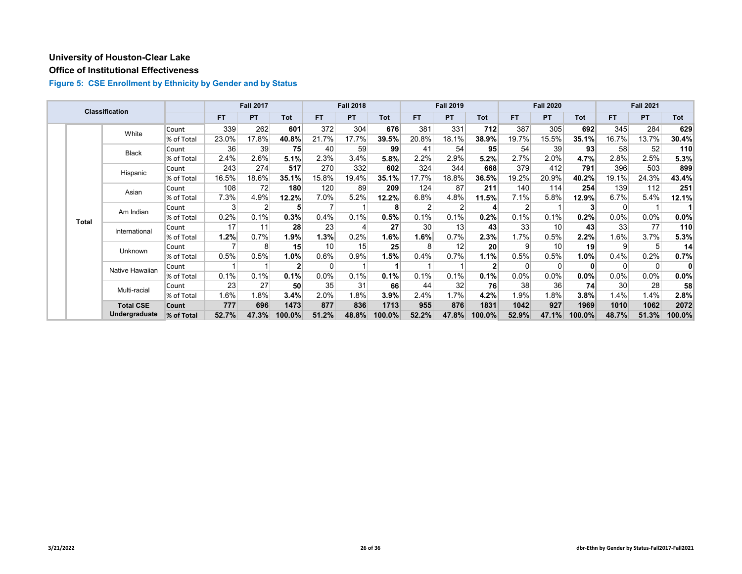#### **Office of Institutional Effectiveness**

|  |              | <b>Classification</b> |            |           | <b>Fall 2017</b> |                |           | <b>Fall 2018</b> |        |       | <b>Fall 2019</b> |                 |                | <b>Fall 2020</b> |            |           | <b>Fall 2021</b> |              |
|--|--------------|-----------------------|------------|-----------|------------------|----------------|-----------|------------------|--------|-------|------------------|-----------------|----------------|------------------|------------|-----------|------------------|--------------|
|  |              |                       |            | <b>FT</b> | PT               | <b>Tot</b>     | <b>FT</b> | PT.              | Tot    | FT.   | <b>PT</b>        | <b>Tot</b>      | FT.            | <b>PT</b>        | <b>Tot</b> | <b>FT</b> | PT               | <b>Tot</b>   |
|  |              | White                 | Count      | 339       | 262              | 601            | 372       | 304              | 676    | 381   | 331              | 712             | 387            | 305              | 692        | 345       | 284              | 629          |
|  |              |                       | % of Total | 23.0%     | 17.8%            | 40.8%          | 21.7%     | 17.7%            | 39.5%  | 20.8% | 18.1%            | 38.9%           | 19.7%          | 15.5%            | 35.1%      | 16.7%     | 13.7%            | 30.4%        |
|  |              | <b>Black</b>          | Count      | 36        | 39               | 75             | 40        | 59               | 99     | 41    | 54               | 95              | 54             | 39               | 93         | 58        | 52               | 110          |
|  |              |                       | % of Total | 2.4%      | 2.6%             | 5.1%           | 2.3%      | 3.4%             | 5.8%   | 2.2%  | 2.9%             | 5.2%            | 2.7%           | 2.0%             | 4.7%       | 2.8%      | 2.5%             | 5.3%         |
|  |              | Hispanic              | Count      | 243       | 274              | 517            | 270       | 332              | 602    | 324   | 344              | 668             | 379            | 412              | 791        | 396       | 503              | 899          |
|  |              |                       | % of Total | 16.5%     | 18.6%            | 35.1%          | 15.8%     | 19.4%            | 35.1%  | 17.7% | 18.8%            | 36.5%           | 19.2%          | 20.9%            | 40.2%      | 19.1%     | 24.3%            | 43.4%        |
|  |              | Asian                 | Count      | 108       | 72               | 180            | 120       | 89               | 209    | 124   | 87               | 211             | 140            | 114              | 254        | 139       | 112              | 251          |
|  |              |                       | % of Total | 7.3%      | 4.9%             | 12.2%          | 7.0%      | 5.2%             | 12.2%  | 6.8%  | 4.8%             | 11.5%           | 7.1%           | 5.8%             | 12.9%      | 6.7%      | 5.4%             | 12.1%        |
|  | <b>Total</b> | Am Indian             | Count      | 3         | 2                | 5              |           |                  | 8      |       |                  | 4               | $\overline{2}$ |                  |            | $\Omega$  |                  |              |
|  |              |                       | % of Total | 0.2%      | 0.1%             | 0.3%           | 0.4%      | 0.1%             | 0.5%   | 0.1%  | 0.1%             | 0.2%            | 0.1%           | 0.1%             | 0.2%       | 0.0%      | $0.0\%$          | $0.0\%$      |
|  |              | International         | Count      | 17        | 11               | 28             | 23        | 4                | 27     | 30    | 13               | 43              | 33             | 10               | 43         | 33        | 77               | 110          |
|  |              |                       | % of Total | 1.2%      | 0.7%             | 1.9%           | 1.3%      | 0.2%             | 1.6%   | 1.6%  | 0.7%             | 2.3%            | 1.7%           | 0.5%             | 2.2%       | 1.6%      | 3.7%             | 5.3%         |
|  |              | Unknown               | Count      |           | 8                | 15             | 10        | 15               | 25     | 8     | 12               | 20 <sub>l</sub> | $\overline{9}$ | 10               | 19         | 9         | 5                | 14           |
|  |              |                       | % of Total | 0.5%      | 0.5%             | 1.0%           | 0.6%      | 0.9%             | 1.5%   | 0.4%  | 0.7%             | 1.1%            | 0.5%           | 0.5%             | 1.0%       | 0.4%      | 0.2%             | 0.7%         |
|  |              | Native Hawaiian       | Count      |           |                  | 2 <sub>l</sub> | 0         | 1                |        |       |                  |                 | $\Omega$       | $\Omega$         | $\bf{0}$   | $\Omega$  | $\overline{0}$   | $\mathbf{0}$ |
|  |              |                       | % of Total | 0.1%      | 0.1%             | 0.1%           | 0.0%      | 0.1%             | 0.1%   | 0.1%  | 0.1%             | 0.1%            | $0.0\%$        | 0.0%             | 0.0%       | 0.0%      | $0.0\%$          | $0.0\%$      |
|  |              | Multi-racial          | Count      | 23        | 27               | 50             | 35        | 31               | 66     | 44    | 32               | 76              | 38             | 36               | 74         | 30        | 28               | 58           |
|  |              |                       | % of Total | 1.6%      | 1.8%             | 3.4%           | 2.0%      | 1.8%             | 3.9%   | 2.4%  | 1.7%             | 4.2%            | 1.9%           | 1.8%             | 3.8%       | 1.4%      | 1.4%             | 2.8%         |
|  |              | <b>Total CSE</b>      | Count      | 777       | 696              | 1473           | 877       | 836              | 1713   | 955   | 876              | 1831            | 1042           | 927              | 1969       | 1010      | 1062             | 2072         |
|  |              | Undergraduate         | % of Total | 52.7%     | 47.3%            | 100.0%         | 51.2%     | 48.8%            | 100.0% | 52.2% | 47.8%            | 100.0%          | 52.9%          | 47.1%            | 100.0%     | 48.7%     | 51.3%            | 100.0%       |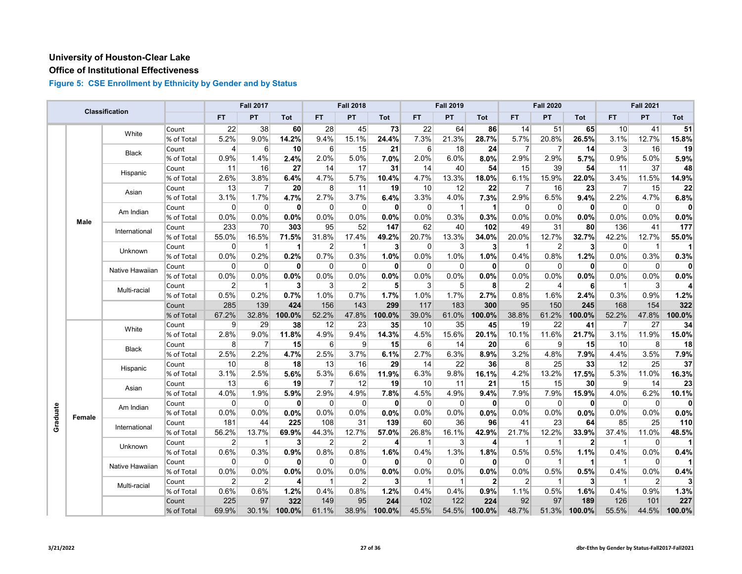#### **Office of Institutional Effectiveness**

|          |        | Classification  |            |                | <b>Fall 2017</b> |                |                | <b>Fall 2018</b> |                |             | <b>Fall 2019</b> |              |                | <b>Fall 2020</b>    |                |                 | <b>Fall 2021</b> |                |
|----------|--------|-----------------|------------|----------------|------------------|----------------|----------------|------------------|----------------|-------------|------------------|--------------|----------------|---------------------|----------------|-----------------|------------------|----------------|
|          |        |                 |            | <b>FT</b>      | PT               | Tot            | FT             | PT               | Tot            | <b>FT</b>   | PT               | Tot          | <b>FT</b>      | <b>PT</b>           | Tot            | FT              | PT               | Tot            |
|          |        | White           | Count      | 22             | 38               | 60             | 28             | 45               | 73             | 22          | 64               | 86           | 14             | 51                  | 65             | 10              | 41               | 51             |
|          |        |                 | % of Total | 5.2%           | 9.0%             | 14.2%          | 9.4%           | 15.1%            | 24.4%          | 7.3%        | 21.3%            | 28.7%        | 5.7%           | 20.8%               | 26.5%          | 3.1%            | 12.7%            | 15.8%          |
|          |        |                 | Count      | 4              | 6                | 10             | 6              | 15               | 21             | 6           | 18               | 24           | $\overline{7}$ | $\overline{7}$      | 14             | $\mathbf{3}$    | 16               | 19             |
|          |        | <b>Black</b>    | % of Total | 0.9%           | 1.4%             | 2.4%           | 2.0%           | 5.0%             | 7.0%           | 2.0%        | 6.0%             | 8.0%         | 2.9%           | $2.9\%$             | 5.7%           | 0.9%            | 5.0%             | 5.9%           |
|          |        |                 | Count      | 11             | 16               | 27             | 14             | 17               | 31             | 14          | 40               | 54           | 15             | 39                  | 54             | 11              | 37               | 48             |
|          |        | Hispanic        | % of Total | 2.6%           | 3.8%             | 6.4%           | 4.7%           | 5.7%             | 10.4%          | 4.7%        | 13.3%            | 18.0%        | 6.1%           | 15.9%               | 22.0%          | 3.4%            | 11.5%            | 14.9%          |
|          |        | Asian           | Count      | 13             | $\overline{7}$   | 20             | 8 <sup>1</sup> | 11               | 19             | 10          | 12               | 22           | $\overline{7}$ | 16                  | 23             | $\overline{7}$  | 15               | 22             |
|          |        |                 | % of Total | 3.1%           | 1.7%             | 4.7%           | 2.7%           | 3.7%             | 6.4%           | 3.3%        | 4.0%             | 7.3%         | 2.9%           | 6.5%                | 9.4%           | 2.2%            | 4.7%             | 6.8%           |
|          |        | Am Indian       | Count      | $\Omega$       | $\overline{0}$   | $\mathbf{0}$   | $\Omega$       | $\mathbf 0$      | $\mathbf{0}$   | $\Omega$    | $\mathbf{1}$     | $\mathbf{1}$ | $\Omega$       | $\Omega$            | $\mathbf{0}$   | $\Omega$        | $\Omega$         | $\mathbf{0}$   |
|          | Male   |                 | % of Total | 0.0%           | 0.0%             | 0.0%           | 0.0%           | 0.0%             | 0.0%           | 0.0%        | 0.3%             | 0.3%         | 0.0%           | 0.0%                | 0.0%           | 0.0%            | 0.0%             | 0.0%           |
|          |        | International   | Count      | 233            | 70               | 303            | 95             | 52               | 147            | 62          | 40               | 102          | 49             | 31                  | 80             | 136             | 41               | 177            |
|          |        |                 | % of Total | 55.0%          | 16.5%            | 71.5%          | 31.8%          | 17.4%            | 49.2%          | 20.7%       | 13.3%            | 34.0%        | 20.0%          | 12.7%               | 32.7%          | 42.2%           | 12.7%            | 55.0%          |
|          |        | <b>Unknown</b>  | Count      | $\Omega$       | $\mathbf{1}$     |                | $\overline{2}$ | $\mathbf{1}$     | 3 <sup>1</sup> | $\mathbf 0$ | 3                | 3            | -1             | $\overline{2}$      | 3              | $\mathbf 0$     | -1               | 11             |
|          |        |                 | % of Total | 0.0%           | 0.2%             | 0.2%           | 0.7%           | 0.3%             | 1.0%           | 0.0%        | 1.0%             | 1.0%         | 0.4%           | 0.8%                | 1.2%           | 0.0%            | 0.3%             | 0.3%           |
|          |        | Native Hawaiian | Count      | $\mathbf 0$    | $\Omega$         | $\mathbf{0}$   | $\mathbf 0$    | $\mathbf 0$      | $\mathbf{0}$   | 0           | $\Omega$         | $\mathbf{0}$ | $\Omega$       | $\Omega$            | $\mathbf{0}$   | $\overline{0}$  | $\mathbf 0$      | $\mathbf{0}$   |
|          |        |                 | % of Total | 0.0%           | 0.0%             | 0.0%           | 0.0%           | 0.0%             | 0.0%           | $0.0\%$     | 0.0%             | 0.0%         | 0.0%           | 0.0%                | 0.0%           | 0.0%            | 0.0%             | 0.0%           |
|          |        | Multi-racial    | Count      | $\overline{2}$ | $\mathbf{1}$     | 3              | 3              | $\overline{2}$   | 5              | 3           | 5                | 8            | $\overline{2}$ | $\overline{4}$      | 6              | $\overline{1}$  | 3                | $\overline{4}$ |
|          |        |                 | % of Total | 0.5%           | 0.2%             | 0.7%           | 1.0%           | 0.7%             | 1.7%           | 1.0%        | 1.7%             | 2.7%         | 0.8%           | 1.6%                | 2.4%           | 0.3%            | 0.9%             | 1.2%           |
|          |        |                 | Count      | 285            | 139              | 424            | 156            | 143              | 299            | 117         | 183              | 300          | 95             | 150                 | 245            | 168             | 154              | 322            |
|          |        |                 | % of Total | 67.2%          | 32.8%            | 100.0%         | 52.2%          | 47.8%            | 100.0%         | 39.0%       | 61.0%            | 100.0%       | 38.8%          | 61.2%               | 100.0%         | 52.2%           | 47.8%            | 100.0%         |
|          |        | White           | Count      | 9              | 29               | 38             | 12             | 23               | 35             | 10          | 35               | 45           | 19             | 22                  | 41             | 7               | 27               | 34             |
|          |        |                 | % of Total | 2.8%           | 9.0%             | 11.8%          | 4.9%           | 9.4%             | 14.3%          | 4.5%        | 15.6%            | 20.1%        | 10.1%          | 11.6%               | 21.7%          | 3.1%            | 11.9%            | 15.0%          |
|          |        | <b>Black</b>    | Count      | 8              | $\overline{7}$   | 15             | $6 \mid$       | 9                | 15             | 6           | 14               | 20           | $6 \mid$       | $\overline{9}$      | 15             | 10              | 8                | 18             |
|          |        |                 | % of Total | 2.5%           | 2.2%             | 4.7%           | 2.5%           | 3.7%             | 6.1%           | 2.7%        | 6.3%             | 8.9%         | 3.2%           | 4.8%                | 7.9%           | 4.4%            | 3.5%             | 7.9%           |
|          |        | Hispanic        | Count      | 10             | 8                | 18             | 13             | 16               | 29             | 14          | 22               | 36           | 8              | 25                  | 33             | 12              | 25               | 37             |
|          |        |                 | % of Total | 3.1%           | 2.5%             | 5.6%           | 5.3%           | 6.6%             | 11.9%          | 6.3%        | 9.8%             | 16.1%        | 4.2%           | 13.2%               | 17.5%          | 5.3%            | 11.0%            | 16.3%          |
|          |        | Asian           | Count      | 13             | $6 \mid$         | 19             | $\overline{7}$ | 12               | 19             | 10          | 11               | 21           | 15             | 15                  | 30             | $\vert 9 \vert$ | 14               | 23             |
|          |        |                 | % of Total | 4.0%           | 1.9%             | 5.9%           | 2.9%           | 4.9%             | 7.8%           | 4.5%        | 4.9%             | 9.4%         | 7.9%           | 7.9%                | 15.9%          | 4.0%            | 6.2%             | 10.1%          |
|          |        | Am Indian       | Count      | $\Omega$       | $\overline{0}$   | $\mathbf{0}$   | $\overline{0}$ | 0                | 0              | 0           | 0                | 0            | 0              | $\mathbf 0$         | $\mathbf{0}$   | $\overline{0}$  | $\mathbf 0$      | $\mathbf{0}$   |
| Graduate | Female |                 | % of Total | 0.0%           | 0.0%             | 0.0%           | 0.0%           | 0.0%             | 0.0%           | 0.0%        | 0.0%             | 0.0%         | 0.0%           | 0.0%                | 0.0%           | 0.0%            | 0.0%             | 0.0%           |
|          |        | International   | Count      | 181            | 44               | 225            | 108            | 31               | 139            | 60          | 36               | 96           | 41             | 23                  | 64             | 85              | 25               | 110            |
|          |        |                 | % of Total | 56.2%          | 13.7%            | 69.9%          | 44.3%          | 12.7%            | 57.0%          | 26.8%       | 16.1%            | 42.9%        | 21.7%          | $12.\overline{2\%}$ | 33.9%          | 37.4%           | 11.0%            | 48.5%          |
|          |        | Unknown         | Count      | $\overline{2}$ | $\mathbf 1$      | $\mathbf{3}$   | $\overline{2}$ | $\overline{2}$   | $\overline{4}$ | -1          | 3                | 4            | -1             | $\mathbf 1$         | $\mathbf{2}$   | $\overline{1}$  | $\mathbf 0$      | 1              |
|          |        |                 | % of Total | 0.6%           | 0.3%             | 0.9%           | 0.8%           | 0.8%             | 1.6%           | 0.4%        | 1.3%             | 1.8%         | 0.5%           | 0.5%                | 1.1%           | 0.4%            | 0.0%             | 0.4%           |
|          |        | Native Hawaiian | Count      | $\Omega$       | $\Omega$         | 0              | $\Omega$       | $\Omega$         | 0              | $\Omega$    | 0                | 0            | $\Omega$       | $\mathbf 1$         |                | $\overline{1}$  | $\Omega$         |                |
|          |        |                 | % of Total | 0.0%           | 0.0%             | 0.0%           | 0.0%           | 0.0%             | 0.0%           | 0.0%        | 0.0%             | 0.0%         | 0.0%           | 0.5%                | 0.5%           | 0.4%            | 0.0%             | 0.4%           |
|          |        | Multi-racial    | Count      | $\overline{2}$ | $\overline{2}$   | $\overline{4}$ | $\overline{1}$ | $\overline{2}$   | 3 <sup>1</sup> | 1           | -1               | $\mathbf{2}$ | $\overline{2}$ | $\mathbf 1$         | 3 <sup>1</sup> | $\overline{1}$  | 2                | 3 <sup>1</sup> |
|          |        |                 | % of Total | 0.6%           | 0.6%             | 1.2%           | 0.4%           | 0.8%             | 1.2%           | 0.4%        | 0.4%             | 0.9%         | 1.1%           | 0.5%                | 1.6%           | 0.4%            | 0.9%             | 1.3%           |
|          |        |                 | Count      | 225            | 97               | 322            | 149            | 95               | 244            | 102         | 122              | 224          | 92             | 97                  | 189            | 126             | 101              | 227            |
|          |        |                 | % of Total | 69.9%          | 30.1%            | 100.0%         | 61.1%          | 38.9%            | 100.0%         | 45.5%       | 54.5%            | 100.0%       | 48.7%          | 51.3%               | 100.0%         | 55.5%           | 44.5%            | 100.0%         |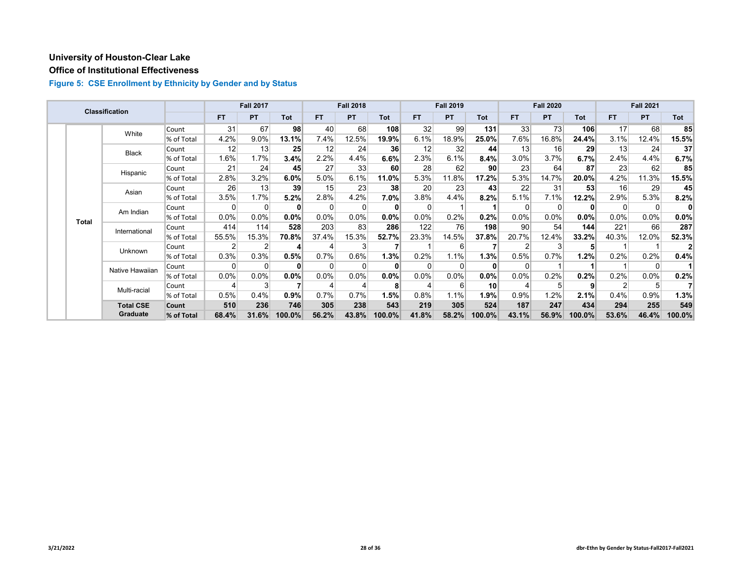#### **Office of Institutional Effectiveness**

|  |              | <b>Classification</b> |            |           | <b>Fall 2017</b> |          |           | <b>Fall 2018</b> |         |          | <b>Fall 2019</b> |            |         | <b>Fall 2020</b> |            |          | <b>Fall 2021</b> |         |
|--|--------------|-----------------------|------------|-----------|------------------|----------|-----------|------------------|---------|----------|------------------|------------|---------|------------------|------------|----------|------------------|---------|
|  |              |                       |            | <b>FT</b> | <b>PT</b>        | Tot      | <b>FT</b> | <b>PT</b>        | Tot     | FT.      | <b>PT</b>        | <b>Tot</b> | FT.     | <b>PT</b>        | <b>Tot</b> | FT.      | <b>PT</b>        | Tot     |
|  |              | White                 | Count      | 31        | 67               | 98       | 40        | 68               | 108     | 32       | 99               | 131        | 33      | 73               | 106        | 17       | 68               | 85      |
|  |              |                       | % of Total | 4.2%      | 9.0%             | 13.1%    | 7.4%      | 12.5%            | 19.9%   | 6.1%     | 18.9%            | 25.0%      | 7.6%    | 16.8%            | 24.4%      | 3.1%     | 12.4%            | 15.5%   |
|  |              | <b>Black</b>          | Count      | 12        | 13               | 25       | 12        | 24               | 36      | 12       | 32               | 44         | 13      | 16               | 29         | 13       | 24               | 37      |
|  |              |                       | % of Total | 1.6%      | 1.7%             | 3.4%     | 2.2%      | 4.4%             | 6.6%    | 2.3%     | 6.1%             | 8.4%       | 3.0%    | 3.7%             | 6.7%       | 2.4%     | 4.4%             | 6.7%    |
|  |              | Hispanic              | Count      | 21        | 24               | 45       | 27        | 33               | 60      | 28       | 62               | 90         | 23      | 64               | 87         | 23       | 62               | 85      |
|  |              |                       | % of Total | 2.8%      | 3.2%             | 6.0%     | 5.0%      | 6.1%             | 11.0%   | 5.3%     | 11.8%            | 17.2%      | 5.3%    | 14.7%            | 20.0%      | 4.2%     | 11.3%            | 15.5%   |
|  |              | Asian                 | Count      | 26        | 13               | 39       | 15        | 23               | 38      | 20       | 23               | 43         | 22      | 31               | 53         | 16       | 29               | 45      |
|  |              |                       | % of Total | 3.5%      | 1.7%             | 5.2%     | 2.8%      | 4.2%             | $7.0\%$ | 3.8%     | 4.4%             | 8.2%       | 5.1%    | 7.1%             | 12.2%      | 2.9%     | 5.3%             | 8.2%    |
|  | <b>Total</b> | Am Indian             | Count      | 0         | $\Omega$         | $\bf{0}$ | 0         | $\Omega$         |         | $\Omega$ |                  |            |         | $\Omega$         | $\bf{0}$   | $\Omega$ | 0                | 0       |
|  |              |                       | % of Total | $0.0\%$   | 0.0%             | $0.0\%$  | $0.0\%$   | 0.0%             | 0.0%    | 0.0%     | 0.2%             | 0.2%       | 0.0%    | 0.0%             | $0.0\%$    | 0.0%     | $0.0\%$          | $0.0\%$ |
|  |              | International         | Count      | 414       | 114              | 528      | 203       | 83               | 286     | 122      | 76               | 198        | 90      | 54               | 144        | 221      | 66               | 287     |
|  |              |                       | % of Total | 55.5%     | 15.3%            | 70.8%    | 37.4%     | 15.3%            | 52.7%   | 23.3%    | 14.5%            | 37.8%      | 20.7%   | 12.4%            | 33.2%      | 40.3%    | 12.0%            | 52.3%   |
|  |              | <b>Unknown</b>        | Count      |           |                  | 4        |           | 3                |         |          | 6                |            |         | 3                | 5          |          |                  |         |
|  |              |                       | % of Total | 0.3%      | 0.3%             | 0.5%     | 0.7%      | 0.6%             | 1.3%    | 0.2%     | 1.1%             | 1.3%       | 0.5%    | 0.7%             | 1.2%       | 0.2%     | 0.2%             | 0.4%    |
|  |              | Native Hawaiian       | Count      | 0         | $\Omega$         | $\bf{0}$ | $\Omega$  | $\Omega$         |         |          |                  | 0          |         |                  |            |          | 0                |         |
|  |              |                       | % of Total | 0.0%      | 0.0%             | $0.0\%$  | 0.0%      | 0.0%             | 0.0%    | 0.0%     | 0.0%             | 0.0%       | 0.0%    | 0.2%             | 0.2%       | 0.2%     | $0.0\%$          | 0.2%    |
|  |              | Multi-racial          | Count      |           | З                |          |           | 4                |         |          | 6                | 10         |         | 5                | 9          | 2        | 5                |         |
|  |              |                       | % of Total | 0.5%      | 0.4%             | 0.9%     | 0.7%      | 0.7%             | 1.5%    | 0.8%     | 1.1%             | 1.9%       | $0.9\%$ | 1.2%             | 2.1%       | 0.4%     | 0.9%             | 1.3%    |
|  |              | <b>Total CSE</b>      | Count      | 510       | 236              | 746      | 305       | 238              | 543     | 219      | 305              | 524        | 187     | 247              | 434        | 294      | 255              | 549     |
|  |              | Graduate              | % of Total | 68.4%     | 31.6%            | 100.0%   | 56.2%     | 43.8%            | 100.0%  | 41.8%    | 58.2%            | 100.0%     | 43.1%   | 56.9%            | 100.0%     | 53.6%    | 46.4%            | 100.0%  |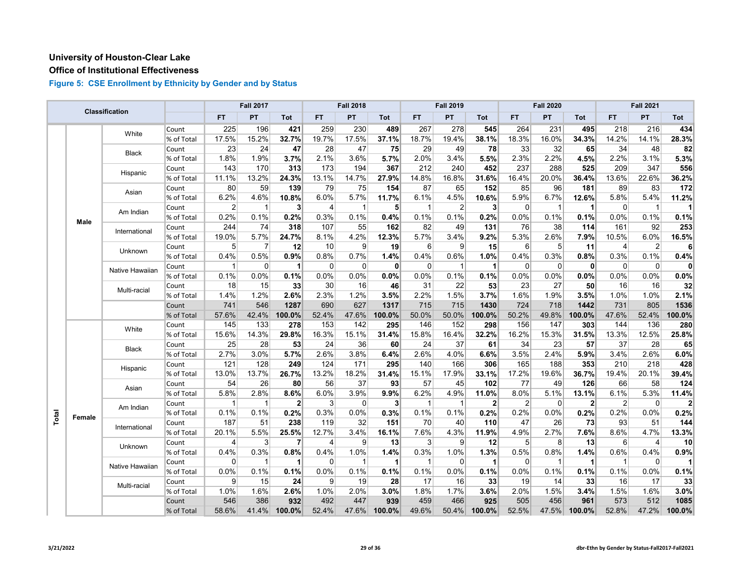#### **Office of Institutional Effectiveness**

|       |             | Classification  |            |                | <b>Fall 2017</b> |                |                | <b>Fall 2018</b> |                      |             | <b>Fall 2019</b> |              |                | <b>Fall 2020</b> |              |                         | <b>Fall 2021</b>        |              |
|-------|-------------|-----------------|------------|----------------|------------------|----------------|----------------|------------------|----------------------|-------------|------------------|--------------|----------------|------------------|--------------|-------------------------|-------------------------|--------------|
|       |             |                 |            | <b>FT</b>      | PT               | Tot            | FT.            | <b>PT</b>        | <b>Tot</b>           | <b>FT</b>   | PT               | <b>Tot</b>   | <b>FT</b>      | PT               | Tot          | <b>FT</b>               | PT.                     | Tot          |
|       |             | White           | Count      | 225            | 196              | 421            | 259            | 230              | 489                  | 267         | 278              | 545          | 264            | 231              | 495          | 218                     | 216                     | 434          |
|       |             |                 | % of Total | 17.5%          | 15.2%            | 32.7%          | 19.7%          | 17.5%            | 37.1%                | 18.7%       | 19.4%            | 38.1%        | 18.3%          | 16.0%            | 34.3%        | 14.2%                   | 14.1%                   | 28.3%        |
|       |             | Black           | Count      | 23             | 24               | 47             | 28             | 47               | 75                   | 29          | 49               | 78           | 33             | 32               | 65           | 34                      | 48                      | 82           |
|       |             |                 | % of Total | 1.8%           | 1.9%             | 3.7%           | 2.1%           | 3.6%             | 5.7%                 | 2.0%        | 3.4%             | 5.5%         | 2.3%           | 2.2%             | 4.5%         | 2.2%                    | 3.1%                    | 5.3%         |
|       |             | Hispanic        | Count      | 143            | 170              | 313            | 173            | 194              | 367                  | 212         | 240              | 452          | 237            | 288              | 525          | 209                     | 347                     | 556          |
|       |             |                 | % of Total | 11.1%          | 13.2%            | 24.3%          | 13.1%          | 14.7%            | 27.9%                | 14.8%       | 16.8%            | 31.6%        | 16.4%          | 20.0%            | 36.4%        | 13.6%                   | 22.6%                   | 36.2%        |
|       |             | Asian           | Count      | 80             | 59               | 139            | 79             | 75               | 154                  | 87          | 65               | 152          | 85             | 96               | 181          | 89                      | 83                      | 172          |
|       |             |                 | % of Total | 6.2%           | 4.6%             | 10.8%          | 6.0%           | 5.7%             | 11.7%                | 6.1%        | 4.5%             | 10.6%        | 5.9%           | 6.7%             | 12.6%        | 5.8%                    | 5.4%                    | 11.2%        |
|       |             | Am Indian       | Count      | $\overline{2}$ | $\mathbf{1}$     | 3 <sup>1</sup> | $\overline{4}$ | -1               | 5                    | 1           | 2                | 3            | $\Omega$       | $\mathbf{1}$     | 1            | $\overline{0}$          | $\overline{\mathbf{1}}$ | 11           |
|       | <b>Male</b> |                 | % of Total | 0.2%           | 0.1%             | 0.2%           | 0.3%           | 0.1%             | 0.4%                 | 0.1%        | 0.1%             | 0.2%         | 0.0%           | 0.1%             | 0.1%         | 0.0%                    | 0.1%                    | 0.1%         |
|       |             | International   | Count      | 244            | 74               | 318            | 107            | 55               | 162                  | 82          | 49               | 131          | 76             | 38               | 114          | 161                     | 92                      | 253          |
|       |             |                 | % of Total | 19.0%          | 5.7%             | 24.7%          | 8.1%           | 4.2%             | 12.3%                | 5.7%        | 3.4%             | 9.2%         | 5.3%           | 2.6%             | 7.9%         | 10.5%                   | 6.0%                    | 16.5%        |
|       |             | Unknown         | Count      | 5              | $\overline{7}$   | 12             | 10             | 9                | 19                   | 6           | 9                | 15           | 6              | 5                | 11           | 4                       | 2                       | 6            |
|       |             |                 | % of Total | 0.4%           | 0.5%             | 0.9%           | 0.8%           | 0.7%             | 1.4%                 | 0.4%        | 0.6%             | 1.0%         | 0.4%           | 0.3%             | 0.8%         | 0.3%                    | 0.1%                    | 0.4%         |
|       |             | Native Hawaiian | Count      | 1              | 0                | 1              | 0              | $\mathbf 0$      | $\mathbf{0}$         | $\mathbf 0$ | 1                | 1            | $\Omega$       | $\mathbf 0$      | $\mathbf{0}$ | $\overline{0}$          | $\mathbf 0$             | $\mathbf{0}$ |
|       |             |                 | % of Total | 0.1%           | 0.0%             | 0.1%           | 0.0%           | 0.0%             | 0.0%                 | 0.0%        | 0.1%             | 0.1%         | 0.0%           | 0.0%             | 0.0%         | 0.0%                    | 0.0%                    | 0.0%         |
|       |             | Multi-racial    | Count      | 18             | 15               | 33             | 30             | 16               | 46                   | 31          | 22               | 53           | 23             | 27               | 50           | 16                      | 16                      | 32           |
|       |             |                 | % of Total | 1.4%           | 1.2%             | 2.6%           | 2.3%           | 1.2%             | 3.5%                 | 2.2%        | 1.5%             | 3.7%         | 1.6%           | 1.9%             | 3.5%         | 1.0%                    | 1.0%                    | 2.1%         |
|       |             |                 | Count      | 741            | 546              | 1287           | 690            | 627              | 1317                 | 715         | 715              | 1430         | 724            | 718              | 1442         | 731                     | 805                     | 1536         |
|       |             |                 | % of Total | 57.6%          | 42.4%            | 100.0%         | 52.4%          | 47.6%            | 100.0%               | 50.0%       | 50.0%            | 100.0%       | 50.2%          | 49.8%            | 100.0%       | 47.6%                   | 52.4%                   | 100.0%       |
|       |             | White           | Count      | 145            | 133              | 278            | 153            | 142              | 295                  | 146         | 152              | 298          | 156            | 147              | 303          | 144                     | 136                     | 280          |
|       |             |                 | % of Total | 15.6%          | 14.3%            | 29.8%          | 16.3%          | 15.1%            | 31.4%                | 15.8%       | 16.4%            | 32.2%        | 16.2%          | 15.3%            | 31.5%        | 13.3%                   | 12.5%                   | 25.8%        |
|       |             | Black           | Count      | 25             | 28               | 53             | 24             | 36               | 60                   | 24          | 37               | 61           | 34             | 23               | 57           | 37                      | 28                      | 65           |
|       |             |                 | % of Total | 2.7%           | 3.0%             | 5.7%           | 2.6%           | 3.8%             | 6.4%                 | 2.6%        | 4.0%             | 6.6%         | 3.5%           | 2.4%             | 5.9%         | 3.4%                    | 2.6%                    | 6.0%         |
|       |             | Hispanic        | Count      | 121            | 128              | 249            | 124            | 171              | 295                  | 140         | 166              | 306          | 165            | 188              | 353          | 210                     | 218                     | 428          |
|       |             |                 | % of Total | 13.0%          | 13.7%            | 26.7%          | 13.2%          | 18.2%            | 31.4%                | 15.1%       | 17.9%            | 33.1%        | 17.2%          | 19.6%            | 36.7%        | 19.4%                   | 20.1%                   | 39.4%        |
|       |             | Asian           | Count      | 54             | 26               | 80             | 56             | 37               | 93                   | 57          | 45               | 102          | 77             | 49               | 126          | 66                      | 58                      | 124          |
|       |             |                 | % of Total | 5.8%           | 2.8%             | 8.6%           | 6.0%           | 3.9%             | 9.9%                 | 6.2%        | 4.9%             | 11.0%        | 8.0%           | 5.1%             | 13.1%        | 6.1%                    | 5.3%                    | 11.4%        |
|       |             | Am Indian       | Count      | 1              | 1                | $\overline{2}$ | 3              | $\mathbf 0$      | 3                    | $\mathbf 1$ | $\mathbf 1$      | $\mathbf{2}$ | $\overline{2}$ | $\mathbf 0$      | $\mathbf{2}$ | $\overline{2}$          | $\mathbf 0$             | $\mathbf{2}$ |
| Total | Female      |                 | % of Total | 0.1%           | 0.1%             | 0.2%           | 0.3%           | 0.0%             | 0.3%                 | 0.1%        | 0.1%             | 0.2%         | 0.2%           | 0.0%             | 0.2%         | 0.2%                    | 0.0%                    | 0.2%         |
|       |             | International   | Count      | 187            | 51               | 238            | 119            | 32               | 151                  | 70          | 40               | 110          | 47             | 26               | 73           | 93                      | 51                      | 144          |
|       |             |                 | % of Total | 20.1%          | 5.5%             | 25.5%          | 12.7%          | 3.4%             | 16.1%                | 7.6%        | 4.3%             | 11.9%        | 4.9%           | 2.7%             | 7.6%         | 8.6%                    | 4.7%                    | 13.3%        |
|       |             | Unknown         | Count      | 4              | 3                | 7              | $\overline{4}$ | 9                | 13                   | 3           | 9                | 12           | 5              | 8                | 13           | $6 \mid$                | $\overline{4}$          | 10           |
|       |             |                 | % of Total | 0.4%           | 0.3%             | 0.8%           | 0.4%           | 1.0%             | 1.4%                 | 0.3%        | 1.0%             | 1.3%         | 0.5%           | 0.8%             | 1.4%         | 0.6%                    | 0.4%                    | 0.9%         |
|       |             | Native Hawaiian | Count      | $\Omega$       | 1                |                | $\Omega$       | $\mathbf{1}$     | $\blacktriangleleft$ |             | $\Omega$         | 1            | $\Omega$       | $\mathbf 1$      |              | $\overline{\mathbf{1}}$ | $\Omega$                |              |
|       |             |                 | % of Total | 0.0%           | 0.1%             | 0.1%           | 0.0%           | 0.1%             | 0.1%                 | 0.1%        | 0.0%             | 0.1%         | 0.0%           | 0.1%             | 0.1%         | 0.1%                    | 0.0%                    | 0.1%         |
|       |             | Multi-racial    | Count      | 9              | 15               | 24             | 9              | 19               | 28                   | 17          | 16               | 33           | 19             | 14               | 33           | 16                      | 17                      | 33           |
|       |             |                 | % of Total | 1.0%           | 1.6%             | 2.6%           | 1.0%           | 2.0%             | 3.0%                 | 1.8%        | 1.7%             | 3.6%         | 2.0%           | 1.5%             | 3.4%         | 1.5%                    | 1.6%                    | 3.0%         |
|       |             |                 | Count      | 546            | 386              | 932            | 492            | 447              | 939                  | 459         | 466              | 925          | 505            | 456              | 961          | 573                     | 512                     | 1085         |
|       |             |                 | % of Total | 58.6%          | 41.4%            | 100.0%         | 52.4%          | 47.6%            | 100.0%               | 49.6%       | 50.4%            | 100.0%       | 52.5%          | 47.5%            | 100.0%       | 52.8%                   | 47.2%                   | 100.0%       |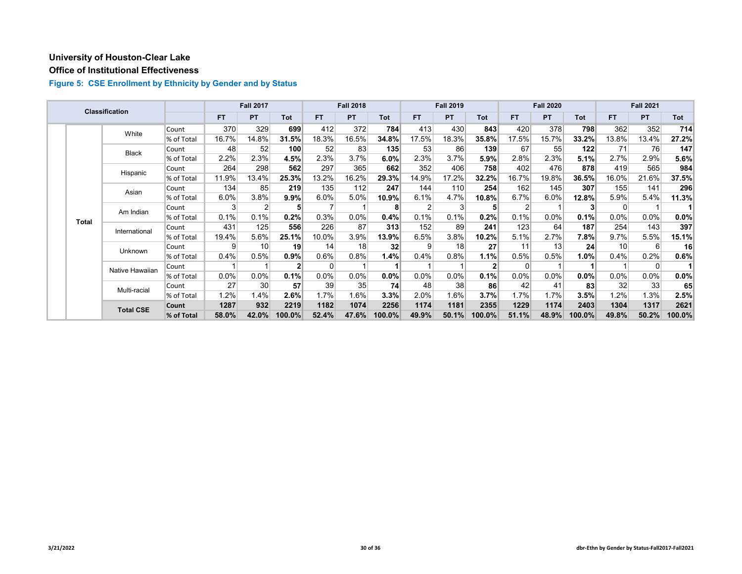#### **Office of Institutional Effectiveness**

|  |              | <b>Classification</b> |            |           | <b>Fall 2017</b> |                |           | <b>Fall 2018</b> |        |       | <b>Fall 2019</b> |            |           | <b>Fall 2020</b> |                |       | <b>Fall 2021</b> |         |
|--|--------------|-----------------------|------------|-----------|------------------|----------------|-----------|------------------|--------|-------|------------------|------------|-----------|------------------|----------------|-------|------------------|---------|
|  |              |                       |            | <b>FT</b> | <b>PT</b>        | Tot            | <b>FT</b> | <b>PT</b>        | Tot    | FT.   | <b>PT</b>        | <b>Tot</b> | <b>FT</b> | <b>PT</b>        | <b>Tot</b>     | FT.   | <b>PT</b>        | Tot     |
|  |              | White                 | Count      | 370       | 329              | 699            | 412       | 372              | 784    | 413   | 430              | 843        | 420       | 378              | 798            | 362   | 352              | 714     |
|  |              |                       | % of Total | 16.7%     | 14.8%            | 31.5%          | 18.3%     | 16.5%            | 34.8%  | 17.5% | 18.3%            | 35.8%      | 17.5%     | 15.7%            | 33.2%          | 13.8% | 13.4%            | 27.2%   |
|  |              | <b>Black</b>          | Count      | 48        | 52               | 100            | 52        | 83               | 135    | 53    | 86               | 139        | 67        | 55               | 122            | 71    | 76               | 147     |
|  |              |                       | % of Total | 2.2%      | 2.3%             | 4.5%           | 2.3%      | 3.7%             | 6.0%   | 2.3%  | 3.7%             | 5.9%       | 2.8%      | 2.3%             | 5.1%           | 2.7%  | 2.9%             | 5.6%    |
|  |              | Hispanic              | Count      | 264       | 298              | 562            | 297       | 365              | 662    | 352   | 406              | 758        | 402       | 476              | 878            | 419   | 565              | 984     |
|  |              |                       | % of Total | 11.9%     | 13.4%            | 25.3%          | 13.2%     | 16.2%            | 29.3%  | 14.9% | 17.2%            | 32.2%      | 16.7%     | 19.8%            | 36.5%          | 16.0% | 21.6%            | 37.5%   |
|  |              | Asian                 | Count      | 134       | 85               | 219            | 135       | 112              | 247    | 144   | 110              | 254        | 162       | 145              | 307            | 155   | 141              | 296     |
|  |              |                       | % of Total | 6.0%      | 3.8%             | 9.9%           | 6.0%      | 5.0%             | 10.9%  | 6.1%  | 4.7%             | 10.8%      | 6.7%      | 6.0%             | 12.8%          | 5.9%  | 5.4%             | 11.3%   |
|  | <b>Total</b> | Am Indian             | Count      | 3         | 2                | 5              |           |                  | 8      | 2     |                  | 5          | 2         |                  | 3 <sub>l</sub> | 0     |                  |         |
|  |              |                       | % of Total | 0.1%      | 0.1%             | $0.2\%$        | 0.3%      | 0.0%             | 0.4%   | 0.1%  | 0.1%             | 0.2%       | 0.1%      | 0.0%             | 0.1%           | 0.0%  | $0.0\%$          | $0.0\%$ |
|  |              | International         | Count      | 431       | 125              | 556            | 226       | 87               | 313    | 152   | 89               | 241        | 123       | 64               | 187            | 254   | 143              | 397     |
|  |              |                       | % of Total | 19.4%     | 5.6%             | 25.1%          | 10.0%     | 3.9%             | 13.9%  | 6.5%  | 3.8%             | 10.2%      | 5.1%      | 2.7%             | 7.8%           | 9.7%  | 5.5%             | 15.1%   |
|  |              | Unknown               | Count      | 9         | 10               | 19             | 14        | 18               | 32     | 9     | 18               | 27         | 11        | 13               | 24             | 10    | 6                | 16      |
|  |              |                       | % of Total | 0.4%      | 0.5%             | 0.9%           | 0.6%      | 0.8%             | 1.4%   | 0.4%  | 0.8%             | 1.1%       | $0.5\%$   | 0.5%             | 1.0%           | 0.4%  | 0.2%             | 0.6%    |
|  |              | Native Hawaiian       | Count      |           |                  | 2 <sub>l</sub> | $\Omega$  |                  |        |       |                  |            | 0         |                  |                |       | 0                |         |
|  |              |                       | % of Total | $0.0\%$   | 0.0%             | 0.1%           | $0.0\%$   | 0.0%             | 0.0%   | 0.0%  | 0.0%             | 0.1%       | $0.0\%$   | 0.0%             | $0.0\%$        | 0.0%  | $0.0\%$          | 0.0%    |
|  |              | Multi-racial          | Count      | 27        | 30               | 57             | 39        | 35               | 74     | 48    | 38               | 86         | 42        | 41               | 83             | 32    | 33 <sub>1</sub>  | 65      |
|  |              |                       | % of Total | 1.2%      | 1.4%             | 2.6%           | 1.7%      | 1.6%             | 3.3%   | 2.0%  | 1.6%             | 3.7%       | 1.7%      | 1.7%             | 3.5%           | 1.2%  | 1.3%             | 2.5%    |
|  |              | <b>Total CSE</b>      | Count      | 1287      | 932              | 2219           | 1182      | 1074             | 2256   | 1174  | 1181             | 2355       | 1229      | 1174             | 2403           | 1304  | 1317             | 2621    |
|  |              |                       | % of Total | 58.0%     | 42.0%            | 100.0%         | 52.4%     | 47.6%            | 100.0% | 49.9% | 50.1%            | 100.0%     | 51.1%     | 48.9%            | 100.0%         | 49.8% | 50.2%            | 100.0%  |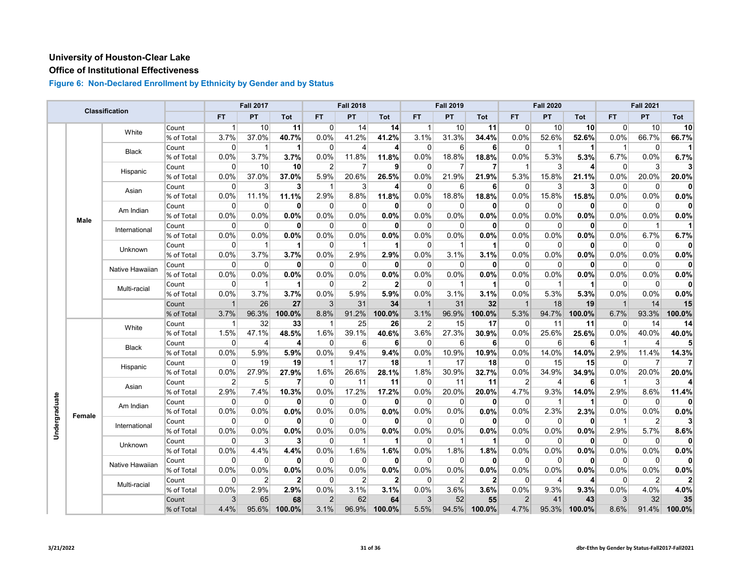## **Office of Institutional Effectiveness**

|               |        |                 |            |                | <b>Fall 2017</b> |                |                | <b>Fall 2018</b> |                     |                | <b>Fall 2019</b> |              |                | <b>Fall 2020</b> |                 |                | <b>Fall 2021</b> |              |
|---------------|--------|-----------------|------------|----------------|------------------|----------------|----------------|------------------|---------------------|----------------|------------------|--------------|----------------|------------------|-----------------|----------------|------------------|--------------|
|               |        | Classification  |            | <b>FT</b>      | PT               | Tot            | <b>FT</b>      | PT               | Tot                 | <b>FT</b>      | PT               | <b>Tot</b>   | <b>FT</b>      | PT               | <b>Tot</b>      | <b>FT</b>      | <b>PT</b>        | Tot          |
|               |        | White           | Count      | 1              | 10               | 11             | $\Omega$       | 14               | 14                  | $\mathbf{1}$   | 10               | 11           | 0              | 10               | 10 <sup>1</sup> | 0              | 10               | 10           |
|               |        |                 | % of Total | 3.7%           | 37.0%            | 40.7%          | 0.0%           | 41.2%            | 41.2%               | 3.1%           | 31.3%            | 34.4%        | 0.0%           | 52.6%            | 52.6%           | 0.0%           | 66.7%            | 66.7%        |
|               |        | <b>Black</b>    | Count      | $\Omega$       | -1               | 1              | 0              | 4                | 4                   | 0              | 6                | 6            | $\Omega$       | -1               |                 | -1             | 0                | 11           |
|               |        |                 | % of Total | 0.0%           | 3.7%             | 3.7%           | 0.0%           | 11.8%            | 11.8%               | 0.0%           | 18.8%            | 18.8%        | 0.0%           | 5.3%             | 5.3%            | 6.7%           | 0.0%             | 6.7%         |
|               |        | Hispanic        | Count      | $\Omega$       | 10               | 10             | $\overline{2}$ | 7                | 9                   | 0              |                  | 7            | 1              | 3                | 4               | $\overline{0}$ | 3                | 3            |
|               |        |                 | % of Total | 0.0%           | 37.0%            | 37.0%          | 5.9%           | 20.6%            | 26.5%               | 0.0%           | 21.9%            | 21.9%        | 5.3%           | 15.8%            | 21.1%           | 0.0%           | 20.0%            | 20.0%        |
|               |        | Asian           | Count      | $\mathbf 0$    | 3                | 3              | $\overline{1}$ | 3                | $\overline{\bf{4}}$ | 0              | 6                | 6            | $\overline{0}$ | 3                | $\mathbf{3}$    | $\overline{0}$ | 0                | $\mathbf{0}$ |
|               |        |                 | % of Total | 0.0%           | 11.1%            | 11.1%          | 2.9%           | 8.8%             | 11.8%               | 0.0%           | 18.8%            | 18.8%        | 0.0%           | 15.8%            | 15.8%           | 0.0%           | 0.0%             | 0.0%         |
|               |        | Am Indian       | Count      | $\Omega$       | $\mathbf 0$      | $\mathbf{0}$   | $\mathbf 0$    | 0                | 0                   | 0              | $\Omega$         | 0            | $\Omega$       | $\mathbf 0$      | $\mathbf{0}$    | $\mathbf 0$    | 0                | $\mathbf{0}$ |
|               | Male   |                 | % of Total | 0.0%           | 0.0%             | 0.0%           | 0.0%           | 0.0%             | 0.0%                | 0.0%           | 0.0%             | 0.0%         | 0.0%           | 0.0%             | 0.0%            | 0.0%           | 0.0%             | 0.0%         |
|               |        | International   | Count      | $\Omega$       | $\Omega$         | $\mathbf{0}$   | $\Omega$       | $\mathbf 0$      | $\mathbf{0}$        | $\Omega$       | $\Omega$         | 0            | $\Omega$       | $\Omega$         | $\mathbf{0}$    | $\Omega$       | $\mathbf{1}$     | 11           |
|               |        |                 | % of Total | 0.0%           | 0.0%             | 0.0%           | 0.0%           | 0.0%             | 0.0%                | 0.0%           | 0.0%             | 0.0%         | 0.0%           | 0.0%             | 0.0%            | 0.0%           | 6.7%             | 6.7%         |
|               |        | Unknown         | Count      | 0              | 1                | 1              | $\Omega$       | $\mathbf 1$      | $\mathbf{1}$        | $\Omega$       | 1                | 1            | 0              | $\Omega$         | $\bf{0}$        | $\Omega$       | $\Omega$         | $\mathbf{0}$ |
|               |        |                 | % of Total | 0.0%           | 3.7%             | 3.7%           | 0.0%           | 2.9%             | 2.9%                | 0.0%           | 3.1%             | 3.1%         | 0.0%           | 0.0%             | 0.0%            | 0.0%           | 0.0%             | 0.0%         |
|               |        | Native Hawaiian | Count      | $\mathbf 0$    | $\mathbf 0$      | $\mathbf{0}$   | $\mathbf 0$    | $\mathbf 0$      | 0                   | $\mathbf 0$    | $\Omega$         | 0            | $\mathbf 0$    | $\mathbf 0$      | $\mathbf{0}$    | $\overline{0}$ | $\mathbf 0$      | $\mathbf{0}$ |
|               |        |                 | % of Total | 0.0%           | 0.0%             | 0.0%           | 0.0%           | 0.0%             | 0.0%                | 0.0%           | 0.0%             | 0.0%         | 0.0%           | 0.0%             | 0.0%            | 0.0%           | 0.0%             | 0.0%         |
|               |        | Multi-racial    | Count      | $\Omega$       | 1                |                | 0              | $\overline{2}$   | $\overline{2}$      | $\Omega$       |                  | 1            | 0              | 1                |                 | $\overline{0}$ | $\Omega$         | 0            |
|               |        |                 | % of Total | 0.0%           | 3.7%             | 3.7%           | 0.0%           | 5.9%             | 5.9%                | $0.0\%$        | 3.1%             | 3.1%         | 0.0%           | 5.3%             | 5.3%            | 0.0%           | 0.0%             | 0.0%         |
|               |        |                 | Count      | $\mathbf{1}$   | 26               | 27             | 3              | 31               | 34                  | $\overline{1}$ | 31               | 32           | $\mathbf{1}$   | 18               | 19              | $\overline{1}$ | 14               | 15           |
|               |        |                 | % of Total | 3.7%           | 96.3%            | 100.0%         | 8.8%           | 91.2%            | 100.0%              | 3.1%           | 96.9%            | 100.0%       | 5.3%           | 94.7%            | 100.0%          | 6.7%           | 93.3%            | 100.0%       |
|               |        | White           | Count      | $\mathbf{1}$   | 32               | 33             | $\mathbf{1}$   | 25               | 26                  | $\overline{2}$ | 15               | 17           | $\Omega$       | 11               | 11              | $\overline{0}$ | 14               | 14           |
|               |        |                 | % of Total | 1.5%           | 47.1%            | 48.5%          | 1.6%           | 39.1%            | 40.6%               | 3.6%           | 27.3%            | 30.9%        | 0.0%           | 25.6%            | 25.6%           | 0.0%           | 40.0%            | 40.0%        |
|               |        | <b>Black</b>    | Count      | $\Omega$       | $\overline{4}$   | 4              | $\Omega$       | 6                | $6 \mid$            | 0              | 6                | 6            | $\Omega$       | $6 \overline{6}$ | 6               | -1             | 4                | 5            |
|               |        |                 | % of Total | 0.0%           | 5.9%             | 5.9%           | 0.0%           | 9.4%             | 9.4%                | 0.0%           | 10.9%            | 10.9%        | 0.0%           | 14.0%            | 14.0%           | 2.9%           | 11.4%            | 14.3%        |
|               |        | Hispanic        | Count      | 0              | 19               | 19             | $\mathbf{1}$   | 17               | 18                  | -1             | 17               | 18           | 0              | 15               | 15              | 0              | 7                | 7            |
|               |        |                 | % of Total | 0.0%           | 27.9%            | 27.9%          | 1.6%           | 26.6%            | 28.1%               | 1.8%           | 30.9%            | 32.7%        | 0.0%           | 34.9%            | 34.9%           | 0.0%           | 20.0%            | 20.0%        |
|               |        | Asian           | Count      | $\overline{2}$ | 5 <sup>5</sup>   | 7              | $\overline{0}$ | 11               | 11                  | $\mathbf 0$    | 11               | 11           | $\overline{2}$ | $\overline{4}$   | 6               | -1             | 3                | 4            |
|               |        |                 | % of Total | 2.9%           | 7.4%             | 10.3%          | 0.0%           | 17.2%            | 17.2%               | 0.0%           | 20.0%            | 20.0%        | 4.7%           | 9.3%             | 14.0%           | 2.9%           | 8.6%             | 11.4%        |
|               |        | Am Indian       | Count      | $\Omega$       | $\overline{0}$   | $\mathbf{0}$   | $\overline{0}$ | $\mathbf 0$      | 0                   | $\Omega$       | $\Omega$         | 0            | $\Omega$       | -1               | 1               | $\overline{0}$ | $\mathbf 0$      | $\mathbf{0}$ |
| Undergraduate | Female |                 | % of Total | 0.0%           | 0.0%             | 0.0%           | 0.0%           | 0.0%             | 0.0%                | 0.0%           | 0.0%             | 0.0%         | 0.0%           | 2.3%             | 2.3%            | 0.0%           | 0.0%             | 0.0%         |
|               |        | International   | Count      | $\Omega$       | $\overline{0}$   | $\mathbf{0}$   | $\Omega$       | $\Omega$         | $\mathbf{0}$        | $\mathbf 0$    | $\Omega$         | $\mathbf 0$  | $\Omega$       | $\overline{0}$   | $\mathbf{0}$    | $\overline{1}$ | $\overline{2}$   | 3            |
|               |        |                 | % of Total | 0.0%           | 0.0%             | 0.0%           | 0.0%           | 0.0%             | 0.0%                | 0.0%           | 0.0%             | 0.0%         | 0.0%           | 0.0%             | 0.0%            | 2.9%           | 5.7%             | 8.6%         |
|               |        | Unknown         | Count      | $\Omega$       | 3                | 3              | $\Omega$       | $\mathbf 1$      | $\mathbf 1$         | 0              | -1               | 1            | $\Omega$       | $\Omega$         | $\bf{0}$        | $\Omega$       | $\Omega$         | $\mathbf{0}$ |
|               |        |                 | % of Total | 0.0%           | 4.4%             | 4.4%           | 0.0%           | 1.6%             | 1.6%                | 0.0%           | 1.8%             | 1.8%         | 0.0%           | 0.0%             | 0.0%            | 0.0%           | 0.0%             | 0.0%         |
|               |        | Native Hawaiian | Count      | $\Omega$       | $\overline{0}$   | $\mathbf{0}$   | $\overline{0}$ | $\Omega$         | 0                   | 0              | 0                | 0            | 0              | $\overline{0}$   | $\mathbf{0}$    | $\overline{0}$ | 0                | $\mathbf{0}$ |
|               |        |                 | % of Total | 0.0%           | 0.0%             | 0.0%           | 0.0%           | 0.0%             | 0.0%                | 0.0%           | 0.0%             | 0.0%         | 0.0%           | 0.0%             | 0.0%            | 0.0%           | 0.0%             | 0.0%         |
|               |        | Multi-racial    | Count      | $\Omega$       | $\overline{2}$   | $\overline{2}$ | $\overline{0}$ | $\overline{2}$   | $\overline{2}$      | $\Omega$       | 2                | $\mathbf{2}$ | $\Omega$       | $\overline{4}$   | 4               | $\overline{0}$ | 2 <sup>1</sup>   | $\mathbf{2}$ |
|               |        |                 | % of Total | 0.0%           | 2.9%             | 2.9%           | 0.0%           | 3.1%             | 3.1%                | 0.0%           | 3.6%             | 3.6%         | 0.0%           | 9.3%             | 9.3%            | 0.0%           | 4.0%             | 4.0%         |
|               |        |                 | Count      | 3 <sup>1</sup> | 65               | 68             | $\overline{2}$ | 62               | 64                  | 3              | 52               | 55           | $\overline{2}$ | 41               | 43              | $\mathbf{3}$   | 32               | 35           |
|               |        |                 | % of Total | 4.4%           | 95.6%            | 100.0%         | 3.1%           | 96.9%            | 100.0%              | 5.5%           | 94.5%            | 100.0%       | 4.7%           | 95.3%            | 100.0%          | 8.6%           | 91.4%            | 100.0%       |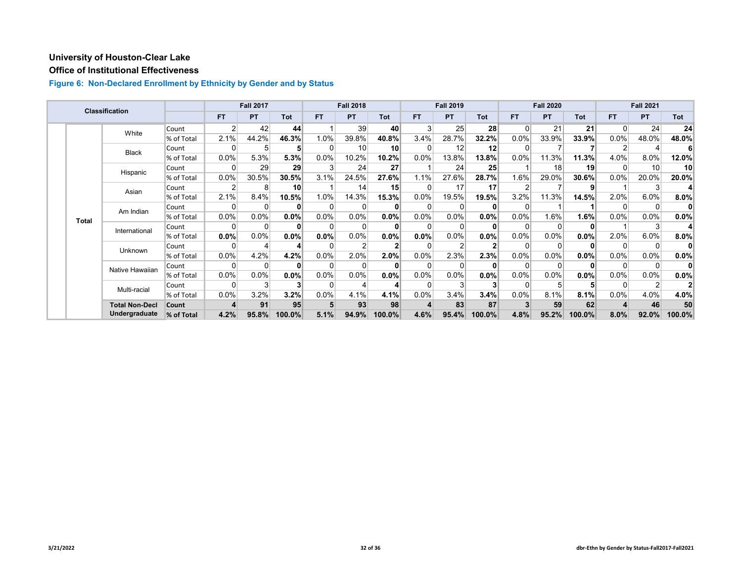## **Office of Institutional Effectiveness**

|  |              | <b>Classification</b> |            |                | <b>Fall 2017</b> |                 |           | <b>Fall 2018</b> |                 |         | <b>Fall 2019</b> |            |           | <b>Fall 2020</b> |              |           | <b>Fall 2021</b> |                 |
|--|--------------|-----------------------|------------|----------------|------------------|-----------------|-----------|------------------|-----------------|---------|------------------|------------|-----------|------------------|--------------|-----------|------------------|-----------------|
|  |              |                       |            | <b>FT</b>      | <b>PT</b>        | Tot             | <b>FT</b> | <b>PT</b>        | Tot             | FT.     | <b>PT</b>        | <b>Tot</b> | <b>FT</b> | <b>PT</b>        | <b>Tot</b>   | <b>FT</b> | <b>PT</b>        | Tot             |
|  |              | White                 | Count      | $\overline{2}$ | 42               | 44              |           | 39               | 40              | 3       | 25               | 28         | $\Omega$  | 21               | 21           | $\Omega$  | 24               | 24              |
|  |              |                       | % of Total | 2.1%           | 44.2%            | 46.3%           | 1.0%      | 39.8%            | 40.8%           | 3.4%    | 28.7%            | 32.2%      | 0.0%      | 33.9%            | 33.9%        | 0.0%      | 48.0%            | 48.0%           |
|  |              | <b>Black</b>          | Count      | O              |                  | 5               | 0         | 10               | 10 <sup>1</sup> | O       | 12               | 12         |           |                  |              |           |                  |                 |
|  |              |                       | % of Total | 0.0%           | 5.3%             | 5.3%            | 0.0%      | 10.2%            | 10.2%           | $0.0\%$ | 13.8%            | 13.8%      | 0.0%      | 11.3%            | 11.3%        | 4.0%      | 8.0%             | 12.0%           |
|  |              | Hispanic              | Count      | 0              | 29               | 29              |           | 24               | 27              |         | 24               | 25         |           | 18               | 19           | $\Omega$  | 10 <sup>1</sup>  | 10 <sup>1</sup> |
|  |              |                       | % of Total | 0.0%           | 30.5%            | 30.5%           | 3.1%      | 24.5%            | 27.6%           | 1.1%    | 27.6%            | 28.7%      | 1.6%      | 29.0%            | 30.6%        | 0.0%      | 20.0%            | 20.0%           |
|  |              | Asian                 | Count      |                | 8                | 10 <sup>1</sup> |           | 14               | 15              |         | 17               | 17         |           |                  | 9            |           | 3                |                 |
|  |              |                       | % of Total | 2.1%           | 8.4%             | 10.5%           | 1.0%      | 14.3%            | 15.3%           | 0.0%    | 19.5%            | 19.5%      | 3.2%      | 11.3%            | 14.5%        | 2.0%      | 6.0%             | 8.0%            |
|  | <b>Total</b> | Am Indian             | Count      | 0              | $\Omega$         | $\bf{0}$        | $\Omega$  | 0                |                 |         |                  | 0          |           |                  |              | $\Omega$  | 0                | 0               |
|  |              |                       | % of Total | $0.0\%$        | 0.0%             | 0.0%            | $0.0\%$   | 0.0%             | 0.0%            | $0.0\%$ | $0.0\%$          | 0.0%       | $0.0\%$   | 1.6%             | 1.6%         | 0.0%      | $0.0\%$          | 0.0%            |
|  |              | International         | Count      | ŋ              | O                | U               | 0         | $\Omega$         |                 |         |                  |            |           | n                | $\mathbf{0}$ |           | 3                |                 |
|  |              |                       | % of Total | $0.0\%$        | 0.0%             | 0.0%            | 0.0%      | 0.0%             | 0.0%            | 0.0%    | 0.0%             | 0.0%       | 0.0%      | 0.0%             | 0.0%         | 2.0%      | 6.0%             | $8.0\%$         |
|  |              | Unknown               | Count      | 0              |                  | 4               | 0         | 2                |                 | 0       |                  |            |           | $\Omega$         | $\mathbf{0}$ | $\Omega$  | 0                | $\mathbf{0}$    |
|  |              |                       | % of Total | 0.0%           | 4.2%             | 4.2%            | 0.0%      | 2.0%             | 2.0%            | 0.0%    | 2.3%             | 2.3%       | 0.0%      | 0.0%             | 0.0%         | 0.0%      | 0.0%             | 0.0%            |
|  |              | Native Hawaiian       | Count      | 0              | $\Omega$         | $\bf{0}$        | 0         | 0                |                 |         |                  |            |           | $\Omega$         | ŋ            | $\Omega$  | 0                | 0               |
|  |              |                       | % of Total | 0.0%           | 0.0%             | 0.0%            | $0.0\%$   | 0.0%             | 0.0%            | 0.0%    | 0.0%             | 0.0%       | 0.0%      | $0.0\%$          | $0.0\%$      | $0.0\%$   | 0.0%             | 0.0%            |
|  |              | Multi-racial          | Count      | 0              | 3                | 3               | $\Omega$  | 4                |                 |         |                  |            |           |                  | 5            | $\Omega$  | 2                |                 |
|  |              |                       | % of Total | 0.0%           | 3.2%             | 3.2%            | 0.0%      | 4.1%             | 4.1%            | 0.0%    | 3.4%             | 3.4%       | 0.0%      | 8.1%             | 8.1%         | 0.0%      | 4.0%             | 4.0%            |
|  |              | <b>Total Non-Decl</b> | Count      |                | 91               | 95              |           | 93               | 98              |         | 83               | 87         |           | 59               | 62           |           | 46               | 50              |
|  |              | Undergraduate         | % of Total | 4.2%           | 95.8%            | 100.0%          | 5.1%      | 94.9%            | 100.0%          | 4.6%    | 95.4%            | 100.0%     | 4.8%      | 95.2%            | 100.0%       | 8.0%      | 92.0%            | 100.0%          |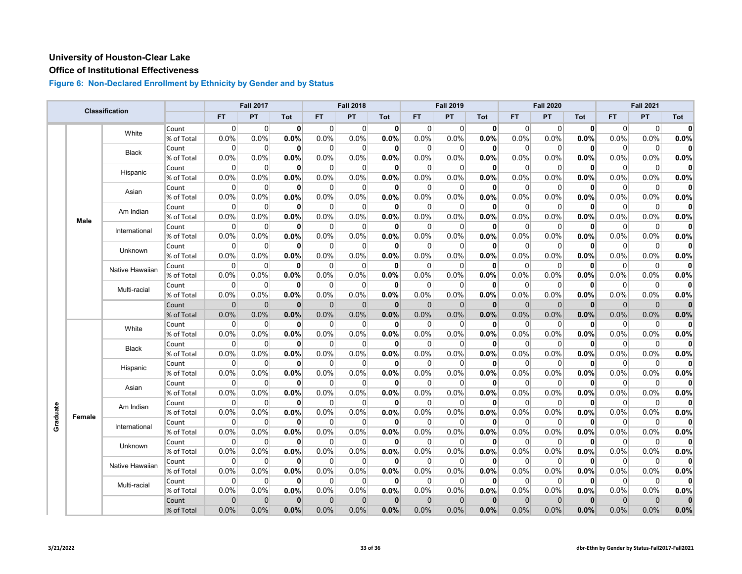#### **Office of Institutional Effectiveness**

|          |             |                 |            |              | <b>Fall 2017</b> |              |                | <b>Fall 2018</b> |              |              | <b>Fall 2019</b> |              |                | <b>Fall 2020</b> |              |                | <b>Fall 2021</b> |              |
|----------|-------------|-----------------|------------|--------------|------------------|--------------|----------------|------------------|--------------|--------------|------------------|--------------|----------------|------------------|--------------|----------------|------------------|--------------|
|          |             | Classification  |            | <b>FT</b>    | PT               | Tot          | <b>FT</b>      | PT               | Tot          | <b>FT</b>    | PT               | <b>Tot</b>   | <b>FT</b>      | <b>PT</b>        | <b>Tot</b>   | <b>FT</b>      | <b>PT</b>        | Tot          |
|          |             |                 | Count      | $\Omega$     | $\overline{0}$   | 0            | $\Omega$       | 0                | 0            | 0            | $\Omega$         | $\mathbf{0}$ | $\Omega$       | $\overline{0}$   | 0            | $\Omega$       | $\Omega$         | $\mathbf{0}$ |
|          |             | White           | % of Total | 0.0%         | 0.0%             | 0.0%         | 0.0%           | 0.0%             | 0.0%         | $0.0\%$      | 0.0%             | 0.0%         | 0.0%           | 0.0%             | 0.0%         | 0.0%           | 0.0%             | 0.0%         |
|          |             | <b>Black</b>    | Count      | 0            | $\overline{0}$   | $\mathbf{0}$ | $\overline{0}$ | 0                | 0            | 0            | 0                | 0            | $\overline{0}$ | $\overline{0}$   | $\mathbf{0}$ | $\overline{0}$ | $\mathbf 0$      | $\mathbf{0}$ |
|          |             |                 | % of Total | 0.0%         | 0.0%             | 0.0%         | 0.0%           | 0.0%             | 0.0%         | 0.0%         | 0.0%             | 0.0%         | 0.0%           | 0.0%             | 0.0%         | 0.0%           | 0.0%             | 0.0%         |
|          |             | Hispanic        | Count      | 0            | $\overline{0}$   | $\mathbf{0}$ | $\mathbf 0$    | 0                | 0            | $\mathbf 0$  | $\Omega$         | 0            | $\Omega$       | 0                | $\mathbf{0}$ | $\overline{0}$ | $\mathbf 0$      | $\mathbf{0}$ |
|          |             |                 | % of Total | 0.0%         | 0.0%             | 0.0%         | 0.0%           | 0.0%             | 0.0%         | 0.0%         | 0.0%             | 0.0%         | 0.0%           | 0.0%             | 0.0%         | 0.0%           | 0.0%             | 0.0%         |
|          |             | Asian           | Count      | $\Omega$     | $\Omega$         | $\mathbf{0}$ | $\Omega$       | $\mathbf 0$      | $\mathbf{0}$ | $\Omega$     | $\Omega$         | 0            | $\Omega$       | $\Omega$         | $\mathbf{0}$ | $\Omega$       | $\mathbf 0$      | $\mathbf{0}$ |
|          |             |                 | % of Total | 0.0%         | 0.0%             | 0.0%         | 0.0%           | 0.0%             | 0.0%         | $0.0\%$      | 0.0%             | 0.0%         | 0.0%           | 0.0%             | 0.0%         | 0.0%           | 0.0%             | 0.0%         |
|          |             | Am Indian       | Count      | 0            | $\overline{0}$   | $\mathbf{0}$ | $\overline{0}$ | 0                | $\mathbf{0}$ | 0            | 0                | 0            | $\overline{0}$ | $\overline{0}$   | $\mathbf{0}$ | $\overline{0}$ | 0                | 0            |
|          | <b>Male</b> |                 | % of Total | 0.0%         | 0.0%             | 0.0%         | 0.0%           | 0.0%             | 0.0%         | 0.0%         | 0.0%             | 0.0%         | 0.0%           | 0.0%             | 0.0%         | 0.0%           | 0.0%             | 0.0%         |
|          |             | International   | Count      | 0            | $\overline{0}$   | $\mathbf{0}$ | $\overline{0}$ | $\mathbf 0$      | $\mathbf{0}$ | $\Omega$     | $\Omega$         | 0            | $\overline{0}$ | $\overline{0}$   | $\mathbf{0}$ | $\overline{0}$ | $\mathbf 0$      | $\mathbf{0}$ |
|          |             |                 | % of Total | 0.0%         | 0.0%             | 0.0%         | 0.0%           | 0.0%             | 0.0%         | $0.0\%$      | 0.0%             | 0.0%         | 0.0%           | 0.0%             | $0.0\%$      | 0.0%           | 0.0%             | 0.0%         |
|          |             | <b>Unknown</b>  | Count      | $\Omega$     | $\Omega$         | $\mathbf{0}$ | $\Omega$       | $\Omega$         | $\mathbf{0}$ | $\Omega$     | $\Omega$         | 0            | $\Omega$       | $\Omega$         | $\mathbf{0}$ | $\Omega$       | $\Omega$         | $\mathbf{0}$ |
|          |             |                 | % of Total | 0.0%         | 0.0%             | 0.0%         | 0.0%           | 0.0%             | 0.0%         | 0.0%         | 0.0%             | 0.0%         | 0.0%           | 0.0%             | 0.0%         | 0.0%           | 0.0%             | 0.0%         |
|          |             | Native Hawaiian | Count      | $\Omega$     | $\Omega$         | $\mathbf{0}$ | $\Omega$       | $\Omega$         | $\mathbf{0}$ | $\Omega$     | $\mathbf{0}$     | 0            | $\Omega$       | $\Omega$         | $\mathbf{0}$ | $\Omega$       | $\mathbf{0}$     | $\mathbf{0}$ |
|          |             |                 | % of Total | 0.0%         | 0.0%             | 0.0%         | 0.0%           | 0.0%             | 0.0%         | 0.0%         | 0.0%             | 0.0%         | 0.0%           | 0.0%             | 0.0%         | 0.0%           | 0.0%             | 0.0%         |
|          |             | Multi-racial    | Count      | 0            | $\mathbf 0$      | 0            | 0              | 0                | $\mathbf{0}$ | 0            | $\Omega$         | 0            | $\Omega$       | $\mathbf 0$      | 0            | 0              | 0                | $\bf{0}$     |
|          |             |                 | % of Total | 0.0%         | 0.0%             | 0.0%         | 0.0%           | 0.0%             | 0.0%         | 0.0%         | 0.0%             | 0.0%         | 0.0%           | 0.0%             | 0.0%         | 0.0%           | 0.0%             | 0.0%         |
|          |             |                 | Count      | $\mathbf{0}$ | $\mathbf{0}$     | $\mathbf{0}$ | $\mathbf{0}$   | $\Omega$         | $\mathbf{0}$ | $\Omega$     | $\mathbf 0$      | $\mathbf{0}$ | $\Omega$       | $\mathbf 0$      | $\mathbf{0}$ | $\overline{0}$ | $\Omega$         | $\mathbf{0}$ |
|          |             |                 | % of Total | 0.0%         | 0.0%             | 0.0%         | 0.0%           | 0.0%             | 0.0%         | 0.0%         | 0.0%             | 0.0%         | 0.0%           | 0.0%             | 0.0%         | 0.0%           | 0.0%             | 0.0%         |
|          |             | White           | Count      | 0            | $\overline{0}$   | $\mathbf{0}$ | $\overline{0}$ | 0                | $\mathbf{0}$ | 0            | 0                | 0            | 0              | 0                | 0            | $\overline{0}$ | $\Omega$         | $\mathbf{0}$ |
|          |             |                 | % of Total | 0.0%         | 0.0%             | 0.0%         | 0.0%           | 0.0%             | 0.0%         | 0.0%         | 0.0%             | 0.0%         | 0.0%           | 0.0%             | 0.0%         | 0.0%           | 0.0%             | 0.0%         |
|          |             | <b>Black</b>    | Count      | $\mathbf 0$  | $\mathbf 0$      | $\mathbf{0}$ | $\mathbf 0$    | $\mathbf 0$      | 0            | 0            | 0                | 0            | 0              | $\mathbf 0$      | $\mathbf{0}$ | $\overline{0}$ | $\mathbf 0$      | $\mathbf{0}$ |
|          |             |                 | % of Total | 0.0%         | 0.0%             | 0.0%         | 0.0%           | 0.0%             | 0.0%         | 0.0%         | 0.0%             | 0.0%         | 0.0%           | 0.0%             | 0.0%         | 0.0%           | 0.0%             | 0.0%         |
|          |             | Hispanic        | Count      | $\Omega$     | $\mathbf 0$      | 0            | $\overline{0}$ | 0                | 0            | $\Omega$     | 0                | 0            | $\Omega$       | $\mathbf 0$      | 0            | $\overline{0}$ | 0                | $\mathbf{0}$ |
|          |             |                 | % of Total | 0.0%         | 0.0%             | 0.0%         | 0.0%           | 0.0%             | 0.0%         | 0.0%         | 0.0%             | 0.0%         | 0.0%           | $0.0\%$          | 0.0%         | 0.0%           | 0.0%             | 0.0%         |
|          |             | Asian           | Count      | $\mathbf 0$  | $\overline{0}$   | $\mathbf{0}$ | $\overline{0}$ | $\Omega$         | $\mathbf{0}$ | $\Omega$     | $\Omega$         | $\mathbf{0}$ | $\overline{0}$ | $\overline{0}$   | $\mathbf{0}$ | $\overline{0}$ | $\mathbf 0$      | $\mathbf{0}$ |
|          |             |                 | % of Total | 0.0%         | 0.0%             | 0.0%         | 0.0%           | 0.0%             | 0.0%         | 0.0%         | 0.0%             | 0.0%         | 0.0%           | 0.0%             | 0.0%         | 0.0%           | 0.0%             | 0.0%         |
|          |             | Am Indian       | Count      | $\Omega$     | $\overline{0}$   | $\mathbf{0}$ | $\Omega$       | $\Omega$         | $\mathbf{0}$ | $\Omega$     | $\Omega$         | 0            | $\Omega$       | $\Omega$         | $\mathbf{0}$ | $\Omega$       | $\Omega$         | $\mathbf{0}$ |
| Graduate | Female      |                 | % of Total | 0.0%         | 0.0%             | 0.0%         | 0.0%           | 0.0%             | 0.0%         | 0.0%         | 0.0%             | 0.0%         | 0.0%           | 0.0%             | 0.0%         | 0.0%           | 0.0%             | 0.0%         |
|          |             | International   | Count      | $\Omega$     | $\overline{0}$   | $\mathbf{0}$ | $\overline{0}$ | 0                | 0            | $\mathbf 0$  | $\Omega$         | 0            | $\Omega$       | $\overline{0}$   | $\mathbf{0}$ | $\overline{0}$ | 0                | $\mathbf{0}$ |
|          |             |                 | % of Total | 0.0%         | 0.0%             | 0.0%         | 0.0%           | 0.0%             | 0.0%         | 0.0%         | 0.0%             | 0.0%         | 0.0%           | 0.0%             | 0.0%         | 0.0%           | 0.0%             | 0.0%         |
|          |             | Unknown         | Count      | $\Omega$     | $\Omega$         | $\mathbf{0}$ | $\Omega$       | $\Omega$         | $\mathbf{0}$ | $\Omega$     | $\Omega$         | 0            | $\Omega$       | $\Omega$         | $\mathbf{0}$ | $\Omega$       | $\Omega$         | $\mathbf{0}$ |
|          |             |                 | % of Total | 0.0%         | 0.0%             | 0.0%         | 0.0%           | 0.0%             | 0.0%         | 0.0%         | 0.0%             | 0.0%         | 0.0%           | 0.0%             | 0.0%         | 0.0%           | 0.0%             | 0.0%         |
|          |             | Native Hawaiian | Count      | $\Omega$     | $\Omega$         | $\mathbf{0}$ | $\Omega$       | $\Omega$         | 0            | $\Omega$     | $\Omega$         | 0            | $\Omega$       | $\Omega$         | $\mathbf{0}$ | $\Omega$       | $\Omega$         | $\Omega$     |
|          |             |                 | % of Total | 0.0%         | 0.0%             | 0.0%         | 0.0%           | 0.0%             | 0.0%         | 0.0%         | 0.0%             | 0.0%         | 0.0%           | 0.0%             | 0.0%         | 0.0%           | 0.0%             | 0.0%         |
|          |             | Multi-racial    | Count      | $\Omega$     | $\mathbf 0$      | $\mathbf{0}$ | $\overline{0}$ | 0                | 0            | 0            | $\Omega$         | 0            | $\overline{0}$ | 0                | $\mathbf{0}$ | $\overline{0}$ | 0                | $\mathbf{0}$ |
|          |             |                 | % of Total | 0.0%         | 0.0%             | 0.0%         | 0.0%           | 0.0%             | 0.0%         | 0.0%         | 0.0%             | 0.0%         | 0.0%           | 0.0%             | 0.0%         | 0.0%           | 0.0%             | 0.0%         |
|          |             |                 | Count      | $\mathbf{0}$ | $\mathbf 0$      | $\mathbf{0}$ | $\mathbf{0}$   | $\mathbf 0$      | $\mathbf{0}$ | $\mathbf{0}$ | $\Omega$         | $\mathbf 0$  | $\Omega$       | $\mathbf 0$      | $\mathbf{0}$ | $\mathbf{0}$   | $\mathbf 0$      | $\mathbf{0}$ |
|          |             |                 | % of Total | 0.0%         | 0.0%             | 0.0%         | 0.0%           | 0.0%             | 0.0%         | 0.0%         | 0.0%             | 0.0%         | 0.0%           | 0.0%             | 0.0%         | 0.0%           | 0.0%             | 0.0%         |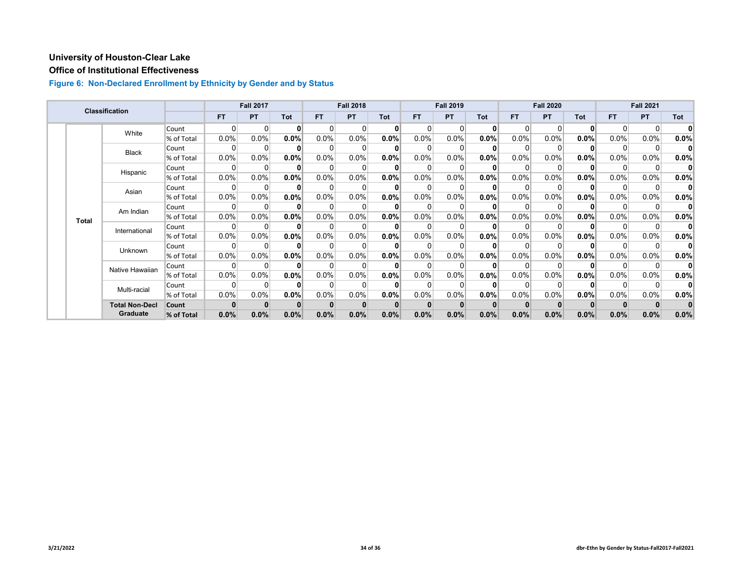# **Office of Institutional Effectiveness**

|  |                           | <b>Classification</b> |            |         | <b>Fall 2017</b> |          |           | <b>Fall 2018</b> |      |      | <b>Fall 2019</b> |              |          | <b>Fall 2020</b> |              |           | <b>Fall 2021</b> |              |
|--|---------------------------|-----------------------|------------|---------|------------------|----------|-----------|------------------|------|------|------------------|--------------|----------|------------------|--------------|-----------|------------------|--------------|
|  |                           |                       |            | FT.     | <b>PT</b>        | Tot      | <b>FT</b> | <b>PT</b>        | Tot  | FT.  | <b>PT</b>        | <b>Tot</b>   | FT.      | <b>PT</b>        | <b>Tot</b>   | <b>FT</b> | <b>PT</b>        | Tot          |
|  |                           | White                 | Count      | 0       | $\Omega$         | $\bf{0}$ | $\Omega$  | $\Omega$         | 0    |      |                  | $\mathbf{0}$ | $\Omega$ | $\Omega$         | $\mathbf{0}$ | $\Omega$  | $\Omega$         | $\mathbf{0}$ |
|  |                           |                       | % of Total | 0.0%    | 0.0%             | $0.0\%$  | 0.0%      | 0.0%             | 0.0% | 0.0% | 0.0%             | 0.0%         | $0.0\%$  | 0.0%             | 0.0%         | 0.0%      | $0.0\%$          | 0.0%         |
|  |                           | Black                 | Count      | 0       | 0                | $\bf{0}$ | $\Omega$  | $\Omega$         |      | 0    |                  | 0            |          | $\Omega$         | $\mathbf{0}$ | $\Omega$  | 0                | 0            |
|  |                           |                       | % of Total | 0.0%    | 0.0%             | $0.0\%$  | $0.0\%$   | 0.0%             | 0.0% | 0.0% | 0.0%             | 0.0%         | 0.0%     | 0.0%             | $0.0\%$      | 0.0%      | 0.0%             | 0.0%         |
|  |                           | Hispanic              | Count      | ŋ       |                  | $\Omega$ |           | $\Omega$         |      |      |                  |              |          | n                | $\Omega$     | $\Omega$  | 0                |              |
|  |                           |                       | % of Total | $0.0\%$ | 0.0%             | $0.0\%$  | 0.0%      | $0.0\%$          | 0.0% | 0.0% | 0.0%             | 0.0%         | 0.0%     | 0.0%             | $0.0\%$      | 0.0%      | $0.0\%$          | $0.0\%$      |
|  |                           | Asian                 | Count      | 0       | 0                | $\bf{0}$ | $\Omega$  | $\Omega$         |      |      |                  |              |          | 0                | $\mathbf{0}$ | $\Omega$  | 0                | $\mathbf{0}$ |
|  |                           |                       | % of Total | 0.0%    | 0.0%             | $0.0\%$  | 0.0%      | 0.0%             | 0.0% | 0.0% | 0.0%             | 0.0%         | 0.0%     | $0.0\%$          | 0.0%         | 0.0%      | 0.0%             | 0.0%         |
|  | Am Indian<br><b>Total</b> |                       | Count      | 0       | $\Omega$         | $\bf{0}$ | 0         | 0                |      |      |                  |              |          | $\Omega$         | $\bf{0}$     | $\Omega$  | 0                | 0            |
|  |                           |                       | % of Total | 0.0%    | 0.0%             | $0.0\%$  | $0.0\%$   | 0.0%             | 0.0% | 0.0% | 0.0%             | $0.0\%$      | 0.0%     | $0.0\%$          | $0.0\%$      | $0.0\%$   | $0.0\%$          | 0.0%         |
|  |                           | International         | Count      | 0       | $\Omega$         | $\bf{0}$ | $\Omega$  | $\Omega$         |      |      |                  |              |          | n                | $\mathbf{0}$ | $\Omega$  | 0                | 0            |
|  |                           |                       | % of Total | 0.0%    | $0.0\%$          | $0.0\%$  | $0.0\%$   | $0.0\%$          | 0.0% | 0.0% | 0.0%             | 0.0%         | 0.0%     | $0.0\%$          | 0.0%         | $0.0\%$   | $0.0\%$          | 0.0%         |
|  |                           | Unknown               | Count      | 0       | 0                | $\bf{0}$ | $\Omega$  | $\Omega$         |      | 0    |                  |              |          | $\Omega$         | $\mathbf{0}$ | $\Omega$  | 0                | 0            |
|  |                           |                       | % of Total | 0.0%    | 0.0%             | 0.0%     | 0.0%      | 0.0%             | 0.0% | 0.0% | 0.0%             | 0.0%         | 0.0%     | 0.0%             | 0.0%         | 0.0%      | $0.0\%$          | $0.0\%$      |
|  |                           | Native Hawaiian       | Count      | 0       |                  | $\bf{0}$ | $\Omega$  | 0                |      |      |                  |              |          | $\Omega$         | ŋ            | $\Omega$  | 0                | 0            |
|  |                           |                       | % of Total | 0.0%    | 0.0%             | 0.0%     | $0.0\%$   | 0.0%             | 0.0% | 0.0% | 0.0%             | 0.0%         | 0.0%     | $0.0\%$          | $0.0\%$      | $0.0\%$   | 0.0%             | 0.0%         |
|  |                           | Multi-racial          | Count      | ŋ       | $\Omega$         | $\bf{0}$ | 0         | $\Omega$         |      |      |                  |              |          | $\Omega$         | $\mathbf{0}$ | $\Omega$  | 0                | $\mathbf{0}$ |
|  |                           |                       | % of Total | 0.0%    | 0.0%             | 0.0%     | $0.0\%$   | 0.0%             | 0.0% | 0.0% | 0.0%             | 0.0%         | 0.0%     | $0.0\%$          | $0.0\%$      | 0.0%      | 0.0%             | 0.0%         |
|  |                           | <b>Total Non-Decl</b> | Count      |         |                  | $\bf{0}$ |           | $\mathbf{0}$     |      |      |                  |              |          |                  |              |           |                  |              |
|  |                           | Graduate              | % of Total | 0.0%    | 0.0%             | 0.0%     | 0.0%      | 0.0%             | 0.0% | 0.0% | 0.0%             | 0.0%         | 0.0%     | 0.0%             | 0.0%         | 0.0%      | 0.0%             | 0.0%         |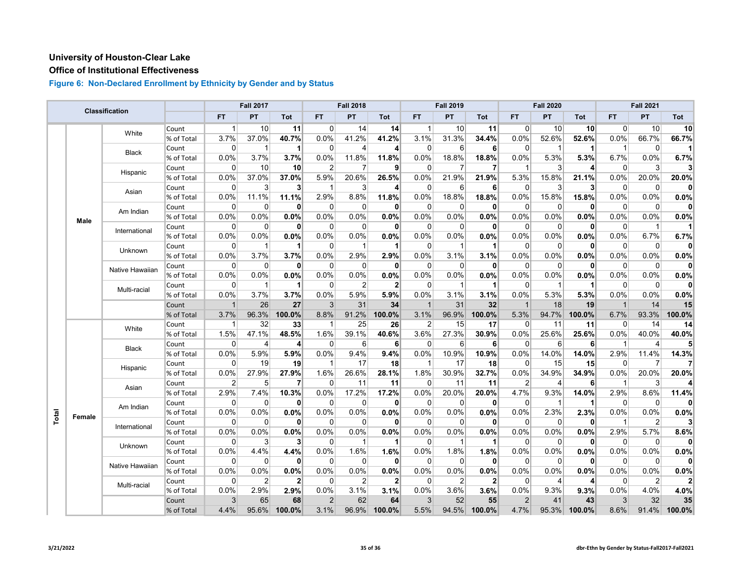## **Office of Institutional Effectiveness**

|       |              |                 |            |                | <b>Fall 2017</b> |                |                         | <b>Fall 2018</b> |                |              | <b>Fall 2019</b> |             |                | <b>Fall 2020</b> |                |                         | <b>Fall 2021</b> |                |
|-------|--------------|-----------------|------------|----------------|------------------|----------------|-------------------------|------------------|----------------|--------------|------------------|-------------|----------------|------------------|----------------|-------------------------|------------------|----------------|
|       |              | Classification  |            | <b>FT</b>      | PT               | Tot            | <b>FT</b>               | PT               | Tot            | <b>FT</b>    | PT               | <b>Tot</b>  | <b>FT</b>      | PT               | <b>Tot</b>     | <b>FT</b>               | <b>PT</b>        | Tot            |
|       |              |                 | Count      | $\mathbf{1}$   | 10 <sup>1</sup>  | 11             | $\Omega$                | 14               | 14             | 1            | 10               | 11          | 0              | 10               | 10             | $\Omega$                | 10               | 10             |
|       |              | White           | % of Total | 3.7%           | 37.0%            | 40.7%          | 0.0%                    | 41.2%            | 41.2%          | 3.1%         | 31.3%            | 34.4%       | 0.0%           | 52.6%            | 52.6%          | 0.0%                    | 66.7%            | 66.7%          |
|       |              |                 | Count      | 0              | $\mathbf{1}$     | 1              | $\Omega$                | 4                | $\vert$        | $\Omega$     | 6                | 6           | $\overline{0}$ | 1                |                | $\overline{\mathbf{1}}$ | 0                | 11             |
|       |              | Black           | % of Total | 0.0%           | 3.7%             | 3.7%           | 0.0%                    | 11.8%            | 11.8%          | $0.0\%$      | 18.8%            | 18.8%       | 0.0%           | 5.3%             | 5.3%           | 6.7%                    | 0.0%             | 6.7%           |
|       |              |                 | Count      | $\Omega$       | 10               | 10             | $\overline{2}$          | $\overline{7}$   | 9              | $\Omega$     |                  | 7           | 1              | 3                | 4              | $\Omega$                | 3                | 3              |
|       |              | Hispanic        | % of Total | 0.0%           | 37.0%            | 37.0%          | 5.9%                    | 20.6%            | 26.5%          | 0.0%         | 21.9%            | 21.9%       | 5.3%           | 15.8%            | 21.1%          | 0.0%                    | 20.0%            | 20.0%          |
|       |              |                 | Count      | $\Omega$       | 3                | 3 <sup>1</sup> | $\overline{\mathbf{1}}$ | 3                | $\vert$        | $\Omega$     | 6                | 6           | $\overline{0}$ | $\mathbf{3}$     | $\mathbf{3}$   | $\overline{0}$          | 0                | $\mathbf{0}$   |
|       |              | Asian           | % of Total | 0.0%           | 11.1%            | 11.1%          | 2.9%                    | 8.8%             | 11.8%          | 0.0%         | 18.8%            | 18.8%       | 0.0%           | 15.8%            | 15.8%          | 0.0%                    | 0.0%             | 0.0%           |
|       |              | Am Indian       | Count      | $\Omega$       | $\overline{0}$   | $\mathbf{0}$   | $\Omega$                | $\Omega$         | $\mathbf{0}$   | $\Omega$     | $\Omega$         | 0           | $\Omega$       | $\overline{0}$   | $\mathbf{0}$   | $\Omega$                | $\Omega$         | 0              |
|       | Male         |                 | % of Total | 0.0%           | 0.0%             | 0.0%           | 0.0%                    | 0.0%             | 0.0%           | 0.0%         | 0.0%             | 0.0%        | 0.0%           | 0.0%             | 0.0%           | 0.0%                    | 0.0%             | 0.0%           |
|       |              | International   | Count      | $\Omega$       | $\Omega$         | $\mathbf{0}$   | $\Omega$                | $\Omega$         | $\mathbf{0}$   | $\Omega$     | $\Omega$         | 0           | $\Omega$       | $\Omega$         | $\mathbf{0}$   | $\Omega$                | $\overline{1}$   | $\mathbf{1}$   |
|       |              |                 | % of Total | 0.0%           | 0.0%             | 0.0%           | 0.0%                    | 0.0%             | 0.0%           | 0.0%         | 0.0%             | 0.0%        | 0.0%           | 0.0%             | 0.0%           | 0.0%                    | 6.7%             | 6.7%           |
|       |              | Unknown         | Count      | 0              | $\mathbf 1$      |                | 0                       | -1               | $\mathbf{1}$   | $\Omega$     |                  | 1           | 0              | $\Omega$         | 0              | $\overline{0}$          | $\Omega$         | $\mathbf{0}$   |
|       |              |                 | % of Total | 0.0%           | 3.7%             | 3.7%           | 0.0%                    | 2.9%             | 2.9%           | 0.0%         | 3.1%             | 3.1%        | 0.0%           | 0.0%             | 0.0%           | 0.0%                    | 0.0%             | 0.0%           |
|       |              | Native Hawaiian | Count      | $\Omega$       | $\Omega$         | $\mathbf{0}$   | $\mathbf 0$             | $\Omega$         | 0              | $\Omega$     | $\Omega$         | $\mathbf 0$ | $\Omega$       | $\Omega$         | $\mathbf{0}$   | $\Omega$                | $\Omega$         | $\mathbf{0}$   |
|       |              | % of Total      | $0.0\%$    | 0.0%           | 0.0%             | 0.0%           | 0.0%                    | 0.0%             | $0.0\%$        | 0.0%         | 0.0%             | 0.0%        | $0.0\%$        | 0.0%             | 0.0%           | 0.0%                    | 0.0%             |                |
|       | Multi-racial | Count           | $\Omega$   | 1              |                  | $\overline{0}$ | 2                       | $\mathbf{2}$     | 0              |              | 1                | 0           | 1              |                  | $\overline{0}$ | 0                       | 0                |                |
|       |              |                 | % of Total | 0.0%           | 3.7%             | 3.7%           | 0.0%                    | 5.9%             | 5.9%           | 0.0%         | 3.1%             | 3.1%        | 0.0%           | 5.3%             | 5.3%           | 0.0%                    | 0.0%             | 0.0%           |
|       |              |                 | Count      | $\mathbf{1}$   | 26               | 27             | 3                       | 31               | 34             | $\mathbf{1}$ | 31               | 32          | $\mathbf{1}$   | 18               | 19             | $\overline{1}$          | 14               | 15             |
|       |              |                 | % of Total | 3.7%           | 96.3%            | 100.0%         | 8.8%                    | 91.2%            | 100.0%         | 3.1%         | 96.9%            | 100.0%      | 5.3%           | 94.7%            | 100.0%         | 6.7%                    | 93.3%            | 100.0%         |
|       |              | White           | Count      | $\mathbf{1}$   | 32               | 33             | $\mathbf 1$             | 25               | 26             | 2            | 15               | 17          | $\Omega$       | 11               | 11             | $\vert 0 \vert$         | 14               | 14             |
|       |              |                 | % of Total | 1.5%           | 47.1%            | 48.5%          | 1.6%                    | 39.1%            | 40.6%          | 3.6%         | 27.3%            | 30.9%       | 0.0%           | 25.6%            | 25.6%          | 0.0%                    | 40.0%            | 40.0%          |
|       |              | Black           | Count      | $\mathbf 0$    | 4                | 4              | $\overline{0}$          | 6                | 6              | 0            | 6                | 6           | $\overline{0}$ | $6 \overline{6}$ | 6              | $\mathbf 1$             | 4                | 5              |
|       |              |                 | % of Total | 0.0%           | 5.9%             | 5.9%           | 0.0%                    | 9.4%             | 9.4%           | 0.0%         | 10.9%            | 10.9%       | 0.0%           | 14.0%            | 14.0%          | 2.9%                    | 11.4%            | 14.3%          |
|       |              | Hispanic        | Count      | $\Omega$       | 19               | 19             | $\overline{1}$          | 17               | 18             | -1           | 17               | 18          | $\Omega$       | 15               | 15             | $\Omega$                | 7                | $\mathbf{7}$   |
|       |              |                 | % of Total | 0.0%           | 27.9%            | 27.9%          | 1.6%                    | 26.6%            | 28.1%          | 1.8%         | 30.9%            | 32.7%       | 0.0%           | 34.9%            | 34.9%          | 0.0%                    | 20.0%            | 20.0%          |
|       |              | Asian           | Count      | $\overline{2}$ | 5 <sup>5</sup>   | 7              | $\overline{0}$          | 11               | 11             | 0            | 11               | 11          | $\overline{2}$ | $\overline{4}$   | 6              | -1                      | 3                | 4              |
|       |              |                 | % of Total | 2.9%           | 7.4%             | 10.3%          | 0.0%                    | 17.2%            | 17.2%          | 0.0%         | 20.0%            | 20.0%       | 4.7%           | 9.3%             | 14.0%          | 2.9%                    | 8.6%             | 11.4%          |
|       |              | Am Indian       | Count      | $\Omega$       | $\mathbf 0$      | $\mathbf{0}$   | $\Omega$                | $\mathbf 0$      | 0              | $\Omega$     | $\Omega$         | 0           | $\Omega$       |                  | 1              | $\Omega$                | $\mathbf 0$      | $\mathbf{0}$   |
|       | Female       |                 | % of Total | 0.0%           | 0.0%             | 0.0%           | 0.0%                    | 0.0%             | 0.0%           | 0.0%         | 0.0%             | 0.0%        | 0.0%           | 2.3%             | 2.3%           | 0.0%                    | 0.0%             | 0.0%           |
|       |              | International   | Count      | $\Omega$       | $\overline{0}$   | $\bf{0}$       | $\Omega$                | $\Omega$         | 0              | $\Omega$     | $\Omega$         | 0           | 0              | 0                | $\bf{0}$       | -1                      | $\overline{2}$   | 3 <sup>1</sup> |
| Total |              |                 | % of Total | 0.0%           | 0.0%             | 0.0%           | 0.0%                    | 0.0%             | 0.0%           | 0.0%         | 0.0%             | 0.0%        | $0.0\%$        | $0.0\%$          | 0.0%           | 2.9%                    | 5.7%             | 8.6%           |
|       |              | Unknown         | Count      | $\Omega$       | 3                | 3              | $\Omega$                | $\mathbf 1$      | $\mathbf 1$    | $\Omega$     | 1                | 1           | 0              | 0                | $\mathbf{0}$   | $\Omega$                | 0                | $\mathbf{0}$   |
|       |              |                 | % of Total | 0.0%           | 4.4%             | 4.4%           | 0.0%                    | 1.6%             | 1.6%           | 0.0%         | 1.8%             | 1.8%        | 0.0%           | 0.0%             | 0.0%           | 0.0%                    | 0.0%             | 0.0%           |
|       |              | Native Hawaiian | Count      | $\Omega$       | $\overline{0}$   | 0              | $\Omega$                | $\Omega$         | $\mathbf{0}$   | $\Omega$     | $\Omega$         | 0           | $\Omega$       | $\overline{0}$   | 0              | $\Omega$                | $\Omega$         | $\mathbf{0}$   |
|       |              |                 | % of Total | 0.0%           | 0.0%             | 0.0%           | 0.0%                    | 0.0%             | 0.0%           | 0.0%         | 0.0%             | 0.0%        | 0.0%           | 0.0%             | 0.0%           | 0.0%                    | 0.0%             | 0.0%           |
|       |              | Multi-racial    | Count      | $\Omega$       | $\overline{2}$   | $\mathbf{2}$   | $\overline{0}$          | 2                | $\overline{2}$ | 0            | 2                | 2           | 0              | $\overline{4}$   | 4              | $\overline{0}$          | 2                | $\mathbf{2}$   |
|       |              |                 | % of Total | 0.0%           | 2.9%             | 2.9%           | 0.0%                    | 3.1%             | 3.1%           | 0.0%         | 3.6%             | 3.6%        | 0.0%           | 9.3%             | 9.3%           | 0.0%                    | 4.0%             | 4.0%           |
|       |              |                 | Count      | 3              | 65               | 68             | $\overline{2}$          | 62               | 64             | 3            | 52               | 55          | $\overline{2}$ | 41               | 43             | $\mathbf{3}$            | 32               | 35             |
|       |              |                 | % of Total | 4.4%           | 95.6%            | 100.0%         | 3.1%                    | 96.9%            | 100.0%         | 5.5%         | 94.5%            | 100.0%      | 4.7%           | 95.3%            | 100.0%         | 8.6%                    | 91.4%            | 100.0%         |